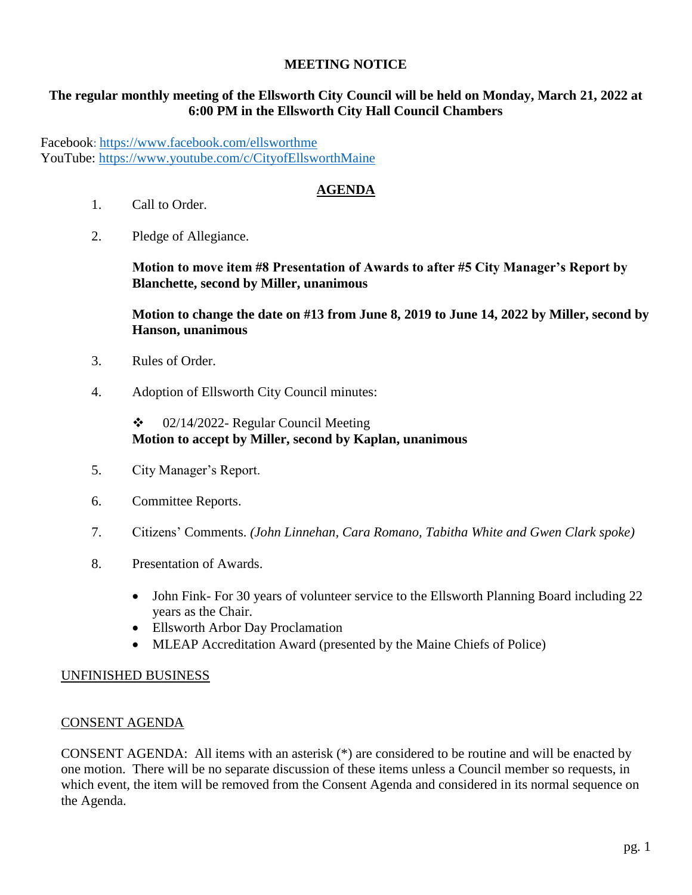### **MEETING NOTICE**

### **The regular monthly meeting of the Ellsworth City Council will be held on Monday, March 21, 2022 at 6:00 PM in the Ellsworth City Hall Council Chambers**

Facebook: <https://www.facebook.com/ellsworthme> YouTube:<https://www.youtube.com/c/CityofEllsworthMaine>

# **AGENDA**

- 1. Call to Order.
- 2. Pledge of Allegiance.

**Motion to move item #8 Presentation of Awards to after #5 City Manager's Report by Blanchette, second by Miller, unanimous**

**Motion to change the date on #13 from June 8, 2019 to June 14, 2022 by Miller, second by Hanson, unanimous**

- 3. Rules of Order.
- 4. Adoption of Ellsworth City Council minutes:

### $\div$  02/14/2022- Regular Council Meeting **Motion to accept by Miller, second by Kaplan, unanimous**

- 5. City Manager's Report.
- 6. Committee Reports.
- 7. Citizens' Comments. *(John Linnehan, Cara Romano, Tabitha White and Gwen Clark spoke)*
- 8. Presentation of Awards.
	- John Fink- For 30 years of volunteer service to the Ellsworth Planning Board including 22 years as the Chair.
	- Ellsworth Arbor Day Proclamation
	- MLEAP Accreditation Award (presented by the Maine Chiefs of Police)

### UNFINISHED BUSINESS

### CONSENT AGENDA

CONSENT AGENDA: All items with an asterisk (\*) are considered to be routine and will be enacted by one motion. There will be no separate discussion of these items unless a Council member so requests, in which event, the item will be removed from the Consent Agenda and considered in its normal sequence on the Agenda.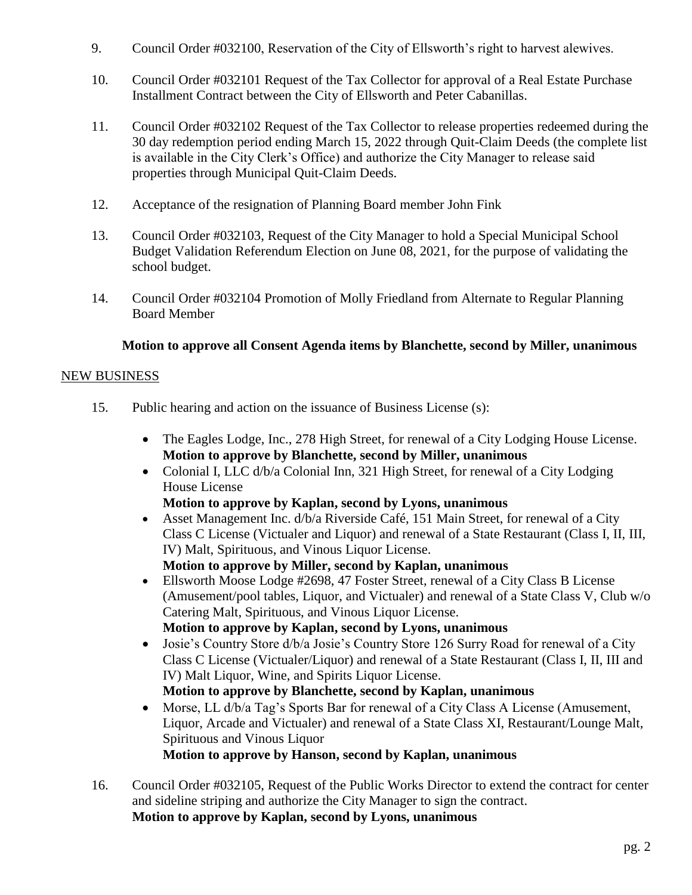- 9. Council Order #032100, Reservation of the City of Ellsworth's right to harvest alewives.
- 10. Council Order #032101 Request of the Tax Collector for approval of a Real Estate Purchase Installment Contract between the City of Ellsworth and Peter Cabanillas.
- 11. Council Order #032102 Request of the Tax Collector to release properties redeemed during the 30 day redemption period ending March 15, 2022 through Quit-Claim Deeds (the complete list is available in the City Clerk's Office) and authorize the City Manager to release said properties through Municipal Quit-Claim Deeds.
- 12. Acceptance of the resignation of Planning Board member John Fink
- 13. Council Order #032103, Request of the City Manager to hold a Special Municipal School Budget Validation Referendum Election on June 08, 2021, for the purpose of validating the school budget.
- 14. Council Order #032104 Promotion of Molly Friedland from Alternate to Regular Planning Board Member

# **Motion to approve all Consent Agenda items by Blanchette, second by Miller, unanimous**

### NEW BUSINESS

- 15. Public hearing and action on the issuance of Business License (s):
	- The Eagles Lodge, Inc., 278 High Street, for renewal of a City Lodging House License. **Motion to approve by Blanchette, second by Miller, unanimous**
	- Colonial I, LLC d/b/a Colonial Inn, 321 High Street, for renewal of a City Lodging House License
		- **Motion to approve by Kaplan, second by Lyons, unanimous**
	- Asset Management Inc. d/b/a Riverside Café, 151 Main Street, for renewal of a City Class C License (Victualer and Liquor) and renewal of a State Restaurant (Class I, II, III, IV) Malt, Spirituous, and Vinous Liquor License.
		- **Motion to approve by Miller, second by Kaplan, unanimous**
	- Ellsworth Moose Lodge #2698, 47 Foster Street, renewal of a City Class B License (Amusement/pool tables, Liquor, and Victualer) and renewal of a State Class V, Club w/o Catering Malt, Spirituous, and Vinous Liquor License. **Motion to approve by Kaplan, second by Lyons, unanimous**
	- Josie's Country Store d/b/a Josie's Country Store 126 Surry Road for renewal of a City Class C License (Victualer/Liquor) and renewal of a State Restaurant (Class I, II, III and IV) Malt Liquor, Wine, and Spirits Liquor License. **Motion to approve by Blanchette, second by Kaplan, unanimous**
	- Morse, LL d/b/a Tag's Sports Bar for renewal of a City Class A License (Amusement, Liquor, Arcade and Victualer) and renewal of a State Class XI, Restaurant/Lounge Malt, Spirituous and Vinous Liquor **Motion to approve by Hanson, second by Kaplan, unanimous**
- 16. Council Order #032105, Request of the Public Works Director to extend the contract for center and sideline striping and authorize the City Manager to sign the contract. **Motion to approve by Kaplan, second by Lyons, unanimous**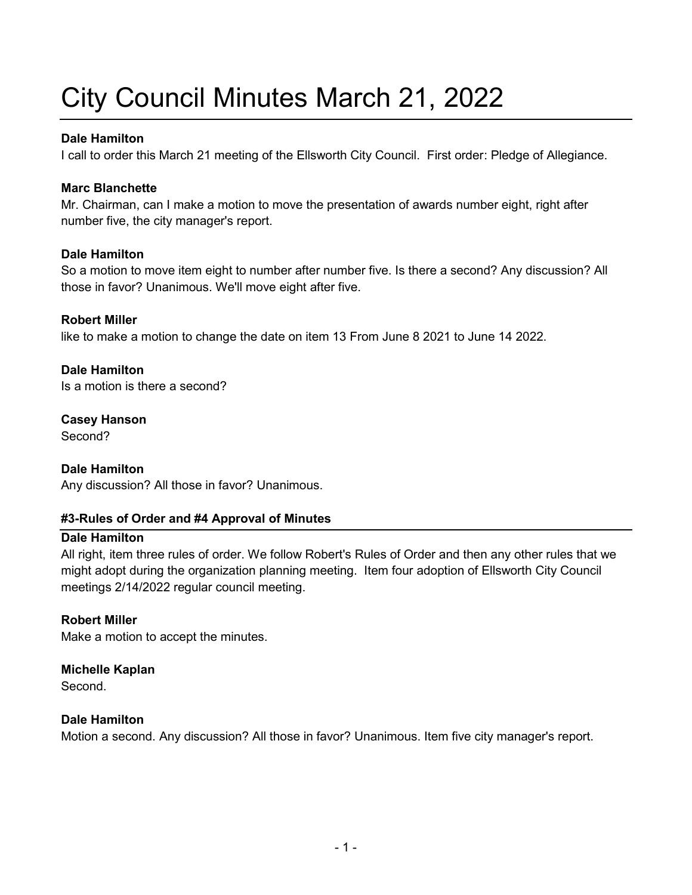# City Council Minutes March 21, 2022

### **Dale Hamilton**

I call to order this March 21 meeting of the Ellsworth City Council. First order: Pledge of Allegiance.

### **Marc Blanchette**

Mr. Chairman, can I make a motion to move the presentation of awards number eight, right after number five, the city manager's report.

# **Dale Hamilton**

So a motion to move item eight to number after number five. Is there a second? Any discussion? All those in favor? Unanimous. We'll move eight after five.

# **Robert Miller**

like to make a motion to change the date on item 13 From June 8 2021 to June 14 2022.

# **Dale Hamilton**

Is a motion is there a second?

# **Casey Hanson**

Second?

### **Dale Hamilton**

Any discussion? All those in favor? Unanimous.

# **#3-Rules of Order and #4 Approval of Minutes**

### **Dale Hamilton**

All right, item three rules of order. We follow Robert's Rules of Order and then any other rules that we might adopt during the organization planning meeting. Item four adoption of Ellsworth City Council meetings 2/14/2022 regular council meeting.

### **Robert Miller**

Make a motion to accept the minutes.

### **Michelle Kaplan**

Second.

### **Dale Hamilton**

Motion a second. Any discussion? All those in favor? Unanimous. Item five city manager's report.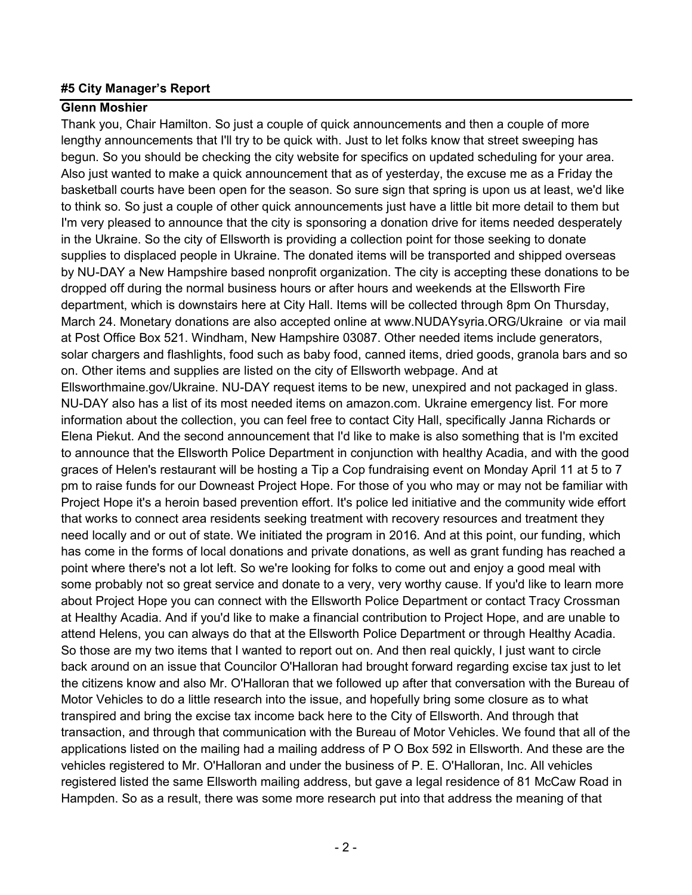### **#5 City Manager's Report**

### **Glenn Moshier**

Thank you, Chair Hamilton. So just a couple of quick announcements and then a couple of more lengthy announcements that I'll try to be quick with. Just to let folks know that street sweeping has begun. So you should be checking the city website for specifics on updated scheduling for your area. Also just wanted to make a quick announcement that as of yesterday, the excuse me as a Friday the basketball courts have been open for the season. So sure sign that spring is upon us at least, we'd like to think so. So just a couple of other quick announcements just have a little bit more detail to them but I'm very pleased to announce that the city is sponsoring a donation drive for items needed desperately in the Ukraine. So the city of Ellsworth is providing a collection point for those seeking to donate supplies to displaced people in Ukraine. The donated items will be transported and shipped overseas by NU-DAY a New Hampshire based nonprofit organization. The city is accepting these donations to be dropped off during the normal business hours or after hours and weekends at the Ellsworth Fire department, which is downstairs here at City Hall. Items will be collected through 8pm On Thursday, March 24. Monetary donations are also accepted online at www.NUDAYsyria.ORG/Ukraine or via mail at Post Office Box 521. Windham, New Hampshire 03087. Other needed items include generators, solar chargers and flashlights, food such as baby food, canned items, dried goods, granola bars and so on. Other items and supplies are listed on the city of Ellsworth webpage. And at Ellsworthmaine.gov/Ukraine. NU-DAY request items to be new, unexpired and not packaged in glass. NU-DAY also has a list of its most needed items on amazon.com. Ukraine emergency list. For more information about the collection, you can feel free to contact City Hall, specifically Janna Richards or Elena Piekut. And the second announcement that I'd like to make is also something that is I'm excited to announce that the Ellsworth Police Department in conjunction with healthy Acadia, and with the good graces of Helen's restaurant will be hosting a Tip a Cop fundraising event on Monday April 11 at 5 to 7 pm to raise funds for our Downeast Project Hope. For those of you who may or may not be familiar with Project Hope it's a heroin based prevention effort. It's police led initiative and the community wide effort that works to connect area residents seeking treatment with recovery resources and treatment they need locally and or out of state. We initiated the program in 2016. And at this point, our funding, which has come in the forms of local donations and private donations, as well as grant funding has reached a point where there's not a lot left. So we're looking for folks to come out and enjoy a good meal with some probably not so great service and donate to a very, very worthy cause. If you'd like to learn more about Project Hope you can connect with the Ellsworth Police Department or contact Tracy Crossman at Healthy Acadia. And if you'd like to make a financial contribution to Project Hope, and are unable to attend Helens, you can always do that at the Ellsworth Police Department or through Healthy Acadia. So those are my two items that I wanted to report out on. And then real quickly, I just want to circle back around on an issue that Councilor O'Halloran had brought forward regarding excise tax just to let the citizens know and also Mr. O'Halloran that we followed up after that conversation with the Bureau of Motor Vehicles to do a little research into the issue, and hopefully bring some closure as to what transpired and bring the excise tax income back here to the City of Ellsworth. And through that transaction, and through that communication with the Bureau of Motor Vehicles. We found that all of the applications listed on the mailing had a mailing address of P O Box 592 in Ellsworth. And these are the vehicles registered to Mr. O'Halloran and under the business of P. E. O'Halloran, Inc. All vehicles registered listed the same Ellsworth mailing address, but gave a legal residence of 81 McCaw Road in Hampden. So as a result, there was some more research put into that address the meaning of that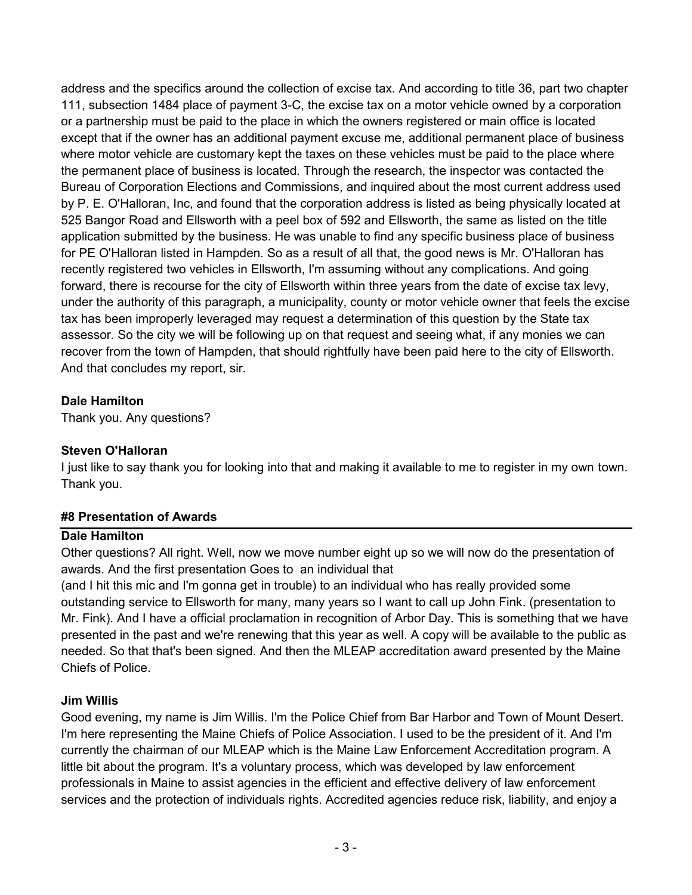address and the specifics around the collection of excise tax. And according to title 36, part two chapter 111, subsection 1484 place of payment 3-C, the excise tax on a motor vehicle owned by a corporation or a partnership must be paid to the place in which the owners registered or main office is located except that if the owner has an additional payment excuse me, additional permanent place of business where motor vehicle are customary kept the taxes on these vehicles must be paid to the place where the permanent place of business is located. Through the research, the inspector was contacted the Bureau of Corporation Elections and Commissions, and inquired about the most current address used by P. E. O'Halloran, Inc, and found that the corporation address is listed as being physically located at 525 Bangor Road and Ellsworth with a peel box of 592 and Ellsworth, the same as listed on the title application submitted by the business. He was unable to find any specific business place of business for PE O'Halloran listed in Hampden. So as a result of all that, the good news is Mr. O'Halloran has recently registered two vehicles in Ellsworth, I'm assuming without any complications. And going forward, there is recourse for the city of Ellsworth within three years from the date of excise tax levy, under the authority of this paragraph, a municipality, county or motor vehicle owner that feels the excise tax has been improperly leveraged may request a determination of this question by the State tax assessor. So the city we will be following up on that request and seeing what, if any monies we can recover from the town of Hampden, that should rightfully have been paid here to the city of Ellsworth. And that concludes my report, sir.

# **Dale Hamilton**

Thank you. Any questions?

# **Steven O'Halloran**

I just like to say thank you for looking into that and making it available to me to register in my own town. Thank you.

# **#8 Presentation of Awards**

### **Dale Hamilton**

Other questions? All right. Well, now we move number eight up so we will now do the presentation of awards. And the first presentation Goes to an individual that

(and I hit this mic and I'm gonna get in trouble) to an individual who has really provided some outstanding service to Ellsworth for many, many years so I want to call up John Fink. (presentation to Mr. Fink). And I have a official proclamation in recognition of Arbor Day. This is something that we have presented in the past and we're renewing that this year as well. A copy will be available to the public as needed. So that that's been signed. And then the MLEAP accreditation award presented by the Maine Chiefs of Police.

# **Jim Willis**

Good evening, my name is Jim Willis. I'm the Police Chief from Bar Harbor and Town of Mount Desert. I'm here representing the Maine Chiefs of Police Association. I used to be the president of it. And I'm currently the chairman of our MLEAP which is the Maine Law Enforcement Accreditation program. A little bit about the program. It's a voluntary process, which was developed by law enforcement professionals in Maine to assist agencies in the efficient and effective delivery of law enforcement services and the protection of individuals rights. Accredited agencies reduce risk, liability, and enjoy a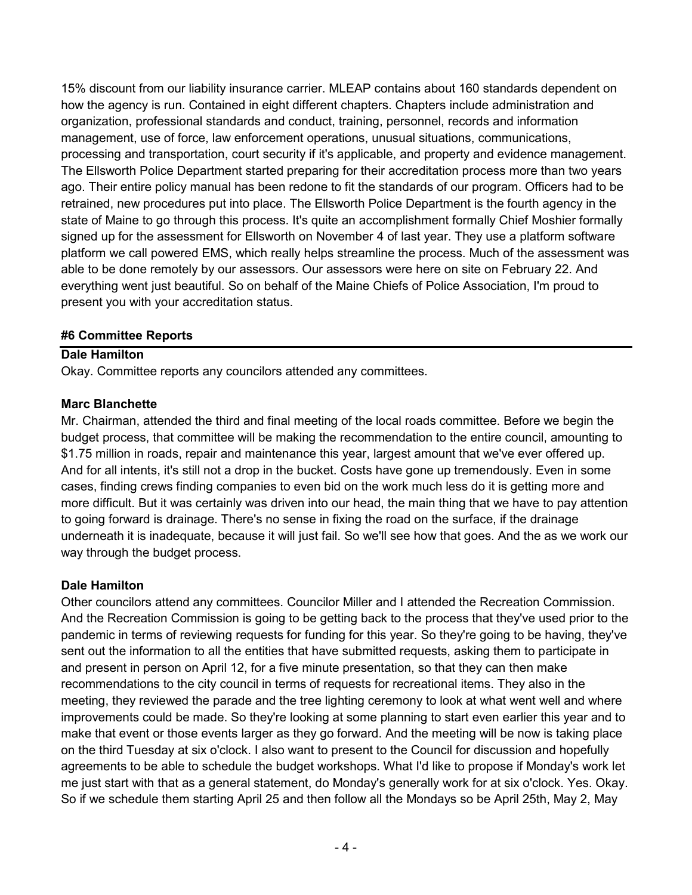15% discount from our liability insurance carrier. MLEAP contains about 160 standards dependent on how the agency is run. Contained in eight different chapters. Chapters include administration and organization, professional standards and conduct, training, personnel, records and information management, use of force, law enforcement operations, unusual situations, communications, processing and transportation, court security if it's applicable, and property and evidence management. The Ellsworth Police Department started preparing for their accreditation process more than two years ago. Their entire policy manual has been redone to fit the standards of our program. Officers had to be retrained, new procedures put into place. The Ellsworth Police Department is the fourth agency in the state of Maine to go through this process. It's quite an accomplishment formally Chief Moshier formally signed up for the assessment for Ellsworth on November 4 of last year. They use a platform software platform we call powered EMS, which really helps streamline the process. Much of the assessment was able to be done remotely by our assessors. Our assessors were here on site on February 22. And everything went just beautiful. So on behalf of the Maine Chiefs of Police Association, I'm proud to present you with your accreditation status.

### **#6 Committee Reports**

### **Dale Hamilton**

Okay. Committee reports any councilors attended any committees.

### **Marc Blanchette**

Mr. Chairman, attended the third and final meeting of the local roads committee. Before we begin the budget process, that committee will be making the recommendation to the entire council, amounting to \$1.75 million in roads, repair and maintenance this year, largest amount that we've ever offered up. And for all intents, it's still not a drop in the bucket. Costs have gone up tremendously. Even in some cases, finding crews finding companies to even bid on the work much less do it is getting more and more difficult. But it was certainly was driven into our head, the main thing that we have to pay attention to going forward is drainage. There's no sense in fixing the road on the surface, if the drainage underneath it is inadequate, because it will just fail. So we'll see how that goes. And the as we work our way through the budget process.

### **Dale Hamilton**

Other councilors attend any committees. Councilor Miller and I attended the Recreation Commission. And the Recreation Commission is going to be getting back to the process that they've used prior to the pandemic in terms of reviewing requests for funding for this year. So they're going to be having, they've sent out the information to all the entities that have submitted requests, asking them to participate in and present in person on April 12, for a five minute presentation, so that they can then make recommendations to the city council in terms of requests for recreational items. They also in the meeting, they reviewed the parade and the tree lighting ceremony to look at what went well and where improvements could be made. So they're looking at some planning to start even earlier this year and to make that event or those events larger as they go forward. And the meeting will be now is taking place on the third Tuesday at six o'clock. I also want to present to the Council for discussion and hopefully agreements to be able to schedule the budget workshops. What I'd like to propose if Monday's work let me just start with that as a general statement, do Monday's generally work for at six o'clock. Yes. Okay. So if we schedule them starting April 25 and then follow all the Mondays so be April 25th, May 2, May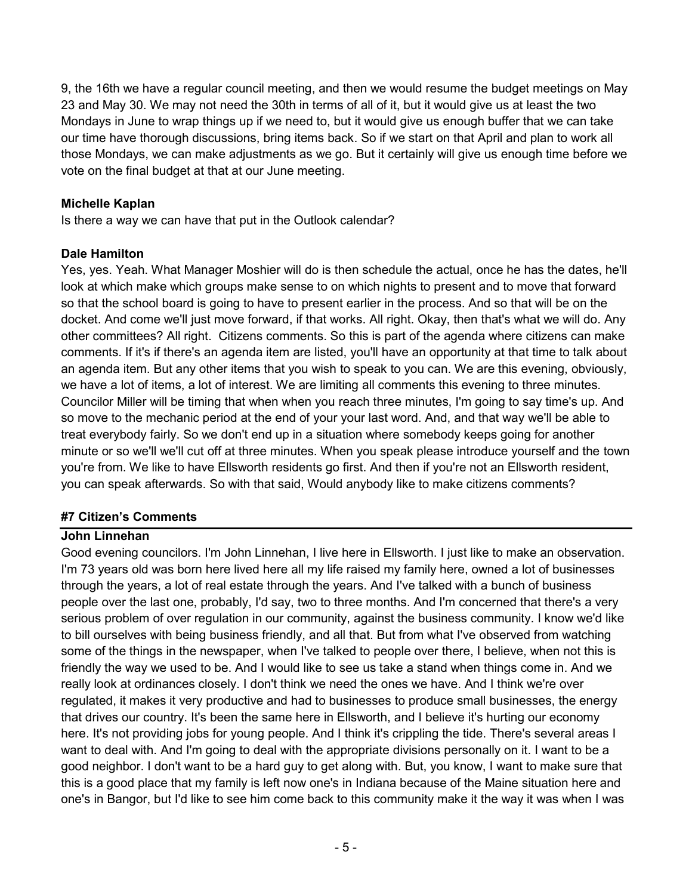9, the 16th we have a regular council meeting, and then we would resume the budget meetings on May 23 and May 30. We may not need the 30th in terms of all of it, but it would give us at least the two Mondays in June to wrap things up if we need to, but it would give us enough buffer that we can take our time have thorough discussions, bring items back. So if we start on that April and plan to work all those Mondays, we can make adjustments as we go. But it certainly will give us enough time before we vote on the final budget at that at our June meeting.

### **Michelle Kaplan**

Is there a way we can have that put in the Outlook calendar?

# **Dale Hamilton**

Yes, yes. Yeah. What Manager Moshier will do is then schedule the actual, once he has the dates, he'll look at which make which groups make sense to on which nights to present and to move that forward so that the school board is going to have to present earlier in the process. And so that will be on the docket. And come we'll just move forward, if that works. All right. Okay, then that's what we will do. Any other committees? All right. Citizens comments. So this is part of the agenda where citizens can make comments. If it's if there's an agenda item are listed, you'll have an opportunity at that time to talk about an agenda item. But any other items that you wish to speak to you can. We are this evening, obviously, we have a lot of items, a lot of interest. We are limiting all comments this evening to three minutes. Councilor Miller will be timing that when when you reach three minutes, I'm going to say time's up. And so move to the mechanic period at the end of your your last word. And, and that way we'll be able to treat everybody fairly. So we don't end up in a situation where somebody keeps going for another minute or so we'll we'll cut off at three minutes. When you speak please introduce yourself and the town you're from. We like to have Ellsworth residents go first. And then if you're not an Ellsworth resident, you can speak afterwards. So with that said, Would anybody like to make citizens comments?

### **#7 Citizen's Comments**

### **John Linnehan**

Good evening councilors. I'm John Linnehan, I live here in Ellsworth. I just like to make an observation. I'm 73 years old was born here lived here all my life raised my family here, owned a lot of businesses through the years, a lot of real estate through the years. And I've talked with a bunch of business people over the last one, probably, I'd say, two to three months. And I'm concerned that there's a very serious problem of over regulation in our community, against the business community. I know we'd like to bill ourselves with being business friendly, and all that. But from what I've observed from watching some of the things in the newspaper, when I've talked to people over there, I believe, when not this is friendly the way we used to be. And I would like to see us take a stand when things come in. And we really look at ordinances closely. I don't think we need the ones we have. And I think we're over regulated, it makes it very productive and had to businesses to produce small businesses, the energy that drives our country. It's been the same here in Ellsworth, and I believe it's hurting our economy here. It's not providing jobs for young people. And I think it's crippling the tide. There's several areas I want to deal with. And I'm going to deal with the appropriate divisions personally on it. I want to be a good neighbor. I don't want to be a hard guy to get along with. But, you know, I want to make sure that this is a good place that my family is left now one's in Indiana because of the Maine situation here and one's in Bangor, but I'd like to see him come back to this community make it the way it was when I was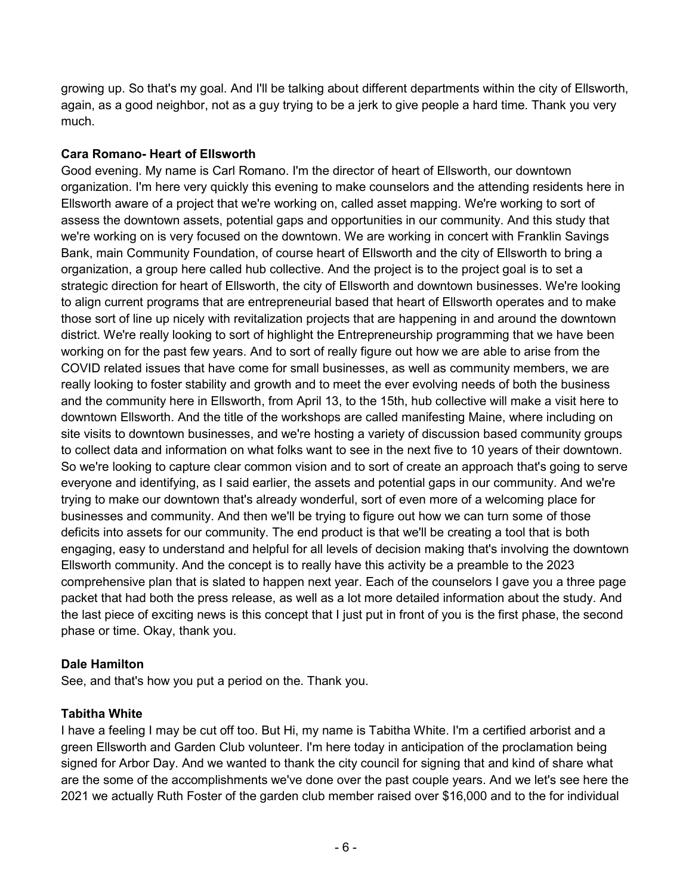growing up. So that's my goal. And I'll be talking about different departments within the city of Ellsworth, again, as a good neighbor, not as a guy trying to be a jerk to give people a hard time. Thank you very much.

# **Cara Romano- Heart of Ellsworth**

Good evening. My name is Carl Romano. I'm the director of heart of Ellsworth, our downtown organization. I'm here very quickly this evening to make counselors and the attending residents here in Ellsworth aware of a project that we're working on, called asset mapping. We're working to sort of assess the downtown assets, potential gaps and opportunities in our community. And this study that we're working on is very focused on the downtown. We are working in concert with Franklin Savings Bank, main Community Foundation, of course heart of Ellsworth and the city of Ellsworth to bring a organization, a group here called hub collective. And the project is to the project goal is to set a strategic direction for heart of Ellsworth, the city of Ellsworth and downtown businesses. We're looking to align current programs that are entrepreneurial based that heart of Ellsworth operates and to make those sort of line up nicely with revitalization projects that are happening in and around the downtown district. We're really looking to sort of highlight the Entrepreneurship programming that we have been working on for the past few years. And to sort of really figure out how we are able to arise from the COVID related issues that have come for small businesses, as well as community members, we are really looking to foster stability and growth and to meet the ever evolving needs of both the business and the community here in Ellsworth, from April 13, to the 15th, hub collective will make a visit here to downtown Ellsworth. And the title of the workshops are called manifesting Maine, where including on site visits to downtown businesses, and we're hosting a variety of discussion based community groups to collect data and information on what folks want to see in the next five to 10 years of their downtown. So we're looking to capture clear common vision and to sort of create an approach that's going to serve everyone and identifying, as I said earlier, the assets and potential gaps in our community. And we're trying to make our downtown that's already wonderful, sort of even more of a welcoming place for businesses and community. And then we'll be trying to figure out how we can turn some of those deficits into assets for our community. The end product is that we'll be creating a tool that is both engaging, easy to understand and helpful for all levels of decision making that's involving the downtown Ellsworth community. And the concept is to really have this activity be a preamble to the 2023 comprehensive plan that is slated to happen next year. Each of the counselors I gave you a three page packet that had both the press release, as well as a lot more detailed information about the study. And the last piece of exciting news is this concept that I just put in front of you is the first phase, the second phase or time. Okay, thank you.

### **Dale Hamilton**

See, and that's how you put a period on the. Thank you.

# **Tabitha White**

I have a feeling I may be cut off too. But Hi, my name is Tabitha White. I'm a certified arborist and a green Ellsworth and Garden Club volunteer. I'm here today in anticipation of the proclamation being signed for Arbor Day. And we wanted to thank the city council for signing that and kind of share what are the some of the accomplishments we've done over the past couple years. And we let's see here the 2021 we actually Ruth Foster of the garden club member raised over \$16,000 and to the for individual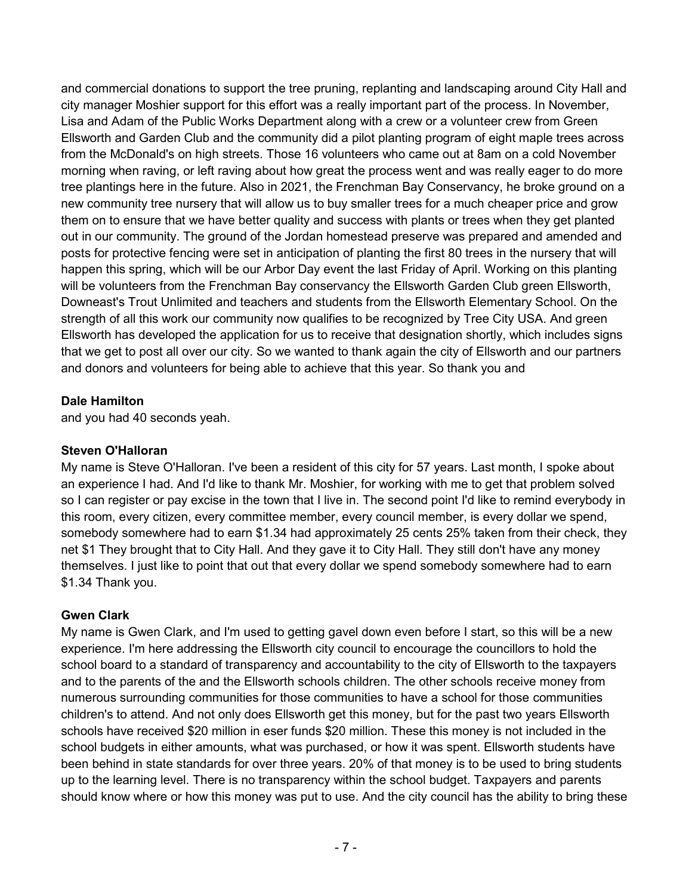and commercial donations to support the tree pruning, replanting and landscaping around City Hall and city manager Moshier support for this effort was a really important part of the process. In November, Lisa and Adam of the Public Works Department along with a crew or a volunteer crew from Green Ellsworth and Garden Club and the community did a pilot planting program of eight maple trees across from the McDonald's on high streets. Those 16 volunteers who came out at 8am on a cold November morning when raving, or left raving about how great the process went and was really eager to do more tree plantings here in the future. Also in 2021, the Frenchman Bay Conservancy, he broke ground on a new community tree nursery that will allow us to buy smaller trees for a much cheaper price and grow them on to ensure that we have better quality and success with plants or trees when they get planted out in our community. The ground of the Jordan homestead preserve was prepared and amended and posts for protective fencing were set in anticipation of planting the first 80 trees in the nursery that will happen this spring, which will be our Arbor Day event the last Friday of April. Working on this planting will be volunteers from the Frenchman Bay conservancy the Ellsworth Garden Club green Ellsworth, Downeast's Trout Unlimited and teachers and students from the Ellsworth Elementary School. On the strength of all this work our community now qualifies to be recognized by Tree City USA. And green Ellsworth has developed the application for us to receive that designation shortly, which includes signs that we get to post all over our city. So we wanted to thank again the city of Ellsworth and our partners and donors and volunteers for being able to achieve that this year. So thank you and

### **Dale Hamilton**

and you had 40 seconds yeah.

# **Steven O'Halloran**

My name is Steve O'Halloran. I've been a resident of this city for 57 years. Last month, I spoke about an experience I had. And I'd like to thank Mr. Moshier, for working with me to get that problem solved so I can register or pay excise in the town that I live in. The second point I'd like to remind everybody in this room, every citizen, every committee member, every council member, is every dollar we spend, somebody somewhere had to earn \$1.34 had approximately 25 cents 25% taken from their check, they net \$1 They brought that to City Hall. And they gave it to City Hall. They still don't have any money themselves. I just like to point that out that every dollar we spend somebody somewhere had to earn \$1.34 Thank you.

# **Gwen Clark**

My name is Gwen Clark, and I'm used to getting gavel down even before I start, so this will be a new experience. I'm here addressing the Ellsworth city council to encourage the councillors to hold the school board to a standard of transparency and accountability to the city of Ellsworth to the taxpayers and to the parents of the and the Ellsworth schools children. The other schools receive money from numerous surrounding communities for those communities to have a school for those communities children's to attend. And not only does Ellsworth get this money, but for the past two years Ellsworth schools have received \$20 million in eser funds \$20 million. These this money is not included in the school budgets in either amounts, what was purchased, or how it was spent. Ellsworth students have been behind in state standards for over three years. 20% of that money is to be used to bring students up to the learning level. There is no transparency within the school budget. Taxpayers and parents should know where or how this money was put to use. And the city council has the ability to bring these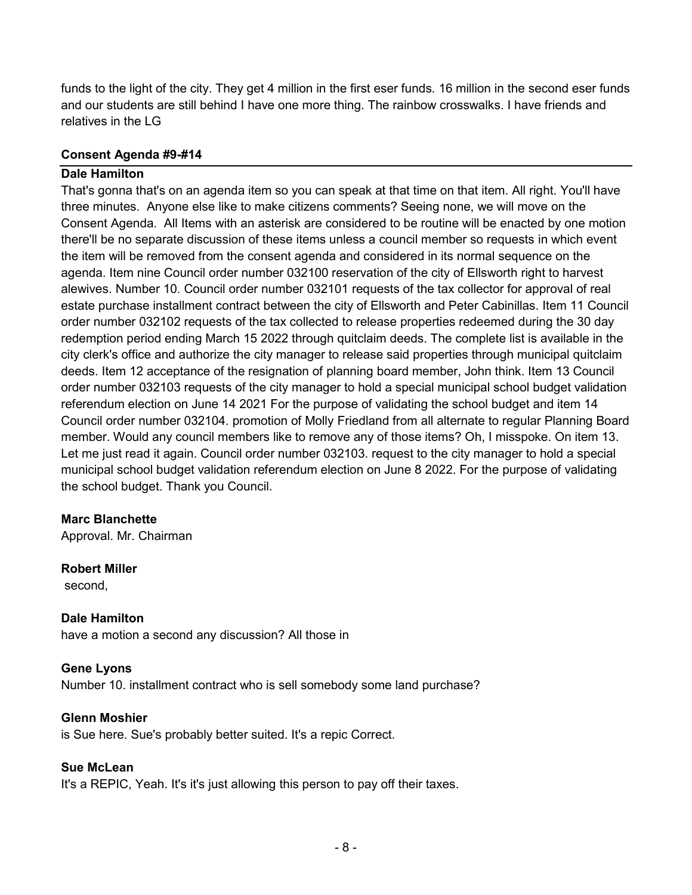funds to the light of the city. They get 4 million in the first eser funds. 16 million in the second eser funds and our students are still behind I have one more thing. The rainbow crosswalks. I have friends and relatives in the LG

### **Consent Agenda #9-#14**

### **Dale Hamilton**

That's gonna that's on an agenda item so you can speak at that time on that item. All right. You'll have three minutes. Anyone else like to make citizens comments? Seeing none, we will move on the Consent Agenda. All Items with an asterisk are considered to be routine will be enacted by one motion there'll be no separate discussion of these items unless a council member so requests in which event the item will be removed from the consent agenda and considered in its normal sequence on the agenda. Item nine Council order number 032100 reservation of the city of Ellsworth right to harvest alewives. Number 10. Council order number 032101 requests of the tax collector for approval of real estate purchase installment contract between the city of Ellsworth and Peter Cabinillas. Item 11 Council order number 032102 requests of the tax collected to release properties redeemed during the 30 day redemption period ending March 15 2022 through quitclaim deeds. The complete list is available in the city clerk's office and authorize the city manager to release said properties through municipal quitclaim deeds. Item 12 acceptance of the resignation of planning board member, John think. Item 13 Council order number 032103 requests of the city manager to hold a special municipal school budget validation referendum election on June 14 2021 For the purpose of validating the school budget and item 14 Council order number 032104. promotion of Molly Friedland from all alternate to regular Planning Board member. Would any council members like to remove any of those items? Oh, I misspoke. On item 13. Let me just read it again. Council order number 032103. request to the city manager to hold a special municipal school budget validation referendum election on June 8 2022. For the purpose of validating the school budget. Thank you Council.

### **Marc Blanchette**

Approval. Mr. Chairman

### **Robert Miller**

second,

### **Dale Hamilton**

have a motion a second any discussion? All those in

### **Gene Lyons**

Number 10. installment contract who is sell somebody some land purchase?

### **Glenn Moshier**

is Sue here. Sue's probably better suited. It's a repic Correct.

#### **Sue McLean**

It's a REPIC, Yeah. It's it's just allowing this person to pay off their taxes.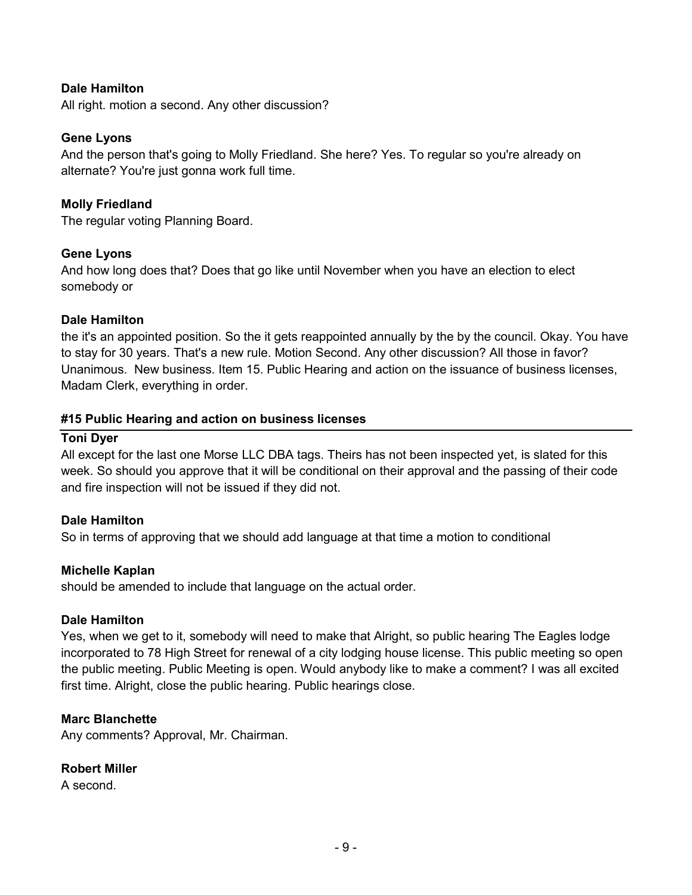### **Dale Hamilton**

All right. motion a second. Any other discussion?

### **Gene Lyons**

And the person that's going to Molly Friedland. She here? Yes. To regular so you're already on alternate? You're just gonna work full time.

### **Molly Friedland**

The regular voting Planning Board.

### **Gene Lyons**

And how long does that? Does that go like until November when you have an election to elect somebody or

#### **Dale Hamilton**

the it's an appointed position. So the it gets reappointed annually by the by the council. Okay. You have to stay for 30 years. That's a new rule. Motion Second. Any other discussion? All those in favor? Unanimous. New business. Item 15. Public Hearing and action on the issuance of business licenses, Madam Clerk, everything in order.

#### **#15 Public Hearing and action on business licenses**

#### **Toni Dyer**

All except for the last one Morse LLC DBA tags. Theirs has not been inspected yet, is slated for this week. So should you approve that it will be conditional on their approval and the passing of their code and fire inspection will not be issued if they did not.

### **Dale Hamilton**

So in terms of approving that we should add language at that time a motion to conditional

#### **Michelle Kaplan**

should be amended to include that language on the actual order.

#### **Dale Hamilton**

Yes, when we get to it, somebody will need to make that Alright, so public hearing The Eagles lodge incorporated to 78 High Street for renewal of a city lodging house license. This public meeting so open the public meeting. Public Meeting is open. Would anybody like to make a comment? I was all excited first time. Alright, close the public hearing. Public hearings close.

### **Marc Blanchette**

Any comments? Approval, Mr. Chairman.

### **Robert Miller**

A second.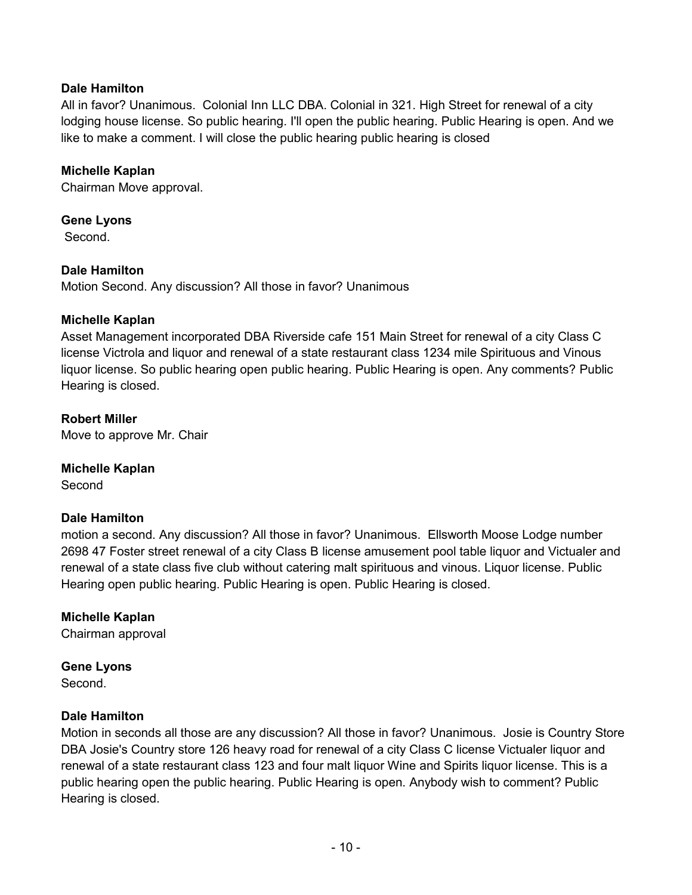### **Dale Hamilton**

All in favor? Unanimous. Colonial Inn LLC DBA. Colonial in 321. High Street for renewal of a city lodging house license. So public hearing. I'll open the public hearing. Public Hearing is open. And we like to make a comment. I will close the public hearing public hearing is closed

### **Michelle Kaplan**

Chairman Move approval.

### **Gene Lyons**

Second.

### **Dale Hamilton**

Motion Second. Any discussion? All those in favor? Unanimous

### **Michelle Kaplan**

Asset Management incorporated DBA Riverside cafe 151 Main Street for renewal of a city Class C license Victrola and liquor and renewal of a state restaurant class 1234 mile Spirituous and Vinous liquor license. So public hearing open public hearing. Public Hearing is open. Any comments? Public Hearing is closed.

### **Robert Miller**

Move to approve Mr. Chair

### **Michelle Kaplan**

Second

### **Dale Hamilton**

motion a second. Any discussion? All those in favor? Unanimous. Ellsworth Moose Lodge number 2698 47 Foster street renewal of a city Class B license amusement pool table liquor and Victualer and renewal of a state class five club without catering malt spirituous and vinous. Liquor license. Public Hearing open public hearing. Public Hearing is open. Public Hearing is closed.

### **Michelle Kaplan**

Chairman approval

### **Gene Lyons**

**Second** 

### **Dale Hamilton**

Motion in seconds all those are any discussion? All those in favor? Unanimous. Josie is Country Store DBA Josie's Country store 126 heavy road for renewal of a city Class C license Victualer liquor and renewal of a state restaurant class 123 and four malt liquor Wine and Spirits liquor license. This is a public hearing open the public hearing. Public Hearing is open. Anybody wish to comment? Public Hearing is closed.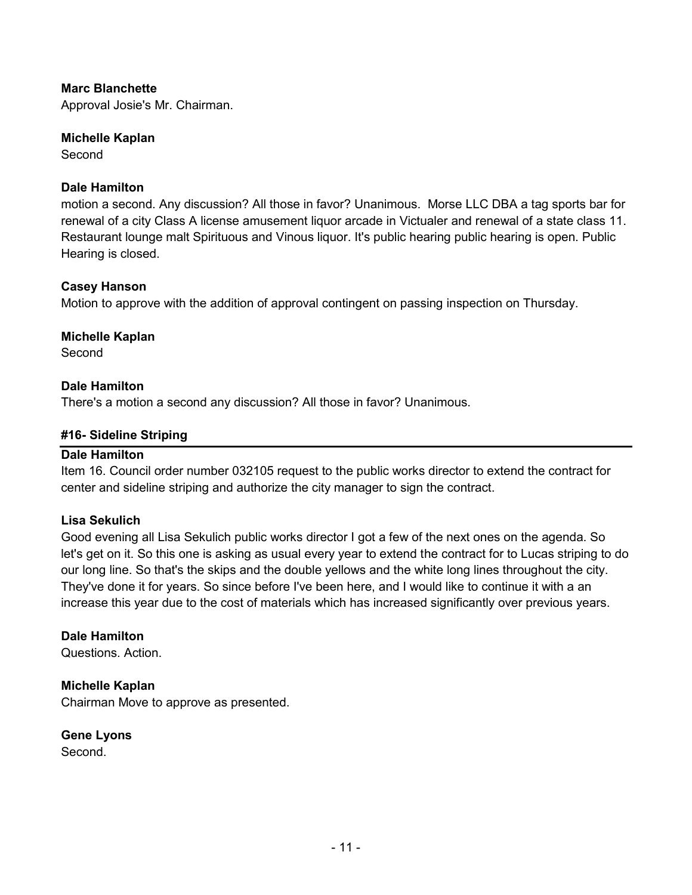### **Marc Blanchette**

Approval Josie's Mr. Chairman.

### **Michelle Kaplan**

Second

### **Dale Hamilton**

motion a second. Any discussion? All those in favor? Unanimous. Morse LLC DBA a tag sports bar for renewal of a city Class A license amusement liquor arcade in Victualer and renewal of a state class 11. Restaurant lounge malt Spirituous and Vinous liquor. It's public hearing public hearing is open. Public Hearing is closed.

### **Casey Hanson**

Motion to approve with the addition of approval contingent on passing inspection on Thursday.

### **Michelle Kaplan**

**Second** 

### **Dale Hamilton**

There's a motion a second any discussion? All those in favor? Unanimous.

### **#16- Sideline Striping**

### **Dale Hamilton**

Item 16. Council order number 032105 request to the public works director to extend the contract for center and sideline striping and authorize the city manager to sign the contract.

### **Lisa Sekulich**

Good evening all Lisa Sekulich public works director I got a few of the next ones on the agenda. So let's get on it. So this one is asking as usual every year to extend the contract for to Lucas striping to do our long line. So that's the skips and the double yellows and the white long lines throughout the city. They've done it for years. So since before I've been here, and I would like to continue it with a an increase this year due to the cost of materials which has increased significantly over previous years.

### **Dale Hamilton**

Questions. Action.

### **Michelle Kaplan**

Chairman Move to approve as presented.

**Gene Lyons Second**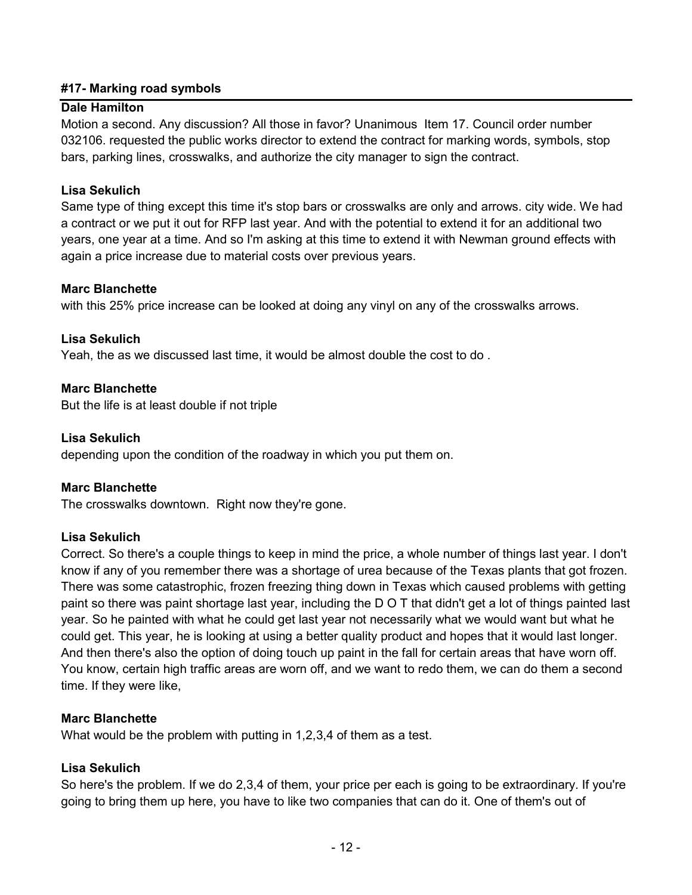### **#17- Marking road symbols**

### **Dale Hamilton**

Motion a second. Any discussion? All those in favor? Unanimous Item 17. Council order number 032106. requested the public works director to extend the contract for marking words, symbols, stop bars, parking lines, crosswalks, and authorize the city manager to sign the contract.

### **Lisa Sekulich**

Same type of thing except this time it's stop bars or crosswalks are only and arrows. city wide. We had a contract or we put it out for RFP last year. And with the potential to extend it for an additional two years, one year at a time. And so I'm asking at this time to extend it with Newman ground effects with again a price increase due to material costs over previous years.

### **Marc Blanchette**

with this 25% price increase can be looked at doing any vinyl on any of the crosswalks arrows.

### **Lisa Sekulich**

Yeah, the as we discussed last time, it would be almost double the cost to do .

### **Marc Blanchette**

But the life is at least double if not triple

#### **Lisa Sekulich**

depending upon the condition of the roadway in which you put them on.

### **Marc Blanchette**

The crosswalks downtown. Right now they're gone.

### **Lisa Sekulich**

Correct. So there's a couple things to keep in mind the price, a whole number of things last year. I don't know if any of you remember there was a shortage of urea because of the Texas plants that got frozen. There was some catastrophic, frozen freezing thing down in Texas which caused problems with getting paint so there was paint shortage last year, including the D O T that didn't get a lot of things painted last year. So he painted with what he could get last year not necessarily what we would want but what he could get. This year, he is looking at using a better quality product and hopes that it would last longer. And then there's also the option of doing touch up paint in the fall for certain areas that have worn off. You know, certain high traffic areas are worn off, and we want to redo them, we can do them a second time. If they were like,

#### **Marc Blanchette**

What would be the problem with putting in 1,2,3,4 of them as a test.

### **Lisa Sekulich**

So here's the problem. If we do 2,3,4 of them, your price per each is going to be extraordinary. If you're going to bring them up here, you have to like two companies that can do it. One of them's out of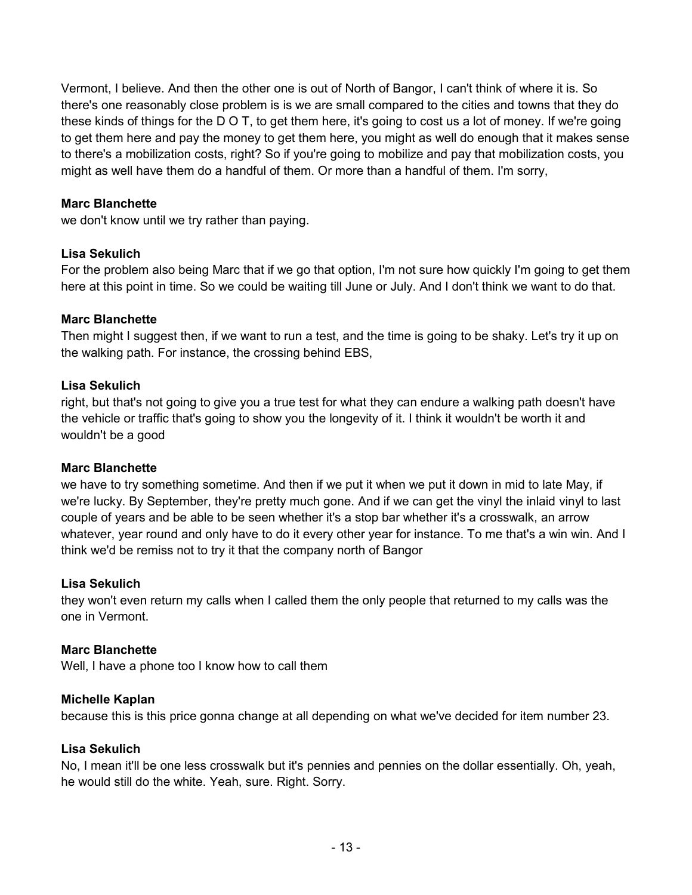Vermont, I believe. And then the other one is out of North of Bangor, I can't think of where it is. So there's one reasonably close problem is is we are small compared to the cities and towns that they do these kinds of things for the D O T, to get them here, it's going to cost us a lot of money. If we're going to get them here and pay the money to get them here, you might as well do enough that it makes sense to there's a mobilization costs, right? So if you're going to mobilize and pay that mobilization costs, you might as well have them do a handful of them. Or more than a handful of them. I'm sorry,

### **Marc Blanchette**

we don't know until we try rather than paying.

### **Lisa Sekulich**

For the problem also being Marc that if we go that option, I'm not sure how quickly I'm going to get them here at this point in time. So we could be waiting till June or July. And I don't think we want to do that.

### **Marc Blanchette**

Then might I suggest then, if we want to run a test, and the time is going to be shaky. Let's try it up on the walking path. For instance, the crossing behind EBS,

### **Lisa Sekulich**

right, but that's not going to give you a true test for what they can endure a walking path doesn't have the vehicle or traffic that's going to show you the longevity of it. I think it wouldn't be worth it and wouldn't be a good

### **Marc Blanchette**

we have to try something sometime. And then if we put it when we put it down in mid to late May, if we're lucky. By September, they're pretty much gone. And if we can get the vinyl the inlaid vinyl to last couple of years and be able to be seen whether it's a stop bar whether it's a crosswalk, an arrow whatever, year round and only have to do it every other year for instance. To me that's a win win. And I think we'd be remiss not to try it that the company north of Bangor

### **Lisa Sekulich**

they won't even return my calls when I called them the only people that returned to my calls was the one in Vermont.

#### **Marc Blanchette**

Well, I have a phone too I know how to call them

### **Michelle Kaplan**

because this is this price gonna change at all depending on what we've decided for item number 23.

### **Lisa Sekulich**

No, I mean it'll be one less crosswalk but it's pennies and pennies on the dollar essentially. Oh, yeah, he would still do the white. Yeah, sure. Right. Sorry.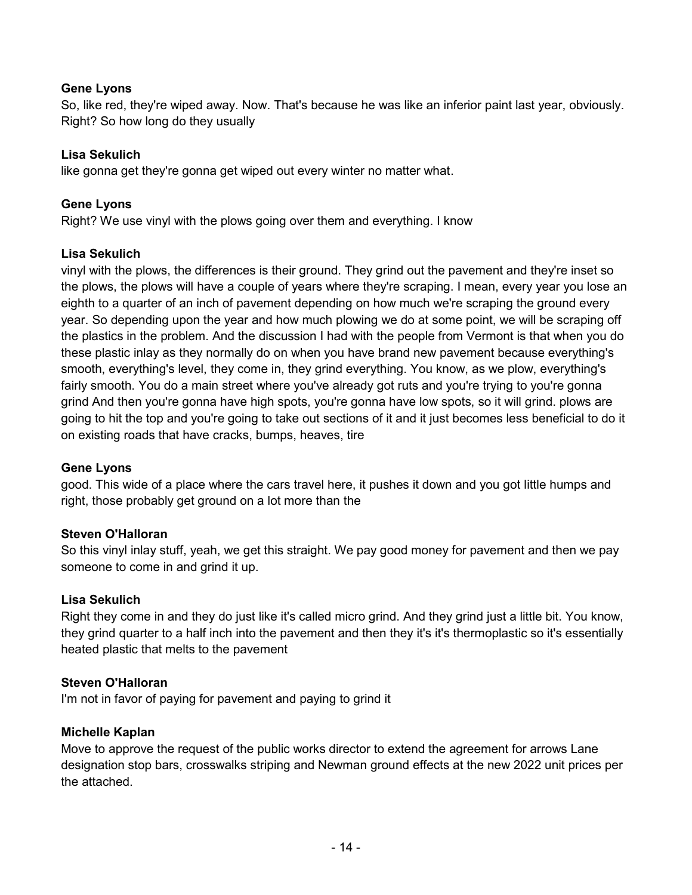### **Gene Lyons**

So, like red, they're wiped away. Now. That's because he was like an inferior paint last year, obviously. Right? So how long do they usually

### **Lisa Sekulich**

like gonna get they're gonna get wiped out every winter no matter what.

### **Gene Lyons**

Right? We use vinyl with the plows going over them and everything. I know

### **Lisa Sekulich**

vinyl with the plows, the differences is their ground. They grind out the pavement and they're inset so the plows, the plows will have a couple of years where they're scraping. I mean, every year you lose an eighth to a quarter of an inch of pavement depending on how much we're scraping the ground every year. So depending upon the year and how much plowing we do at some point, we will be scraping off the plastics in the problem. And the discussion I had with the people from Vermont is that when you do these plastic inlay as they normally do on when you have brand new pavement because everything's smooth, everything's level, they come in, they grind everything. You know, as we plow, everything's fairly smooth. You do a main street where you've already got ruts and you're trying to you're gonna grind And then you're gonna have high spots, you're gonna have low spots, so it will grind. plows are going to hit the top and you're going to take out sections of it and it just becomes less beneficial to do it on existing roads that have cracks, bumps, heaves, tire

### **Gene Lyons**

good. This wide of a place where the cars travel here, it pushes it down and you got little humps and right, those probably get ground on a lot more than the

### **Steven O'Halloran**

So this vinyl inlay stuff, yeah, we get this straight. We pay good money for pavement and then we pay someone to come in and grind it up.

### **Lisa Sekulich**

Right they come in and they do just like it's called micro grind. And they grind just a little bit. You know, they grind quarter to a half inch into the pavement and then they it's it's thermoplastic so it's essentially heated plastic that melts to the pavement

### **Steven O'Halloran**

I'm not in favor of paying for pavement and paying to grind it

### **Michelle Kaplan**

Move to approve the request of the public works director to extend the agreement for arrows Lane designation stop bars, crosswalks striping and Newman ground effects at the new 2022 unit prices per the attached.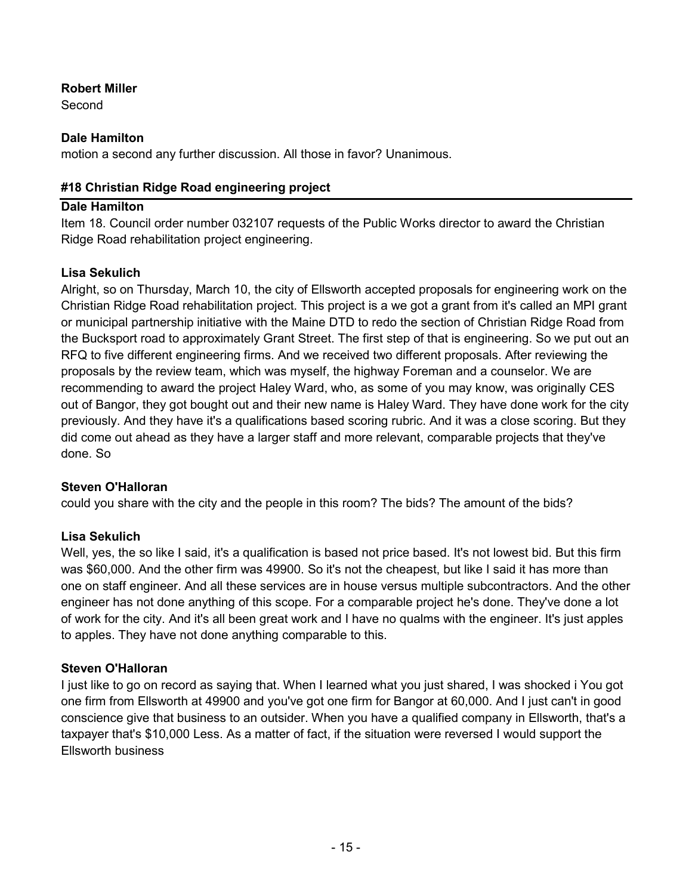### **Robert Miller**

Second

### **Dale Hamilton**

motion a second any further discussion. All those in favor? Unanimous.

### **#18 Christian Ridge Road engineering project**

### **Dale Hamilton**

Item 18. Council order number 032107 requests of the Public Works director to award the Christian Ridge Road rehabilitation project engineering.

# **Lisa Sekulich**

Alright, so on Thursday, March 10, the city of Ellsworth accepted proposals for engineering work on the Christian Ridge Road rehabilitation project. This project is a we got a grant from it's called an MPI grant or municipal partnership initiative with the Maine DTD to redo the section of Christian Ridge Road from the Bucksport road to approximately Grant Street. The first step of that is engineering. So we put out an RFQ to five different engineering firms. And we received two different proposals. After reviewing the proposals by the review team, which was myself, the highway Foreman and a counselor. We are recommending to award the project Haley Ward, who, as some of you may know, was originally CES out of Bangor, they got bought out and their new name is Haley Ward. They have done work for the city previously. And they have it's a qualifications based scoring rubric. And it was a close scoring. But they did come out ahead as they have a larger staff and more relevant, comparable projects that they've done. So

### **Steven O'Halloran**

could you share with the city and the people in this room? The bids? The amount of the bids?

### **Lisa Sekulich**

Well, yes, the so like I said, it's a qualification is based not price based. It's not lowest bid. But this firm was \$60,000. And the other firm was 49900. So it's not the cheapest, but like I said it has more than one on staff engineer. And all these services are in house versus multiple subcontractors. And the other engineer has not done anything of this scope. For a comparable project he's done. They've done a lot of work for the city. And it's all been great work and I have no qualms with the engineer. It's just apples to apples. They have not done anything comparable to this.

### **Steven O'Halloran**

I just like to go on record as saying that. When I learned what you just shared, I was shocked i You got one firm from Ellsworth at 49900 and you've got one firm for Bangor at 60,000. And I just can't in good conscience give that business to an outsider. When you have a qualified company in Ellsworth, that's a taxpayer that's \$10,000 Less. As a matter of fact, if the situation were reversed I would support the Ellsworth business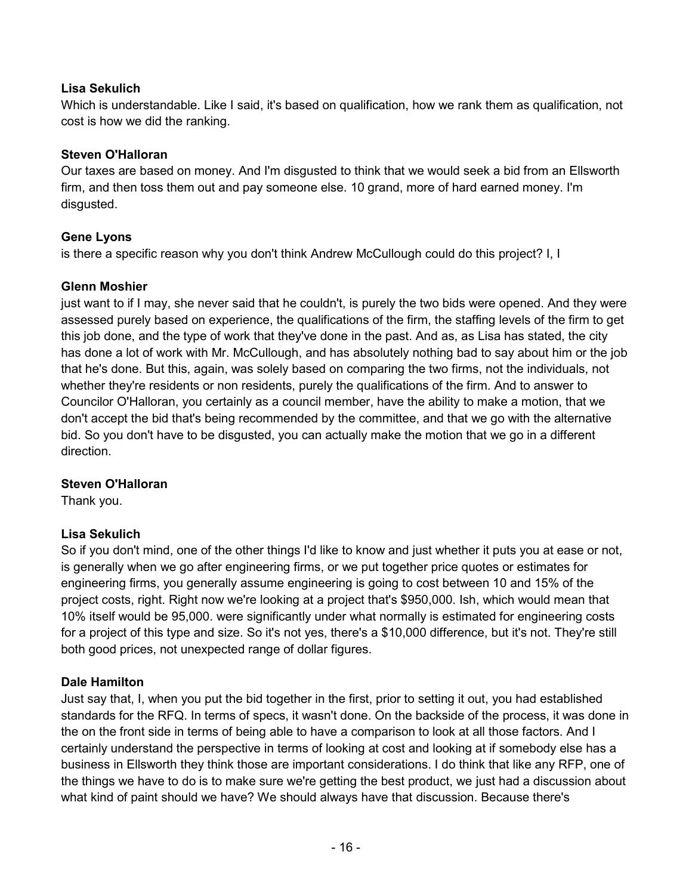### **Lisa Sekulich**

Which is understandable. Like I said, it's based on qualification, how we rank them as qualification, not cost is how we did the ranking.

# **Steven O'Halloran**

Our taxes are based on money. And I'm disgusted to think that we would seek a bid from an Ellsworth firm, and then toss them out and pay someone else. 10 grand, more of hard earned money. I'm disgusted.

# **Gene Lyons**

is there a specific reason why you don't think Andrew McCullough could do this project? I, I

# **Glenn Moshier**

just want to if I may, she never said that he couldn't, is purely the two bids were opened. And they were assessed purely based on experience, the qualifications of the firm, the staffing levels of the firm to get this job done, and the type of work that they've done in the past. And as, as Lisa has stated, the city has done a lot of work with Mr. McCullough, and has absolutely nothing bad to say about him or the job that he's done. But this, again, was solely based on comparing the two firms, not the individuals, not whether they're residents or non residents, purely the qualifications of the firm. And to answer to Councilor O'Halloran, you certainly as a council member, have the ability to make a motion, that we don't accept the bid that's being recommended by the committee, and that we go with the alternative bid. So you don't have to be disgusted, you can actually make the motion that we go in a different direction.

### **Steven O'Halloran**

Thank you.

# **Lisa Sekulich**

So if you don't mind, one of the other things I'd like to know and just whether it puts you at ease or not, is generally when we go after engineering firms, or we put together price quotes or estimates for engineering firms, you generally assume engineering is going to cost between 10 and 15% of the project costs, right. Right now we're looking at a project that's \$950,000. Ish, which would mean that 10% itself would be 95,000. were significantly under what normally is estimated for engineering costs for a project of this type and size. So it's not yes, there's a \$10,000 difference, but it's not. They're still both good prices, not unexpected range of dollar figures.

### **Dale Hamilton**

Just say that, I, when you put the bid together in the first, prior to setting it out, you had established standards for the RFQ. In terms of specs, it wasn't done. On the backside of the process, it was done in the on the front side in terms of being able to have a comparison to look at all those factors. And I certainly understand the perspective in terms of looking at cost and looking at if somebody else has a business in Ellsworth they think those are important considerations. I do think that like any RFP, one of the things we have to do is to make sure we're getting the best product, we just had a discussion about what kind of paint should we have? We should always have that discussion. Because there's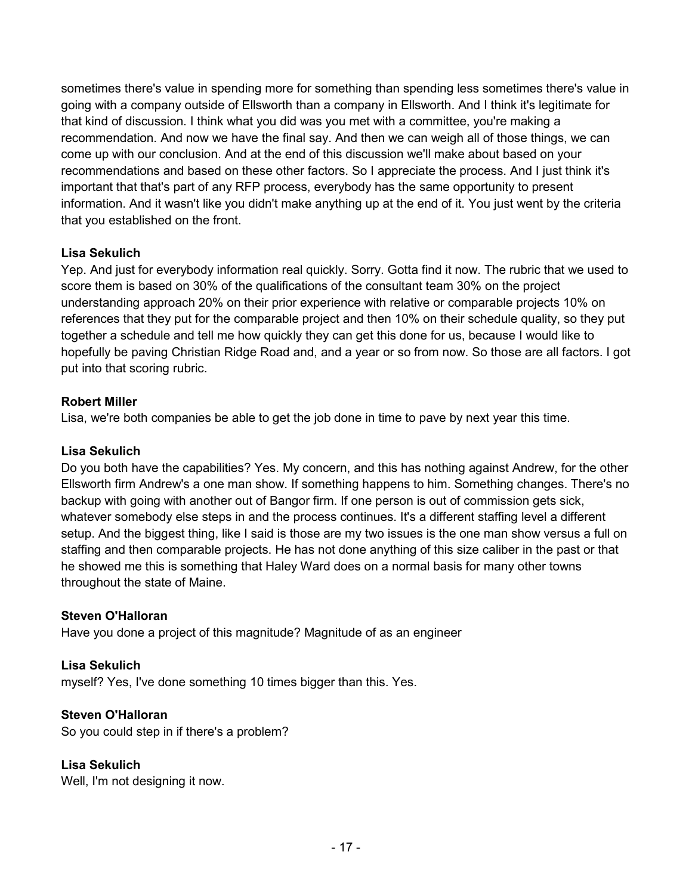sometimes there's value in spending more for something than spending less sometimes there's value in going with a company outside of Ellsworth than a company in Ellsworth. And I think it's legitimate for that kind of discussion. I think what you did was you met with a committee, you're making a recommendation. And now we have the final say. And then we can weigh all of those things, we can come up with our conclusion. And at the end of this discussion we'll make about based on your recommendations and based on these other factors. So I appreciate the process. And I just think it's important that that's part of any RFP process, everybody has the same opportunity to present information. And it wasn't like you didn't make anything up at the end of it. You just went by the criteria that you established on the front.

### **Lisa Sekulich**

Yep. And just for everybody information real quickly. Sorry. Gotta find it now. The rubric that we used to score them is based on 30% of the qualifications of the consultant team 30% on the project understanding approach 20% on their prior experience with relative or comparable projects 10% on references that they put for the comparable project and then 10% on their schedule quality, so they put together a schedule and tell me how quickly they can get this done for us, because I would like to hopefully be paving Christian Ridge Road and, and a year or so from now. So those are all factors. I got put into that scoring rubric.

### **Robert Miller**

Lisa, we're both companies be able to get the job done in time to pave by next year this time.

### **Lisa Sekulich**

Do you both have the capabilities? Yes. My concern, and this has nothing against Andrew, for the other Ellsworth firm Andrew's a one man show. If something happens to him. Something changes. There's no backup with going with another out of Bangor firm. If one person is out of commission gets sick, whatever somebody else steps in and the process continues. It's a different staffing level a different setup. And the biggest thing, like I said is those are my two issues is the one man show versus a full on staffing and then comparable projects. He has not done anything of this size caliber in the past or that he showed me this is something that Haley Ward does on a normal basis for many other towns throughout the state of Maine.

### **Steven O'Halloran**

Have you done a project of this magnitude? Magnitude of as an engineer

### **Lisa Sekulich**

myself? Yes, I've done something 10 times bigger than this. Yes.

### **Steven O'Halloran**

So you could step in if there's a problem?

### **Lisa Sekulich**

Well, I'm not designing it now.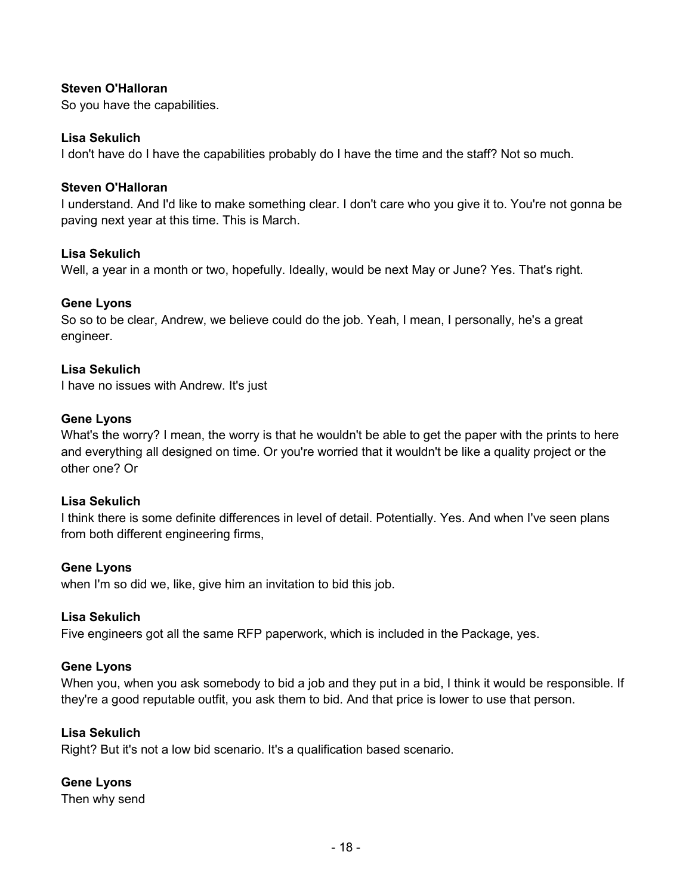### **Steven O'Halloran**

So you have the capabilities.

#### **Lisa Sekulich**

I don't have do I have the capabilities probably do I have the time and the staff? Not so much.

#### **Steven O'Halloran**

I understand. And I'd like to make something clear. I don't care who you give it to. You're not gonna be paving next year at this time. This is March.

#### **Lisa Sekulich**

Well, a year in a month or two, hopefully. Ideally, would be next May or June? Yes. That's right.

#### **Gene Lyons**

So so to be clear, Andrew, we believe could do the job. Yeah, I mean, I personally, he's a great engineer.

#### **Lisa Sekulich**

I have no issues with Andrew. It's just

#### **Gene Lyons**

What's the worry? I mean, the worry is that he wouldn't be able to get the paper with the prints to here and everything all designed on time. Or you're worried that it wouldn't be like a quality project or the other one? Or

#### **Lisa Sekulich**

I think there is some definite differences in level of detail. Potentially. Yes. And when I've seen plans from both different engineering firms,

#### **Gene Lyons**

when I'm so did we, like, give him an invitation to bid this job.

#### **Lisa Sekulich**

Five engineers got all the same RFP paperwork, which is included in the Package, yes.

#### **Gene Lyons**

When you, when you ask somebody to bid a job and they put in a bid, I think it would be responsible. If they're a good reputable outfit, you ask them to bid. And that price is lower to use that person.

#### **Lisa Sekulich**

Right? But it's not a low bid scenario. It's a qualification based scenario.

### **Gene Lyons**

Then why send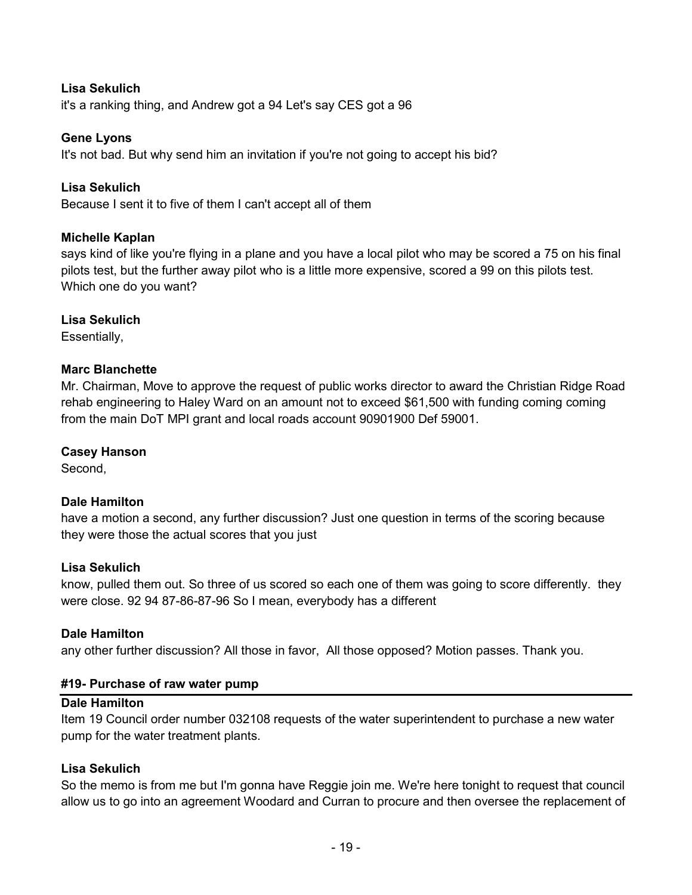### **Lisa Sekulich**

it's a ranking thing, and Andrew got a 94 Let's say CES got a 96

### **Gene Lyons**

It's not bad. But why send him an invitation if you're not going to accept his bid?

### **Lisa Sekulich**

Because I sent it to five of them I can't accept all of them

### **Michelle Kaplan**

says kind of like you're flying in a plane and you have a local pilot who may be scored a 75 on his final pilots test, but the further away pilot who is a little more expensive, scored a 99 on this pilots test. Which one do you want?

### **Lisa Sekulich**

Essentially,

### **Marc Blanchette**

Mr. Chairman, Move to approve the request of public works director to award the Christian Ridge Road rehab engineering to Haley Ward on an amount not to exceed \$61,500 with funding coming coming from the main DoT MPI grant and local roads account 90901900 Def 59001.

### **Casey Hanson**

Second,

### **Dale Hamilton**

have a motion a second, any further discussion? Just one question in terms of the scoring because they were those the actual scores that you just

### **Lisa Sekulich**

know, pulled them out. So three of us scored so each one of them was going to score differently. they were close. 92 94 87-86-87-96 So I mean, everybody has a different

### **Dale Hamilton**

any other further discussion? All those in favor, All those opposed? Motion passes. Thank you.

### **#19- Purchase of raw water pump**

### **Dale Hamilton**

Item 19 Council order number 032108 requests of the water superintendent to purchase a new water pump for the water treatment plants.

### **Lisa Sekulich**

So the memo is from me but I'm gonna have Reggie join me. We're here tonight to request that council allow us to go into an agreement Woodard and Curran to procure and then oversee the replacement of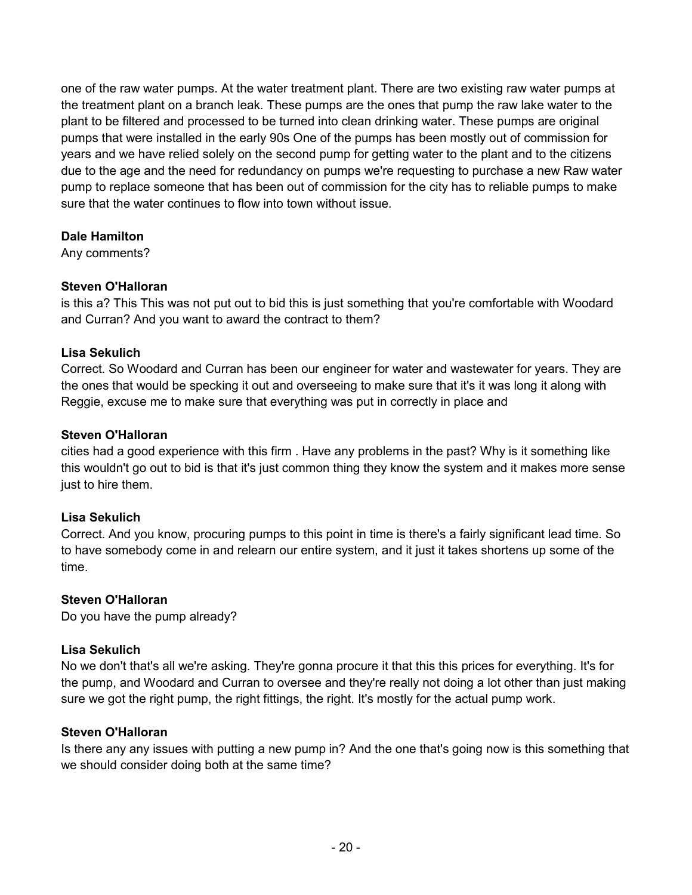one of the raw water pumps. At the water treatment plant. There are two existing raw water pumps at the treatment plant on a branch leak. These pumps are the ones that pump the raw lake water to the plant to be filtered and processed to be turned into clean drinking water. These pumps are original pumps that were installed in the early 90s One of the pumps has been mostly out of commission for years and we have relied solely on the second pump for getting water to the plant and to the citizens due to the age and the need for redundancy on pumps we're requesting to purchase a new Raw water pump to replace someone that has been out of commission for the city has to reliable pumps to make sure that the water continues to flow into town without issue.

# **Dale Hamilton**

Any comments?

# **Steven O'Halloran**

is this a? This This was not put out to bid this is just something that you're comfortable with Woodard and Curran? And you want to award the contract to them?

# **Lisa Sekulich**

Correct. So Woodard and Curran has been our engineer for water and wastewater for years. They are the ones that would be specking it out and overseeing to make sure that it's it was long it along with Reggie, excuse me to make sure that everything was put in correctly in place and

# **Steven O'Halloran**

cities had a good experience with this firm . Have any problems in the past? Why is it something like this wouldn't go out to bid is that it's just common thing they know the system and it makes more sense just to hire them.

# **Lisa Sekulich**

Correct. And you know, procuring pumps to this point in time is there's a fairly significant lead time. So to have somebody come in and relearn our entire system, and it just it takes shortens up some of the time.

# **Steven O'Halloran**

Do you have the pump already?

### **Lisa Sekulich**

No we don't that's all we're asking. They're gonna procure it that this this prices for everything. It's for the pump, and Woodard and Curran to oversee and they're really not doing a lot other than just making sure we got the right pump, the right fittings, the right. It's mostly for the actual pump work.

### **Steven O'Halloran**

Is there any any issues with putting a new pump in? And the one that's going now is this something that we should consider doing both at the same time?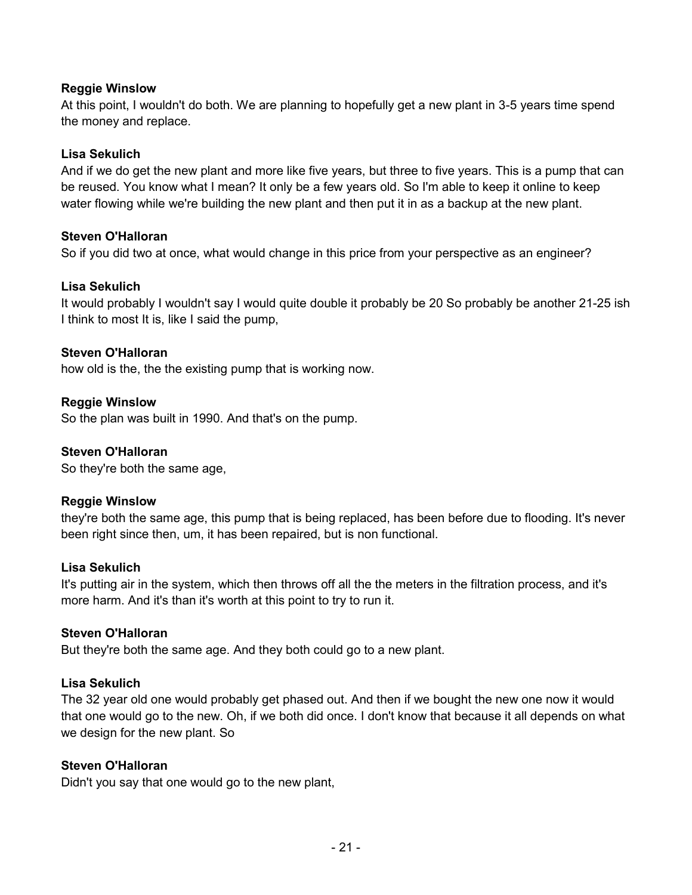### **Reggie Winslow**

At this point, I wouldn't do both. We are planning to hopefully get a new plant in 3-5 years time spend the money and replace.

### **Lisa Sekulich**

And if we do get the new plant and more like five years, but three to five years. This is a pump that can be reused. You know what I mean? It only be a few years old. So I'm able to keep it online to keep water flowing while we're building the new plant and then put it in as a backup at the new plant.

### **Steven O'Halloran**

So if you did two at once, what would change in this price from your perspective as an engineer?

### **Lisa Sekulich**

It would probably I wouldn't say I would quite double it probably be 20 So probably be another 21-25 ish I think to most It is, like I said the pump,

### **Steven O'Halloran**

how old is the, the the existing pump that is working now.

### **Reggie Winslow**

So the plan was built in 1990. And that's on the pump.

### **Steven O'Halloran**

So they're both the same age,

### **Reggie Winslow**

they're both the same age, this pump that is being replaced, has been before due to flooding. It's never been right since then, um, it has been repaired, but is non functional.

### **Lisa Sekulich**

It's putting air in the system, which then throws off all the the meters in the filtration process, and it's more harm. And it's than it's worth at this point to try to run it.

### **Steven O'Halloran**

But they're both the same age. And they both could go to a new plant.

### **Lisa Sekulich**

The 32 year old one would probably get phased out. And then if we bought the new one now it would that one would go to the new. Oh, if we both did once. I don't know that because it all depends on what we design for the new plant. So

### **Steven O'Halloran**

Didn't you say that one would go to the new plant,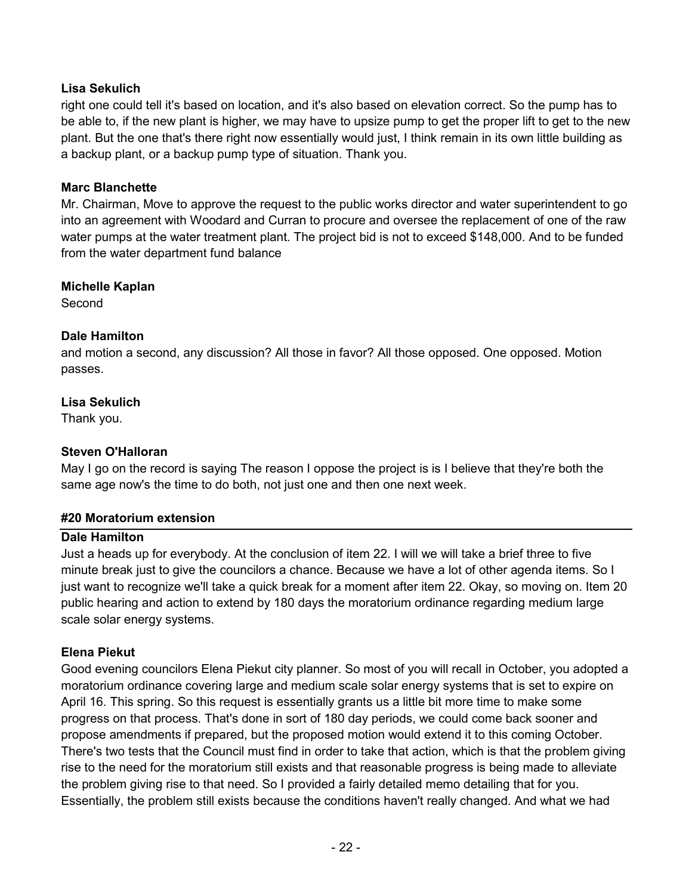### **Lisa Sekulich**

right one could tell it's based on location, and it's also based on elevation correct. So the pump has to be able to, if the new plant is higher, we may have to upsize pump to get the proper lift to get to the new plant. But the one that's there right now essentially would just, I think remain in its own little building as a backup plant, or a backup pump type of situation. Thank you.

### **Marc Blanchette**

Mr. Chairman, Move to approve the request to the public works director and water superintendent to go into an agreement with Woodard and Curran to procure and oversee the replacement of one of the raw water pumps at the water treatment plant. The project bid is not to exceed \$148,000. And to be funded from the water department fund balance

### **Michelle Kaplan**

Second

### **Dale Hamilton**

and motion a second, any discussion? All those in favor? All those opposed. One opposed. Motion passes.

### **Lisa Sekulich**

Thank you.

### **Steven O'Halloran**

May I go on the record is saying The reason I oppose the project is is I believe that they're both the same age now's the time to do both, not just one and then one next week.

### **#20 Moratorium extension**

### **Dale Hamilton**

Just a heads up for everybody. At the conclusion of item 22. I will we will take a brief three to five minute break just to give the councilors a chance. Because we have a lot of other agenda items. So I just want to recognize we'll take a quick break for a moment after item 22. Okay, so moving on. Item 20 public hearing and action to extend by 180 days the moratorium ordinance regarding medium large scale solar energy systems.

### **Elena Piekut**

Good evening councilors Elena Piekut city planner. So most of you will recall in October, you adopted a moratorium ordinance covering large and medium scale solar energy systems that is set to expire on April 16. This spring. So this request is essentially grants us a little bit more time to make some progress on that process. That's done in sort of 180 day periods, we could come back sooner and propose amendments if prepared, but the proposed motion would extend it to this coming October. There's two tests that the Council must find in order to take that action, which is that the problem giving rise to the need for the moratorium still exists and that reasonable progress is being made to alleviate the problem giving rise to that need. So I provided a fairly detailed memo detailing that for you. Essentially, the problem still exists because the conditions haven't really changed. And what we had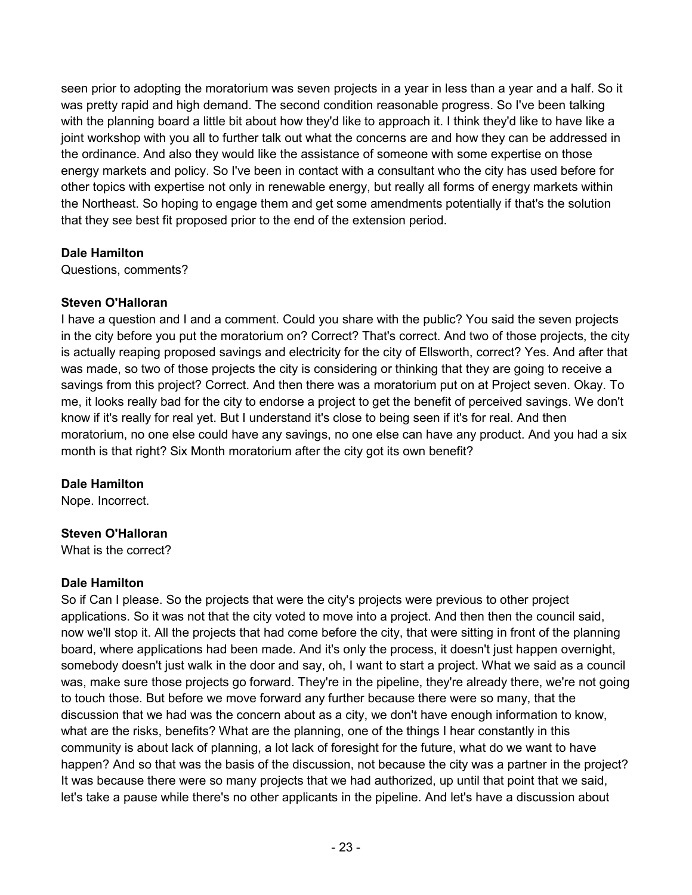seen prior to adopting the moratorium was seven projects in a year in less than a year and a half. So it was pretty rapid and high demand. The second condition reasonable progress. So I've been talking with the planning board a little bit about how they'd like to approach it. I think they'd like to have like a joint workshop with you all to further talk out what the concerns are and how they can be addressed in the ordinance. And also they would like the assistance of someone with some expertise on those energy markets and policy. So I've been in contact with a consultant who the city has used before for other topics with expertise not only in renewable energy, but really all forms of energy markets within the Northeast. So hoping to engage them and get some amendments potentially if that's the solution that they see best fit proposed prior to the end of the extension period.

### **Dale Hamilton**

Questions, comments?

# **Steven O'Halloran**

I have a question and I and a comment. Could you share with the public? You said the seven projects in the city before you put the moratorium on? Correct? That's correct. And two of those projects, the city is actually reaping proposed savings and electricity for the city of Ellsworth, correct? Yes. And after that was made, so two of those projects the city is considering or thinking that they are going to receive a savings from this project? Correct. And then there was a moratorium put on at Project seven. Okay. To me, it looks really bad for the city to endorse a project to get the benefit of perceived savings. We don't know if it's really for real yet. But I understand it's close to being seen if it's for real. And then moratorium, no one else could have any savings, no one else can have any product. And you had a six month is that right? Six Month moratorium after the city got its own benefit?

# **Dale Hamilton**

Nope. Incorrect.

# **Steven O'Halloran**

What is the correct?

### **Dale Hamilton**

So if Can I please. So the projects that were the city's projects were previous to other project applications. So it was not that the city voted to move into a project. And then then the council said, now we'll stop it. All the projects that had come before the city, that were sitting in front of the planning board, where applications had been made. And it's only the process, it doesn't just happen overnight, somebody doesn't just walk in the door and say, oh, I want to start a project. What we said as a council was, make sure those projects go forward. They're in the pipeline, they're already there, we're not going to touch those. But before we move forward any further because there were so many, that the discussion that we had was the concern about as a city, we don't have enough information to know, what are the risks, benefits? What are the planning, one of the things I hear constantly in this community is about lack of planning, a lot lack of foresight for the future, what do we want to have happen? And so that was the basis of the discussion, not because the city was a partner in the project? It was because there were so many projects that we had authorized, up until that point that we said, let's take a pause while there's no other applicants in the pipeline. And let's have a discussion about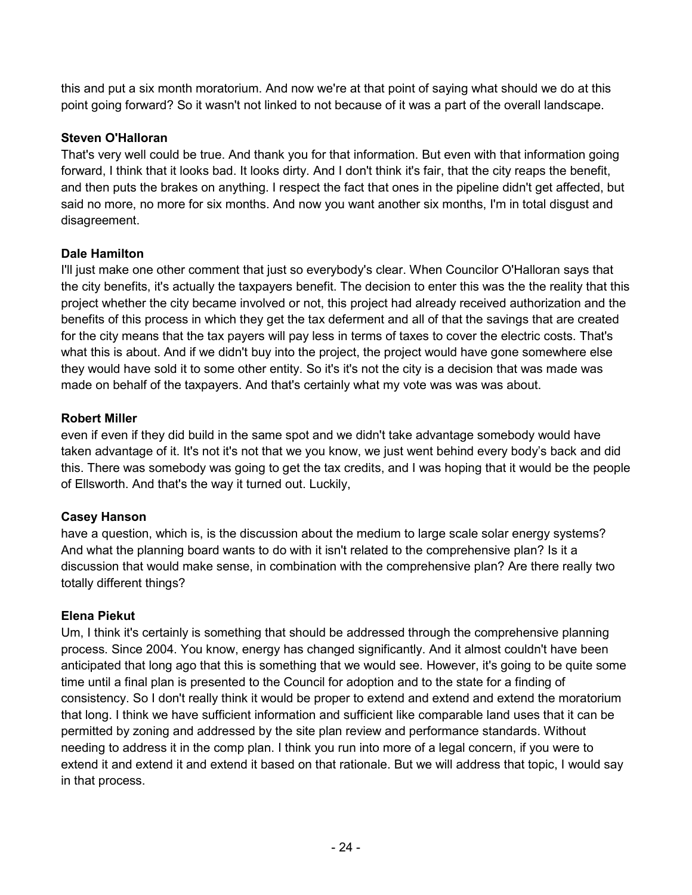this and put a six month moratorium. And now we're at that point of saying what should we do at this point going forward? So it wasn't not linked to not because of it was a part of the overall landscape.

# **Steven O'Halloran**

That's very well could be true. And thank you for that information. But even with that information going forward, I think that it looks bad. It looks dirty. And I don't think it's fair, that the city reaps the benefit, and then puts the brakes on anything. I respect the fact that ones in the pipeline didn't get affected, but said no more, no more for six months. And now you want another six months, I'm in total disgust and disagreement.

# **Dale Hamilton**

I'll just make one other comment that just so everybody's clear. When Councilor O'Halloran says that the city benefits, it's actually the taxpayers benefit. The decision to enter this was the the reality that this project whether the city became involved or not, this project had already received authorization and the benefits of this process in which they get the tax deferment and all of that the savings that are created for the city means that the tax payers will pay less in terms of taxes to cover the electric costs. That's what this is about. And if we didn't buy into the project, the project would have gone somewhere else they would have sold it to some other entity. So it's it's not the city is a decision that was made was made on behalf of the taxpayers. And that's certainly what my vote was was was about.

# **Robert Miller**

even if even if they did build in the same spot and we didn't take advantage somebody would have taken advantage of it. It's not it's not that we you know, we just went behind every body's back and did this. There was somebody was going to get the tax credits, and I was hoping that it would be the people of Ellsworth. And that's the way it turned out. Luckily,

# **Casey Hanson**

have a question, which is, is the discussion about the medium to large scale solar energy systems? And what the planning board wants to do with it isn't related to the comprehensive plan? Is it a discussion that would make sense, in combination with the comprehensive plan? Are there really two totally different things?

# **Elena Piekut**

Um, I think it's certainly is something that should be addressed through the comprehensive planning process. Since 2004. You know, energy has changed significantly. And it almost couldn't have been anticipated that long ago that this is something that we would see. However, it's going to be quite some time until a final plan is presented to the Council for adoption and to the state for a finding of consistency. So I don't really think it would be proper to extend and extend and extend the moratorium that long. I think we have sufficient information and sufficient like comparable land uses that it can be permitted by zoning and addressed by the site plan review and performance standards. Without needing to address it in the comp plan. I think you run into more of a legal concern, if you were to extend it and extend it and extend it based on that rationale. But we will address that topic, I would say in that process.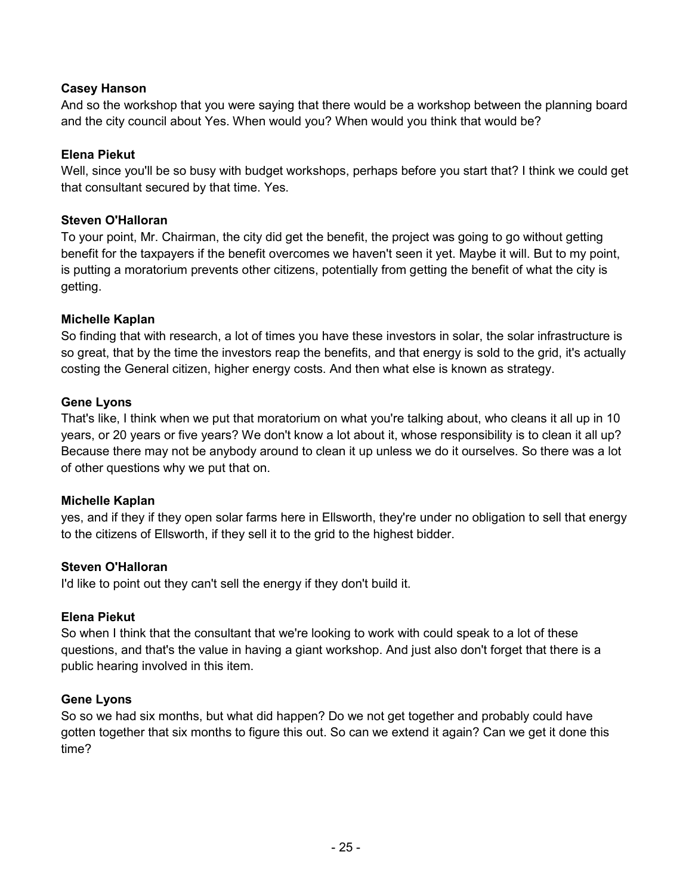### **Casey Hanson**

And so the workshop that you were saying that there would be a workshop between the planning board and the city council about Yes. When would you? When would you think that would be?

### **Elena Piekut**

Well, since you'll be so busy with budget workshops, perhaps before you start that? I think we could get that consultant secured by that time. Yes.

### **Steven O'Halloran**

To your point, Mr. Chairman, the city did get the benefit, the project was going to go without getting benefit for the taxpayers if the benefit overcomes we haven't seen it yet. Maybe it will. But to my point, is putting a moratorium prevents other citizens, potentially from getting the benefit of what the city is getting.

### **Michelle Kaplan**

So finding that with research, a lot of times you have these investors in solar, the solar infrastructure is so great, that by the time the investors reap the benefits, and that energy is sold to the grid, it's actually costing the General citizen, higher energy costs. And then what else is known as strategy.

### **Gene Lyons**

That's like, I think when we put that moratorium on what you're talking about, who cleans it all up in 10 years, or 20 years or five years? We don't know a lot about it, whose responsibility is to clean it all up? Because there may not be anybody around to clean it up unless we do it ourselves. So there was a lot of other questions why we put that on.

### **Michelle Kaplan**

yes, and if they if they open solar farms here in Ellsworth, they're under no obligation to sell that energy to the citizens of Ellsworth, if they sell it to the grid to the highest bidder.

### **Steven O'Halloran**

I'd like to point out they can't sell the energy if they don't build it.

### **Elena Piekut**

So when I think that the consultant that we're looking to work with could speak to a lot of these questions, and that's the value in having a giant workshop. And just also don't forget that there is a public hearing involved in this item.

### **Gene Lyons**

So so we had six months, but what did happen? Do we not get together and probably could have gotten together that six months to figure this out. So can we extend it again? Can we get it done this time?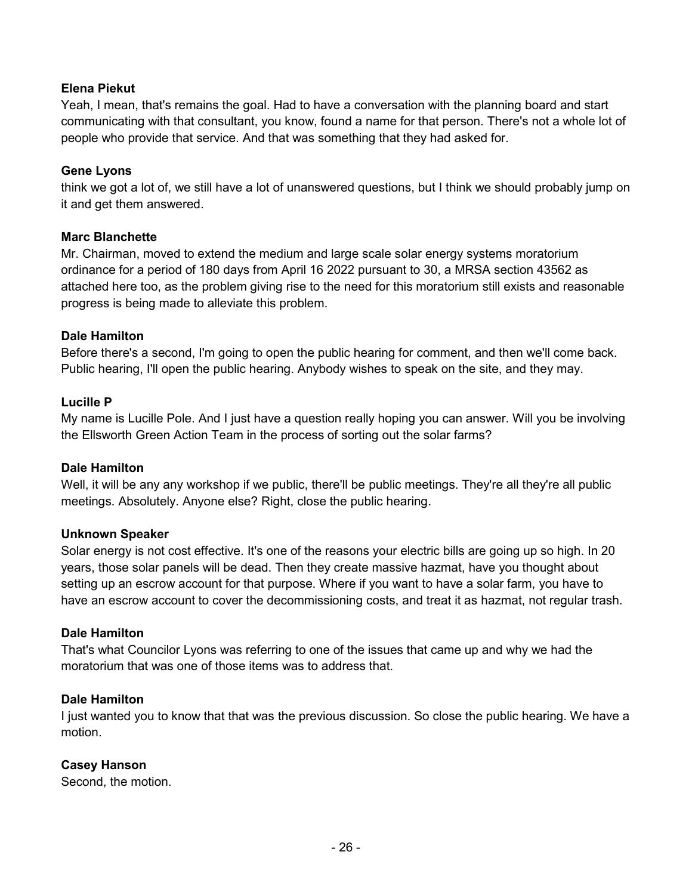### **Elena Piekut**

Yeah, I mean, that's remains the goal. Had to have a conversation with the planning board and start communicating with that consultant, you know, found a name for that person. There's not a whole lot of people who provide that service. And that was something that they had asked for.

### **Gene Lyons**

think we got a lot of, we still have a lot of unanswered questions, but I think we should probably jump on it and get them answered.

### **Marc Blanchette**

Mr. Chairman, moved to extend the medium and large scale solar energy systems moratorium ordinance for a period of 180 days from April 16 2022 pursuant to 30, a MRSA section 43562 as attached here too, as the problem giving rise to the need for this moratorium still exists and reasonable progress is being made to alleviate this problem.

### **Dale Hamilton**

Before there's a second, I'm going to open the public hearing for comment, and then we'll come back. Public hearing, I'll open the public hearing. Anybody wishes to speak on the site, and they may.

### **Lucille P**

My name is Lucille Pole. And I just have a question really hoping you can answer. Will you be involving the Ellsworth Green Action Team in the process of sorting out the solar farms?

### **Dale Hamilton**

Well, it will be any any workshop if we public, there'll be public meetings. They're all they're all public meetings. Absolutely. Anyone else? Right, close the public hearing.

### **Unknown Speaker**

Solar energy is not cost effective. It's one of the reasons your electric bills are going up so high. In 20 years, those solar panels will be dead. Then they create massive hazmat, have you thought about setting up an escrow account for that purpose. Where if you want to have a solar farm, you have to have an escrow account to cover the decommissioning costs, and treat it as hazmat, not regular trash.

### **Dale Hamilton**

That's what Councilor Lyons was referring to one of the issues that came up and why we had the moratorium that was one of those items was to address that.

### **Dale Hamilton**

I just wanted you to know that that was the previous discussion. So close the public hearing. We have a motion.

### **Casey Hanson**

Second, the motion.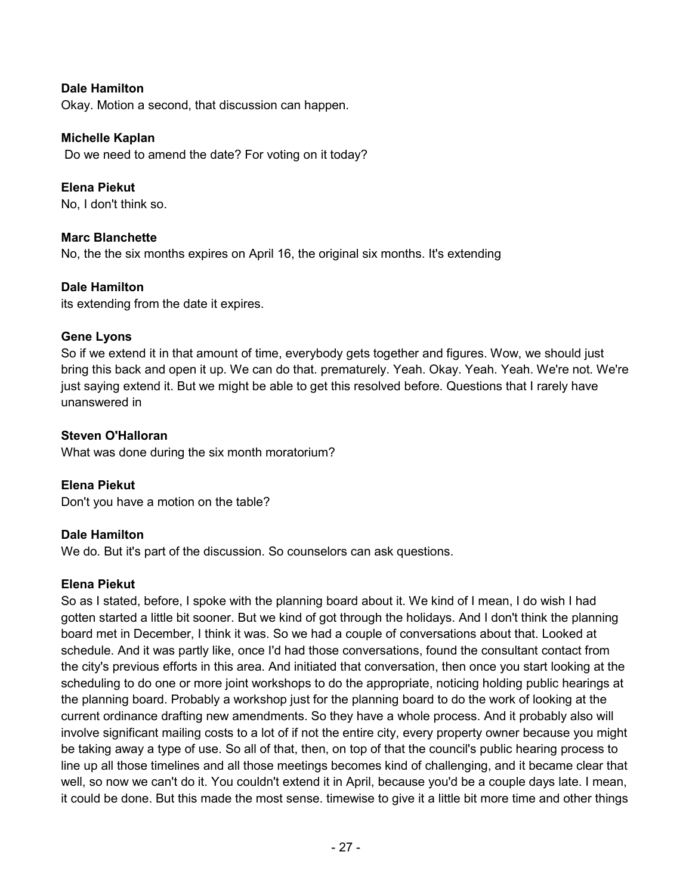### **Dale Hamilton**

Okay. Motion a second, that discussion can happen.

#### **Michelle Kaplan**

Do we need to amend the date? For voting on it today?

**Elena Piekut**  No, I don't think so.

#### **Marc Blanchette**

No, the the six months expires on April 16, the original six months. It's extending

#### **Dale Hamilton**

its extending from the date it expires.

#### **Gene Lyons**

So if we extend it in that amount of time, everybody gets together and figures. Wow, we should just bring this back and open it up. We can do that. prematurely. Yeah. Okay. Yeah. Yeah. We're not. We're just saying extend it. But we might be able to get this resolved before. Questions that I rarely have unanswered in

### **Steven O'Halloran**

What was done during the six month moratorium?

### **Elena Piekut**

Don't you have a motion on the table?

### **Dale Hamilton**

We do. But it's part of the discussion. So counselors can ask questions.

#### **Elena Piekut**

So as I stated, before, I spoke with the planning board about it. We kind of I mean, I do wish I had gotten started a little bit sooner. But we kind of got through the holidays. And I don't think the planning board met in December, I think it was. So we had a couple of conversations about that. Looked at schedule. And it was partly like, once I'd had those conversations, found the consultant contact from the city's previous efforts in this area. And initiated that conversation, then once you start looking at the scheduling to do one or more joint workshops to do the appropriate, noticing holding public hearings at the planning board. Probably a workshop just for the planning board to do the work of looking at the current ordinance drafting new amendments. So they have a whole process. And it probably also will involve significant mailing costs to a lot of if not the entire city, every property owner because you might be taking away a type of use. So all of that, then, on top of that the council's public hearing process to line up all those timelines and all those meetings becomes kind of challenging, and it became clear that well, so now we can't do it. You couldn't extend it in April, because you'd be a couple days late. I mean, it could be done. But this made the most sense. timewise to give it a little bit more time and other things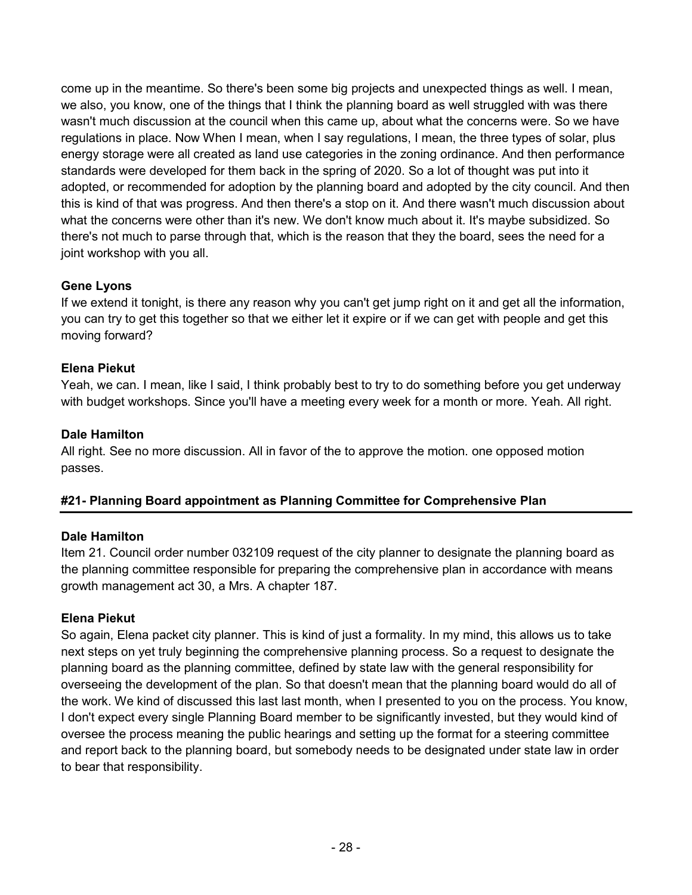come up in the meantime. So there's been some big projects and unexpected things as well. I mean, we also, you know, one of the things that I think the planning board as well struggled with was there wasn't much discussion at the council when this came up, about what the concerns were. So we have regulations in place. Now When I mean, when I say regulations, I mean, the three types of solar, plus energy storage were all created as land use categories in the zoning ordinance. And then performance standards were developed for them back in the spring of 2020. So a lot of thought was put into it adopted, or recommended for adoption by the planning board and adopted by the city council. And then this is kind of that was progress. And then there's a stop on it. And there wasn't much discussion about what the concerns were other than it's new. We don't know much about it. It's maybe subsidized. So there's not much to parse through that, which is the reason that they the board, sees the need for a joint workshop with you all.

# **Gene Lyons**

If we extend it tonight, is there any reason why you can't get jump right on it and get all the information, you can try to get this together so that we either let it expire or if we can get with people and get this moving forward?

# **Elena Piekut**

Yeah, we can. I mean, like I said, I think probably best to try to do something before you get underway with budget workshops. Since you'll have a meeting every week for a month or more. Yeah. All right.

### **Dale Hamilton**

All right. See no more discussion. All in favor of the to approve the motion. one opposed motion passes.

# **#21- Planning Board appointment as Planning Committee for Comprehensive Plan**

### **Dale Hamilton**

Item 21. Council order number 032109 request of the city planner to designate the planning board as the planning committee responsible for preparing the comprehensive plan in accordance with means growth management act 30, a Mrs. A chapter 187.

### **Elena Piekut**

So again, Elena packet city planner. This is kind of just a formality. In my mind, this allows us to take next steps on yet truly beginning the comprehensive planning process. So a request to designate the planning board as the planning committee, defined by state law with the general responsibility for overseeing the development of the plan. So that doesn't mean that the planning board would do all of the work. We kind of discussed this last last month, when I presented to you on the process. You know, I don't expect every single Planning Board member to be significantly invested, but they would kind of oversee the process meaning the public hearings and setting up the format for a steering committee and report back to the planning board, but somebody needs to be designated under state law in order to bear that responsibility.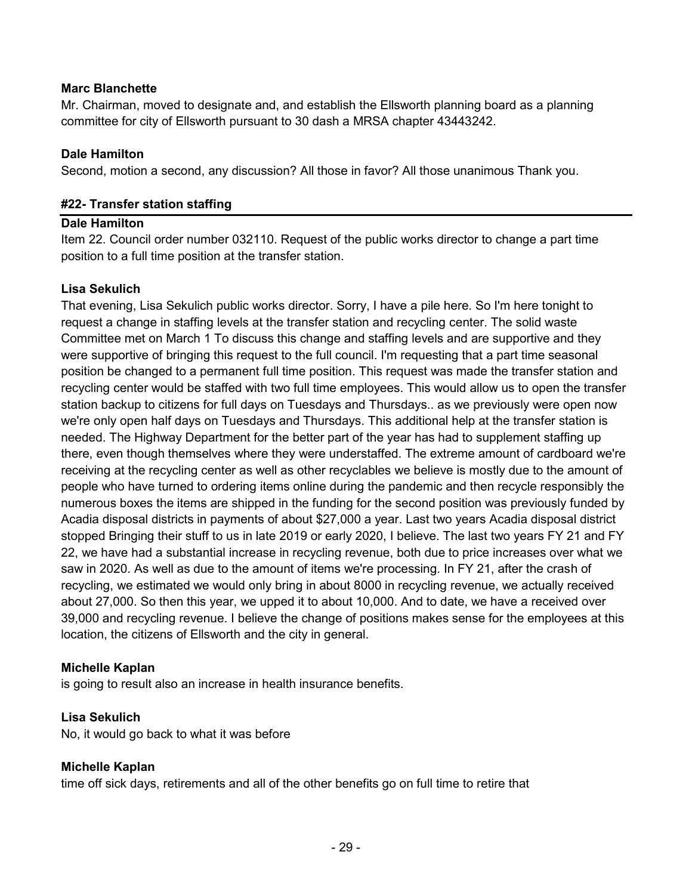### **Marc Blanchette**

Mr. Chairman, moved to designate and, and establish the Ellsworth planning board as a planning committee for city of Ellsworth pursuant to 30 dash a MRSA chapter 43443242.

### **Dale Hamilton**

Second, motion a second, any discussion? All those in favor? All those unanimous Thank you.

### **#22- Transfer station staffing**

### **Dale Hamilton**

Item 22. Council order number 032110. Request of the public works director to change a part time position to a full time position at the transfer station.

### **Lisa Sekulich**

That evening, Lisa Sekulich public works director. Sorry, I have a pile here. So I'm here tonight to request a change in staffing levels at the transfer station and recycling center. The solid waste Committee met on March 1 To discuss this change and staffing levels and are supportive and they were supportive of bringing this request to the full council. I'm requesting that a part time seasonal position be changed to a permanent full time position. This request was made the transfer station and recycling center would be staffed with two full time employees. This would allow us to open the transfer station backup to citizens for full days on Tuesdays and Thursdays.. as we previously were open now we're only open half days on Tuesdays and Thursdays. This additional help at the transfer station is needed. The Highway Department for the better part of the year has had to supplement staffing up there, even though themselves where they were understaffed. The extreme amount of cardboard we're receiving at the recycling center as well as other recyclables we believe is mostly due to the amount of people who have turned to ordering items online during the pandemic and then recycle responsibly the numerous boxes the items are shipped in the funding for the second position was previously funded by Acadia disposal districts in payments of about \$27,000 a year. Last two years Acadia disposal district stopped Bringing their stuff to us in late 2019 or early 2020, I believe. The last two years FY 21 and FY 22, we have had a substantial increase in recycling revenue, both due to price increases over what we saw in 2020. As well as due to the amount of items we're processing. In FY 21, after the crash of recycling, we estimated we would only bring in about 8000 in recycling revenue, we actually received about 27,000. So then this year, we upped it to about 10,000. And to date, we have a received over 39,000 and recycling revenue. I believe the change of positions makes sense for the employees at this location, the citizens of Ellsworth and the city in general.

### **Michelle Kaplan**

is going to result also an increase in health insurance benefits.

### **Lisa Sekulich**

No, it would go back to what it was before

### **Michelle Kaplan**

time off sick days, retirements and all of the other benefits go on full time to retire that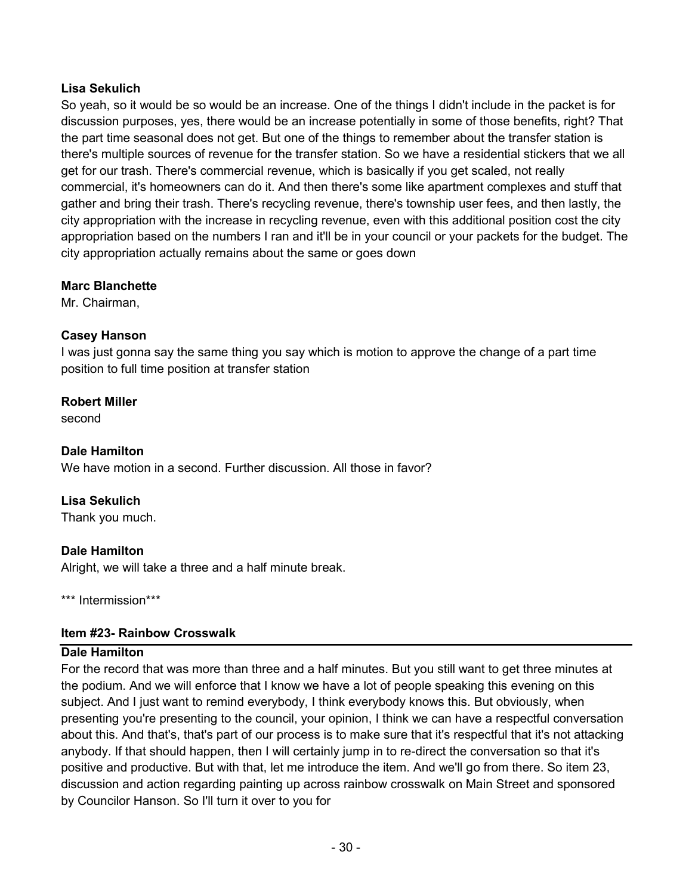### **Lisa Sekulich**

So yeah, so it would be so would be an increase. One of the things I didn't include in the packet is for discussion purposes, yes, there would be an increase potentially in some of those benefits, right? That the part time seasonal does not get. But one of the things to remember about the transfer station is there's multiple sources of revenue for the transfer station. So we have a residential stickers that we all get for our trash. There's commercial revenue, which is basically if you get scaled, not really commercial, it's homeowners can do it. And then there's some like apartment complexes and stuff that gather and bring their trash. There's recycling revenue, there's township user fees, and then lastly, the city appropriation with the increase in recycling revenue, even with this additional position cost the city appropriation based on the numbers I ran and it'll be in your council or your packets for the budget. The city appropriation actually remains about the same or goes down

### **Marc Blanchette**

Mr. Chairman,

### **Casey Hanson**

I was just gonna say the same thing you say which is motion to approve the change of a part time position to full time position at transfer station

### **Robert Miller**

second

### **Dale Hamilton**

We have motion in a second. Further discussion. All those in favor?

### **Lisa Sekulich**

Thank you much.

### **Dale Hamilton**

Alright, we will take a three and a half minute break.

\*\*\* Intermission\*\*\*

### **Item #23- Rainbow Crosswalk**

### **Dale Hamilton**

For the record that was more than three and a half minutes. But you still want to get three minutes at the podium. And we will enforce that I know we have a lot of people speaking this evening on this subject. And I just want to remind everybody, I think everybody knows this. But obviously, when presenting you're presenting to the council, your opinion, I think we can have a respectful conversation about this. And that's, that's part of our process is to make sure that it's respectful that it's not attacking anybody. If that should happen, then I will certainly jump in to re-direct the conversation so that it's positive and productive. But with that, let me introduce the item. And we'll go from there. So item 23, discussion and action regarding painting up across rainbow crosswalk on Main Street and sponsored by Councilor Hanson. So I'll turn it over to you for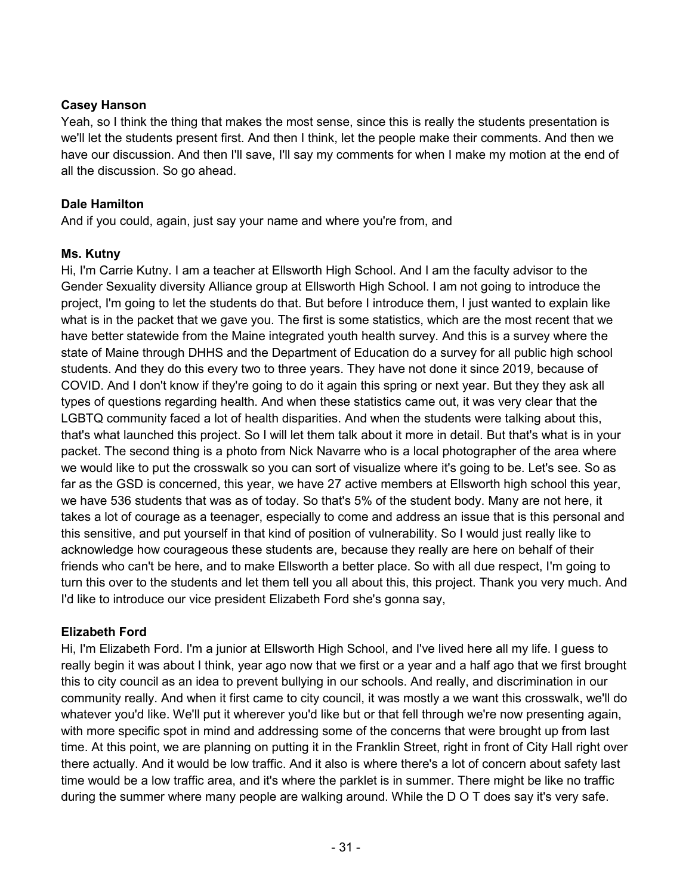### **Casey Hanson**

Yeah, so I think the thing that makes the most sense, since this is really the students presentation is we'll let the students present first. And then I think, let the people make their comments. And then we have our discussion. And then I'll save, I'll say my comments for when I make my motion at the end of all the discussion. So go ahead.

# **Dale Hamilton**

And if you could, again, just say your name and where you're from, and

# **Ms. Kutny**

Hi, I'm Carrie Kutny. I am a teacher at Ellsworth High School. And I am the faculty advisor to the Gender Sexuality diversity Alliance group at Ellsworth High School. I am not going to introduce the project, I'm going to let the students do that. But before I introduce them, I just wanted to explain like what is in the packet that we gave you. The first is some statistics, which are the most recent that we have better statewide from the Maine integrated youth health survey. And this is a survey where the state of Maine through DHHS and the Department of Education do a survey for all public high school students. And they do this every two to three years. They have not done it since 2019, because of COVID. And I don't know if they're going to do it again this spring or next year. But they they ask all types of questions regarding health. And when these statistics came out, it was very clear that the LGBTQ community faced a lot of health disparities. And when the students were talking about this, that's what launched this project. So I will let them talk about it more in detail. But that's what is in your packet. The second thing is a photo from Nick Navarre who is a local photographer of the area where we would like to put the crosswalk so you can sort of visualize where it's going to be. Let's see. So as far as the GSD is concerned, this year, we have 27 active members at Ellsworth high school this year, we have 536 students that was as of today. So that's 5% of the student body. Many are not here, it takes a lot of courage as a teenager, especially to come and address an issue that is this personal and this sensitive, and put yourself in that kind of position of vulnerability. So I would just really like to acknowledge how courageous these students are, because they really are here on behalf of their friends who can't be here, and to make Ellsworth a better place. So with all due respect, I'm going to turn this over to the students and let them tell you all about this, this project. Thank you very much. And I'd like to introduce our vice president Elizabeth Ford she's gonna say,

# **Elizabeth Ford**

Hi, I'm Elizabeth Ford. I'm a junior at Ellsworth High School, and I've lived here all my life. I guess to really begin it was about I think, year ago now that we first or a year and a half ago that we first brought this to city council as an idea to prevent bullying in our schools. And really, and discrimination in our community really. And when it first came to city council, it was mostly a we want this crosswalk, we'll do whatever you'd like. We'll put it wherever you'd like but or that fell through we're now presenting again, with more specific spot in mind and addressing some of the concerns that were brought up from last time. At this point, we are planning on putting it in the Franklin Street, right in front of City Hall right over there actually. And it would be low traffic. And it also is where there's a lot of concern about safety last time would be a low traffic area, and it's where the parklet is in summer. There might be like no traffic during the summer where many people are walking around. While the D O T does say it's very safe.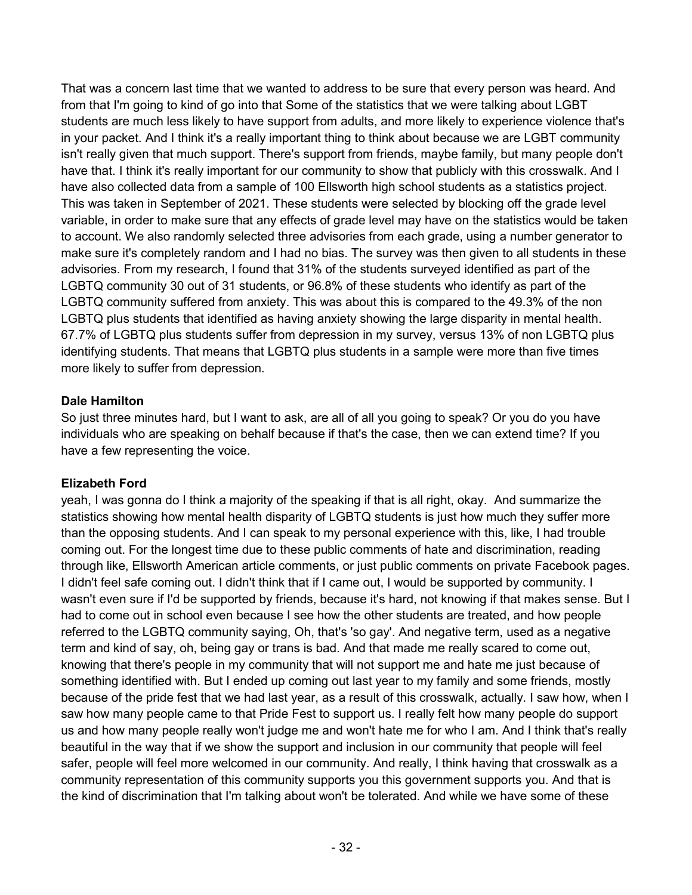That was a concern last time that we wanted to address to be sure that every person was heard. And from that I'm going to kind of go into that Some of the statistics that we were talking about LGBT students are much less likely to have support from adults, and more likely to experience violence that's in your packet. And I think it's a really important thing to think about because we are LGBT community isn't really given that much support. There's support from friends, maybe family, but many people don't have that. I think it's really important for our community to show that publicly with this crosswalk. And I have also collected data from a sample of 100 Ellsworth high school students as a statistics project. This was taken in September of 2021. These students were selected by blocking off the grade level variable, in order to make sure that any effects of grade level may have on the statistics would be taken to account. We also randomly selected three advisories from each grade, using a number generator to make sure it's completely random and I had no bias. The survey was then given to all students in these advisories. From my research, I found that 31% of the students surveyed identified as part of the LGBTQ community 30 out of 31 students, or 96.8% of these students who identify as part of the LGBTQ community suffered from anxiety. This was about this is compared to the 49.3% of the non LGBTQ plus students that identified as having anxiety showing the large disparity in mental health. 67.7% of LGBTQ plus students suffer from depression in my survey, versus 13% of non LGBTQ plus identifying students. That means that LGBTQ plus students in a sample were more than five times more likely to suffer from depression.

### **Dale Hamilton**

So just three minutes hard, but I want to ask, are all of all you going to speak? Or you do you have individuals who are speaking on behalf because if that's the case, then we can extend time? If you have a few representing the voice.

### **Elizabeth Ford**

yeah, I was gonna do I think a majority of the speaking if that is all right, okay. And summarize the statistics showing how mental health disparity of LGBTQ students is just how much they suffer more than the opposing students. And I can speak to my personal experience with this, like, I had trouble coming out. For the longest time due to these public comments of hate and discrimination, reading through like, Ellsworth American article comments, or just public comments on private Facebook pages. I didn't feel safe coming out. I didn't think that if I came out, I would be supported by community. I wasn't even sure if I'd be supported by friends, because it's hard, not knowing if that makes sense. But I had to come out in school even because I see how the other students are treated, and how people referred to the LGBTQ community saying, Oh, that's 'so gay'. And negative term, used as a negative term and kind of say, oh, being gay or trans is bad. And that made me really scared to come out, knowing that there's people in my community that will not support me and hate me just because of something identified with. But I ended up coming out last year to my family and some friends, mostly because of the pride fest that we had last year, as a result of this crosswalk, actually. I saw how, when I saw how many people came to that Pride Fest to support us. I really felt how many people do support us and how many people really won't judge me and won't hate me for who I am. And I think that's really beautiful in the way that if we show the support and inclusion in our community that people will feel safer, people will feel more welcomed in our community. And really, I think having that crosswalk as a community representation of this community supports you this government supports you. And that is the kind of discrimination that I'm talking about won't be tolerated. And while we have some of these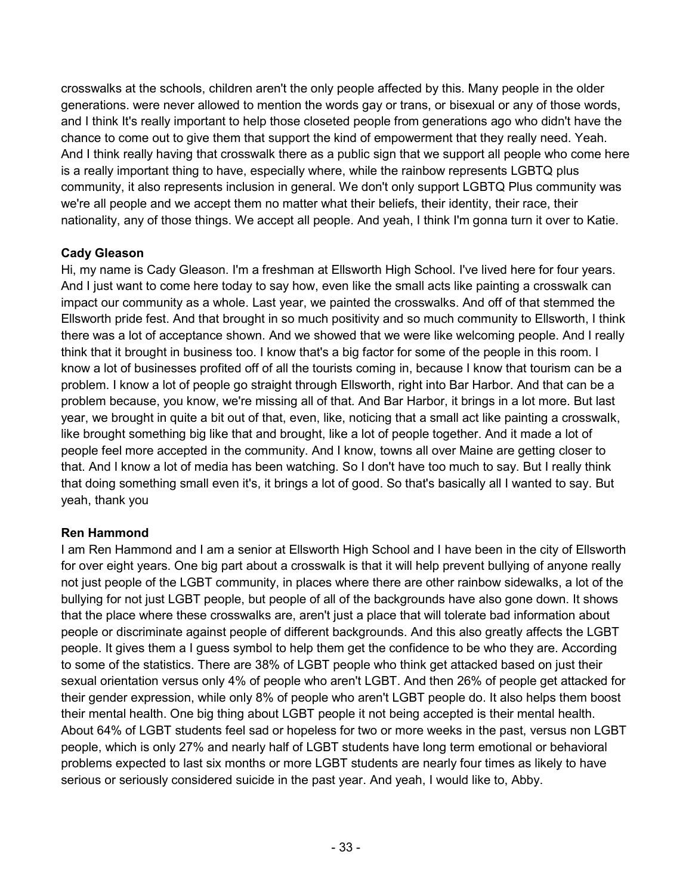crosswalks at the schools, children aren't the only people affected by this. Many people in the older generations. were never allowed to mention the words gay or trans, or bisexual or any of those words, and I think It's really important to help those closeted people from generations ago who didn't have the chance to come out to give them that support the kind of empowerment that they really need. Yeah. And I think really having that crosswalk there as a public sign that we support all people who come here is a really important thing to have, especially where, while the rainbow represents LGBTQ plus community, it also represents inclusion in general. We don't only support LGBTQ Plus community was we're all people and we accept them no matter what their beliefs, their identity, their race, their nationality, any of those things. We accept all people. And yeah, I think I'm gonna turn it over to Katie.

# **Cady Gleason**

Hi, my name is Cady Gleason. I'm a freshman at Ellsworth High School. I've lived here for four years. And I just want to come here today to say how, even like the small acts like painting a crosswalk can impact our community as a whole. Last year, we painted the crosswalks. And off of that stemmed the Ellsworth pride fest. And that brought in so much positivity and so much community to Ellsworth, I think there was a lot of acceptance shown. And we showed that we were like welcoming people. And I really think that it brought in business too. I know that's a big factor for some of the people in this room. I know a lot of businesses profited off of all the tourists coming in, because I know that tourism can be a problem. I know a lot of people go straight through Ellsworth, right into Bar Harbor. And that can be a problem because, you know, we're missing all of that. And Bar Harbor, it brings in a lot more. But last year, we brought in quite a bit out of that, even, like, noticing that a small act like painting a crosswalk, like brought something big like that and brought, like a lot of people together. And it made a lot of people feel more accepted in the community. And I know, towns all over Maine are getting closer to that. And I know a lot of media has been watching. So I don't have too much to say. But I really think that doing something small even it's, it brings a lot of good. So that's basically all I wanted to say. But yeah, thank you

### **Ren Hammond**

I am Ren Hammond and I am a senior at Ellsworth High School and I have been in the city of Ellsworth for over eight years. One big part about a crosswalk is that it will help prevent bullying of anyone really not just people of the LGBT community, in places where there are other rainbow sidewalks, a lot of the bullying for not just LGBT people, but people of all of the backgrounds have also gone down. It shows that the place where these crosswalks are, aren't just a place that will tolerate bad information about people or discriminate against people of different backgrounds. And this also greatly affects the LGBT people. It gives them a I guess symbol to help them get the confidence to be who they are. According to some of the statistics. There are 38% of LGBT people who think get attacked based on just their sexual orientation versus only 4% of people who aren't LGBT. And then 26% of people get attacked for their gender expression, while only 8% of people who aren't LGBT people do. It also helps them boost their mental health. One big thing about LGBT people it not being accepted is their mental health. About 64% of LGBT students feel sad or hopeless for two or more weeks in the past, versus non LGBT people, which is only 27% and nearly half of LGBT students have long term emotional or behavioral problems expected to last six months or more LGBT students are nearly four times as likely to have serious or seriously considered suicide in the past year. And yeah, I would like to, Abby.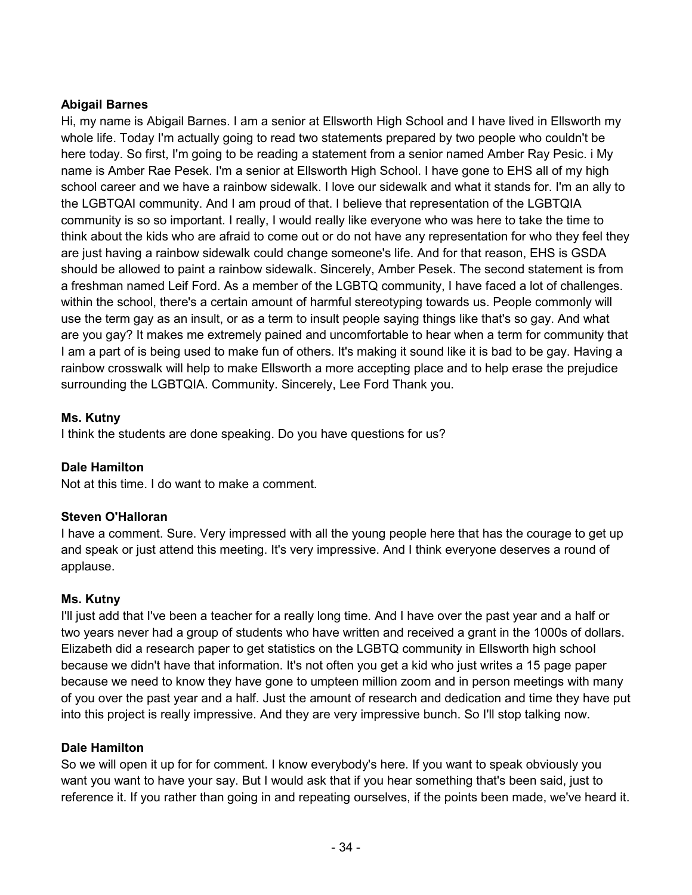### **Abigail Barnes**

Hi, my name is Abigail Barnes. I am a senior at Ellsworth High School and I have lived in Ellsworth my whole life. Today I'm actually going to read two statements prepared by two people who couldn't be here today. So first, I'm going to be reading a statement from a senior named Amber Ray Pesic. i My name is Amber Rae Pesek. I'm a senior at Ellsworth High School. I have gone to EHS all of my high school career and we have a rainbow sidewalk. I love our sidewalk and what it stands for. I'm an ally to the LGBTQAI community. And I am proud of that. I believe that representation of the LGBTQIA community is so so important. I really, I would really like everyone who was here to take the time to think about the kids who are afraid to come out or do not have any representation for who they feel they are just having a rainbow sidewalk could change someone's life. And for that reason, EHS is GSDA should be allowed to paint a rainbow sidewalk. Sincerely, Amber Pesek. The second statement is from a freshman named Leif Ford. As a member of the LGBTQ community, I have faced a lot of challenges. within the school, there's a certain amount of harmful stereotyping towards us. People commonly will use the term gay as an insult, or as a term to insult people saying things like that's so gay. And what are you gay? It makes me extremely pained and uncomfortable to hear when a term for community that I am a part of is being used to make fun of others. It's making it sound like it is bad to be gay. Having a rainbow crosswalk will help to make Ellsworth a more accepting place and to help erase the prejudice surrounding the LGBTQIA. Community. Sincerely, Lee Ford Thank you.

### **Ms. Kutny**

I think the students are done speaking. Do you have questions for us?

### **Dale Hamilton**

Not at this time. I do want to make a comment.

### **Steven O'Halloran**

I have a comment. Sure. Very impressed with all the young people here that has the courage to get up and speak or just attend this meeting. It's very impressive. And I think everyone deserves a round of applause.

### **Ms. Kutny**

I'll just add that I've been a teacher for a really long time. And I have over the past year and a half or two years never had a group of students who have written and received a grant in the 1000s of dollars. Elizabeth did a research paper to get statistics on the LGBTQ community in Ellsworth high school because we didn't have that information. It's not often you get a kid who just writes a 15 page paper because we need to know they have gone to umpteen million zoom and in person meetings with many of you over the past year and a half. Just the amount of research and dedication and time they have put into this project is really impressive. And they are very impressive bunch. So I'll stop talking now.

### **Dale Hamilton**

So we will open it up for for comment. I know everybody's here. If you want to speak obviously you want you want to have your say. But I would ask that if you hear something that's been said, just to reference it. If you rather than going in and repeating ourselves, if the points been made, we've heard it.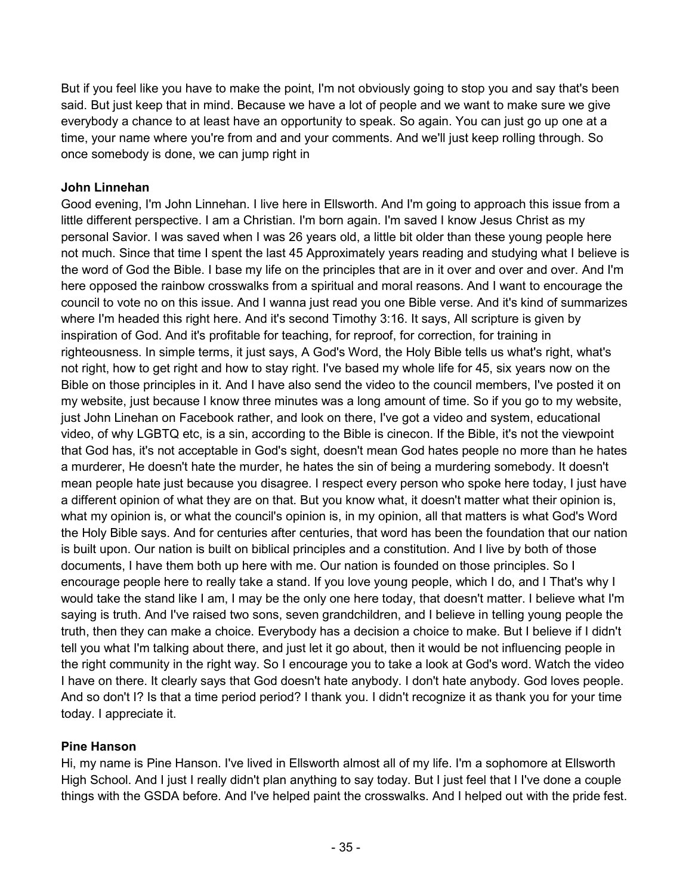But if you feel like you have to make the point, I'm not obviously going to stop you and say that's been said. But just keep that in mind. Because we have a lot of people and we want to make sure we give everybody a chance to at least have an opportunity to speak. So again. You can just go up one at a time, your name where you're from and and your comments. And we'll just keep rolling through. So once somebody is done, we can jump right in

### **John Linnehan**

Good evening, I'm John Linnehan. I live here in Ellsworth. And I'm going to approach this issue from a little different perspective. I am a Christian. I'm born again. I'm saved I know Jesus Christ as my personal Savior. I was saved when I was 26 years old, a little bit older than these young people here not much. Since that time I spent the last 45 Approximately years reading and studying what I believe is the word of God the Bible. I base my life on the principles that are in it over and over and over. And I'm here opposed the rainbow crosswalks from a spiritual and moral reasons. And I want to encourage the council to vote no on this issue. And I wanna just read you one Bible verse. And it's kind of summarizes where I'm headed this right here. And it's second Timothy 3:16. It says, All scripture is given by inspiration of God. And it's profitable for teaching, for reproof, for correction, for training in righteousness. In simple terms, it just says, A God's Word, the Holy Bible tells us what's right, what's not right, how to get right and how to stay right. I've based my whole life for 45, six years now on the Bible on those principles in it. And I have also send the video to the council members, I've posted it on my website, just because I know three minutes was a long amount of time. So if you go to my website, just John Linehan on Facebook rather, and look on there, I've got a video and system, educational video, of why LGBTQ etc, is a sin, according to the Bible is cinecon. If the Bible, it's not the viewpoint that God has, it's not acceptable in God's sight, doesn't mean God hates people no more than he hates a murderer, He doesn't hate the murder, he hates the sin of being a murdering somebody. It doesn't mean people hate just because you disagree. I respect every person who spoke here today, I just have a different opinion of what they are on that. But you know what, it doesn't matter what their opinion is, what my opinion is, or what the council's opinion is, in my opinion, all that matters is what God's Word the Holy Bible says. And for centuries after centuries, that word has been the foundation that our nation is built upon. Our nation is built on biblical principles and a constitution. And I live by both of those documents, I have them both up here with me. Our nation is founded on those principles. So I encourage people here to really take a stand. If you love young people, which I do, and I That's why I would take the stand like I am, I may be the only one here today, that doesn't matter. I believe what I'm saying is truth. And I've raised two sons, seven grandchildren, and I believe in telling young people the truth, then they can make a choice. Everybody has a decision a choice to make. But I believe if I didn't tell you what I'm talking about there, and just let it go about, then it would be not influencing people in the right community in the right way. So I encourage you to take a look at God's word. Watch the video I have on there. It clearly says that God doesn't hate anybody. I don't hate anybody. God loves people. And so don't I? Is that a time period period? I thank you. I didn't recognize it as thank you for your time today. I appreciate it.

### **Pine Hanson**

Hi, my name is Pine Hanson. I've lived in Ellsworth almost all of my life. I'm a sophomore at Ellsworth High School. And I just I really didn't plan anything to say today. But I just feel that I I've done a couple things with the GSDA before. And I've helped paint the crosswalks. And I helped out with the pride fest.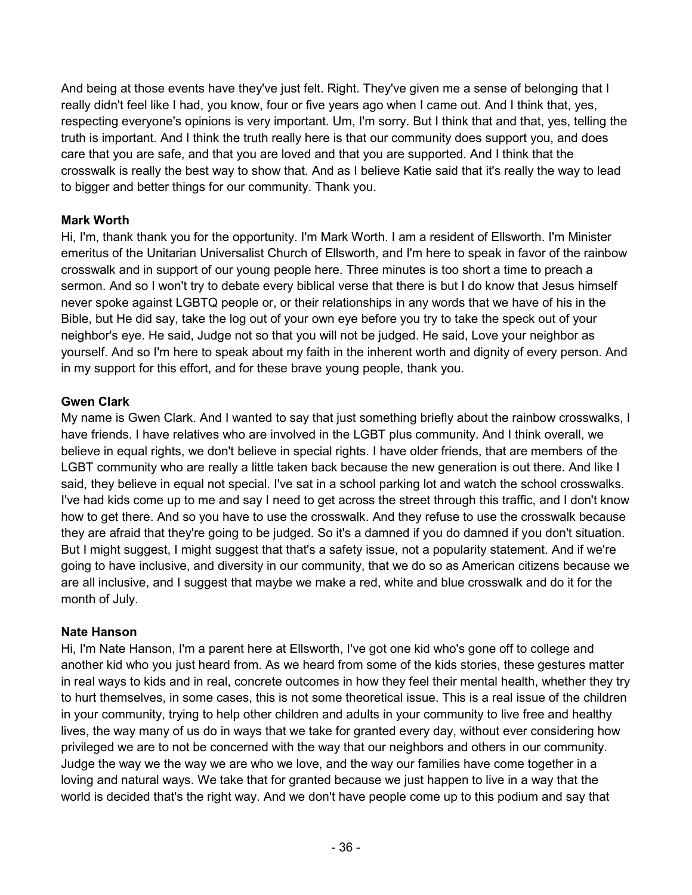And being at those events have they've just felt. Right. They've given me a sense of belonging that I really didn't feel like I had, you know, four or five years ago when I came out. And I think that, yes, respecting everyone's opinions is very important. Um, I'm sorry. But I think that and that, yes, telling the truth is important. And I think the truth really here is that our community does support you, and does care that you are safe, and that you are loved and that you are supported. And I think that the crosswalk is really the best way to show that. And as I believe Katie said that it's really the way to lead to bigger and better things for our community. Thank you.

### **Mark Worth**

Hi, I'm, thank thank you for the opportunity. I'm Mark Worth. I am a resident of Ellsworth. I'm Minister emeritus of the Unitarian Universalist Church of Ellsworth, and I'm here to speak in favor of the rainbow crosswalk and in support of our young people here. Three minutes is too short a time to preach a sermon. And so I won't try to debate every biblical verse that there is but I do know that Jesus himself never spoke against LGBTQ people or, or their relationships in any words that we have of his in the Bible, but He did say, take the log out of your own eye before you try to take the speck out of your neighbor's eye. He said, Judge not so that you will not be judged. He said, Love your neighbor as yourself. And so I'm here to speak about my faith in the inherent worth and dignity of every person. And in my support for this effort, and for these brave young people, thank you.

### **Gwen Clark**

My name is Gwen Clark. And I wanted to say that just something briefly about the rainbow crosswalks, I have friends. I have relatives who are involved in the LGBT plus community. And I think overall, we believe in equal rights, we don't believe in special rights. I have older friends, that are members of the LGBT community who are really a little taken back because the new generation is out there. And like I said, they believe in equal not special. I've sat in a school parking lot and watch the school crosswalks. I've had kids come up to me and say I need to get across the street through this traffic, and I don't know how to get there. And so you have to use the crosswalk. And they refuse to use the crosswalk because they are afraid that they're going to be judged. So it's a damned if you do damned if you don't situation. But I might suggest, I might suggest that that's a safety issue, not a popularity statement. And if we're going to have inclusive, and diversity in our community, that we do so as American citizens because we are all inclusive, and I suggest that maybe we make a red, white and blue crosswalk and do it for the month of July.

### **Nate Hanson**

Hi, I'm Nate Hanson, I'm a parent here at Ellsworth, I've got one kid who's gone off to college and another kid who you just heard from. As we heard from some of the kids stories, these gestures matter in real ways to kids and in real, concrete outcomes in how they feel their mental health, whether they try to hurt themselves, in some cases, this is not some theoretical issue. This is a real issue of the children in your community, trying to help other children and adults in your community to live free and healthy lives, the way many of us do in ways that we take for granted every day, without ever considering how privileged we are to not be concerned with the way that our neighbors and others in our community. Judge the way we the way we are who we love, and the way our families have come together in a loving and natural ways. We take that for granted because we just happen to live in a way that the world is decided that's the right way. And we don't have people come up to this podium and say that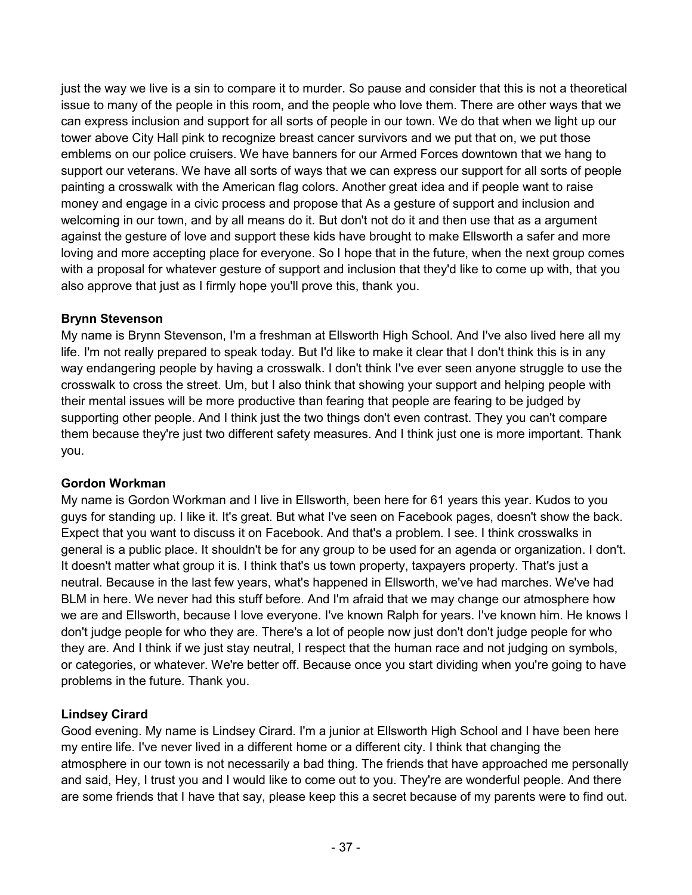just the way we live is a sin to compare it to murder. So pause and consider that this is not a theoretical issue to many of the people in this room, and the people who love them. There are other ways that we can express inclusion and support for all sorts of people in our town. We do that when we light up our tower above City Hall pink to recognize breast cancer survivors and we put that on, we put those emblems on our police cruisers. We have banners for our Armed Forces downtown that we hang to support our veterans. We have all sorts of ways that we can express our support for all sorts of people painting a crosswalk with the American flag colors. Another great idea and if people want to raise money and engage in a civic process and propose that As a gesture of support and inclusion and welcoming in our town, and by all means do it. But don't not do it and then use that as a argument against the gesture of love and support these kids have brought to make Ellsworth a safer and more loving and more accepting place for everyone. So I hope that in the future, when the next group comes with a proposal for whatever gesture of support and inclusion that they'd like to come up with, that you also approve that just as I firmly hope you'll prove this, thank you.

### **Brynn Stevenson**

My name is Brynn Stevenson, I'm a freshman at Ellsworth High School. And I've also lived here all my life. I'm not really prepared to speak today. But I'd like to make it clear that I don't think this is in any way endangering people by having a crosswalk. I don't think I've ever seen anyone struggle to use the crosswalk to cross the street. Um, but I also think that showing your support and helping people with their mental issues will be more productive than fearing that people are fearing to be judged by supporting other people. And I think just the two things don't even contrast. They you can't compare them because they're just two different safety measures. And I think just one is more important. Thank you.

### **Gordon Workman**

My name is Gordon Workman and I live in Ellsworth, been here for 61 years this year. Kudos to you guys for standing up. I like it. It's great. But what I've seen on Facebook pages, doesn't show the back. Expect that you want to discuss it on Facebook. And that's a problem. I see. I think crosswalks in general is a public place. It shouldn't be for any group to be used for an agenda or organization. I don't. It doesn't matter what group it is. I think that's us town property, taxpayers property. That's just a neutral. Because in the last few years, what's happened in Ellsworth, we've had marches. We've had BLM in here. We never had this stuff before. And I'm afraid that we may change our atmosphere how we are and Ellsworth, because I love everyone. I've known Ralph for years. I've known him. He knows I don't judge people for who they are. There's a lot of people now just don't don't judge people for who they are. And I think if we just stay neutral, I respect that the human race and not judging on symbols, or categories, or whatever. We're better off. Because once you start dividing when you're going to have problems in the future. Thank you.

# **Lindsey Cirard**

Good evening. My name is Lindsey Cirard. I'm a junior at Ellsworth High School and I have been here my entire life. I've never lived in a different home or a different city. I think that changing the atmosphere in our town is not necessarily a bad thing. The friends that have approached me personally and said, Hey, I trust you and I would like to come out to you. They're are wonderful people. And there are some friends that I have that say, please keep this a secret because of my parents were to find out.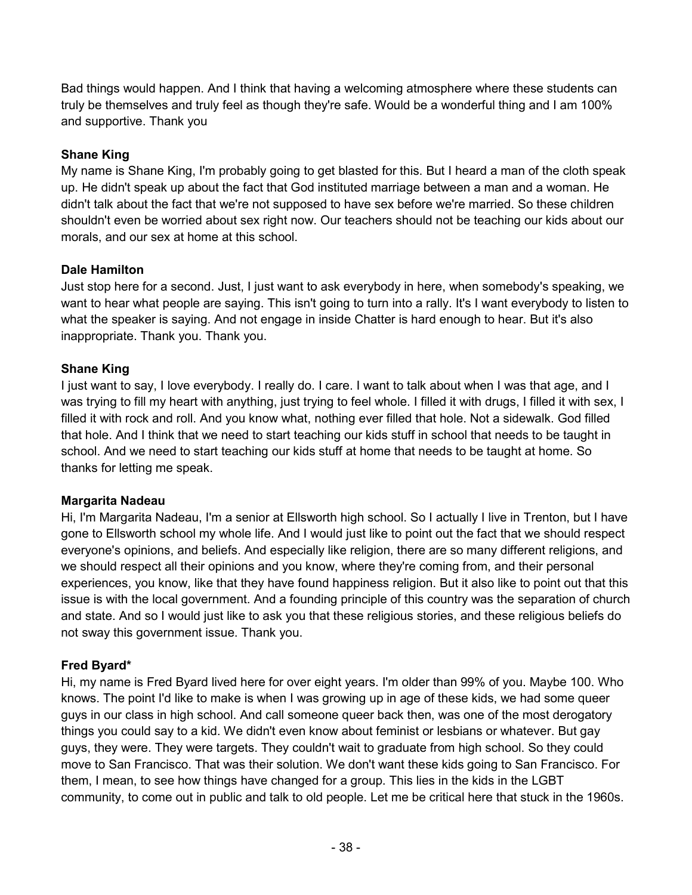Bad things would happen. And I think that having a welcoming atmosphere where these students can truly be themselves and truly feel as though they're safe. Would be a wonderful thing and I am 100% and supportive. Thank you

# **Shane King**

My name is Shane King, I'm probably going to get blasted for this. But I heard a man of the cloth speak up. He didn't speak up about the fact that God instituted marriage between a man and a woman. He didn't talk about the fact that we're not supposed to have sex before we're married. So these children shouldn't even be worried about sex right now. Our teachers should not be teaching our kids about our morals, and our sex at home at this school.

# **Dale Hamilton**

Just stop here for a second. Just, I just want to ask everybody in here, when somebody's speaking, we want to hear what people are saying. This isn't going to turn into a rally. It's I want everybody to listen to what the speaker is saying. And not engage in inside Chatter is hard enough to hear. But it's also inappropriate. Thank you. Thank you.

# **Shane King**

I just want to say, I love everybody. I really do. I care. I want to talk about when I was that age, and I was trying to fill my heart with anything, just trying to feel whole. I filled it with drugs, I filled it with sex, I filled it with rock and roll. And you know what, nothing ever filled that hole. Not a sidewalk. God filled that hole. And I think that we need to start teaching our kids stuff in school that needs to be taught in school. And we need to start teaching our kids stuff at home that needs to be taught at home. So thanks for letting me speak.

### **Margarita Nadeau**

Hi, I'm Margarita Nadeau, I'm a senior at Ellsworth high school. So I actually I live in Trenton, but I have gone to Ellsworth school my whole life. And I would just like to point out the fact that we should respect everyone's opinions, and beliefs. And especially like religion, there are so many different religions, and we should respect all their opinions and you know, where they're coming from, and their personal experiences, you know, like that they have found happiness religion. But it also like to point out that this issue is with the local government. And a founding principle of this country was the separation of church and state. And so I would just like to ask you that these religious stories, and these religious beliefs do not sway this government issue. Thank you.

# **Fred Byard\***

Hi, my name is Fred Byard lived here for over eight years. I'm older than 99% of you. Maybe 100. Who knows. The point I'd like to make is when I was growing up in age of these kids, we had some queer guys in our class in high school. And call someone queer back then, was one of the most derogatory things you could say to a kid. We didn't even know about feminist or lesbians or whatever. But gay guys, they were. They were targets. They couldn't wait to graduate from high school. So they could move to San Francisco. That was their solution. We don't want these kids going to San Francisco. For them, I mean, to see how things have changed for a group. This lies in the kids in the LGBT community, to come out in public and talk to old people. Let me be critical here that stuck in the 1960s.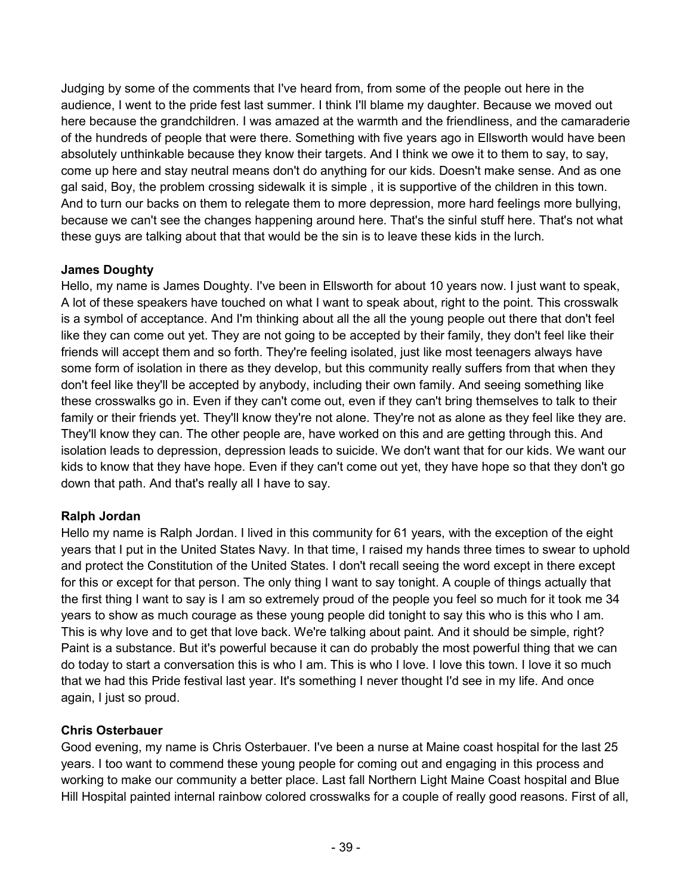Judging by some of the comments that I've heard from, from some of the people out here in the audience, I went to the pride fest last summer. I think I'll blame my daughter. Because we moved out here because the grandchildren. I was amazed at the warmth and the friendliness, and the camaraderie of the hundreds of people that were there. Something with five years ago in Ellsworth would have been absolutely unthinkable because they know their targets. And I think we owe it to them to say, to say, come up here and stay neutral means don't do anything for our kids. Doesn't make sense. And as one gal said, Boy, the problem crossing sidewalk it is simple , it is supportive of the children in this town. And to turn our backs on them to relegate them to more depression, more hard feelings more bullying, because we can't see the changes happening around here. That's the sinful stuff here. That's not what these guys are talking about that that would be the sin is to leave these kids in the lurch.

# **James Doughty**

Hello, my name is James Doughty. I've been in Ellsworth for about 10 years now. I just want to speak, A lot of these speakers have touched on what I want to speak about, right to the point. This crosswalk is a symbol of acceptance. And I'm thinking about all the all the young people out there that don't feel like they can come out yet. They are not going to be accepted by their family, they don't feel like their friends will accept them and so forth. They're feeling isolated, just like most teenagers always have some form of isolation in there as they develop, but this community really suffers from that when they don't feel like they'll be accepted by anybody, including their own family. And seeing something like these crosswalks go in. Even if they can't come out, even if they can't bring themselves to talk to their family or their friends yet. They'll know they're not alone. They're not as alone as they feel like they are. They'll know they can. The other people are, have worked on this and are getting through this. And isolation leads to depression, depression leads to suicide. We don't want that for our kids. We want our kids to know that they have hope. Even if they can't come out yet, they have hope so that they don't go down that path. And that's really all I have to say.

### **Ralph Jordan**

Hello my name is Ralph Jordan. I lived in this community for 61 years, with the exception of the eight years that I put in the United States Navy. In that time, I raised my hands three times to swear to uphold and protect the Constitution of the United States. I don't recall seeing the word except in there except for this or except for that person. The only thing I want to say tonight. A couple of things actually that the first thing I want to say is I am so extremely proud of the people you feel so much for it took me 34 years to show as much courage as these young people did tonight to say this who is this who I am. This is why love and to get that love back. We're talking about paint. And it should be simple, right? Paint is a substance. But it's powerful because it can do probably the most powerful thing that we can do today to start a conversation this is who I am. This is who I love. I love this town. I love it so much that we had this Pride festival last year. It's something I never thought I'd see in my life. And once again, I just so proud.

### **Chris Osterbauer**

Good evening, my name is Chris Osterbauer. I've been a nurse at Maine coast hospital for the last 25 years. I too want to commend these young people for coming out and engaging in this process and working to make our community a better place. Last fall Northern Light Maine Coast hospital and Blue Hill Hospital painted internal rainbow colored crosswalks for a couple of really good reasons. First of all,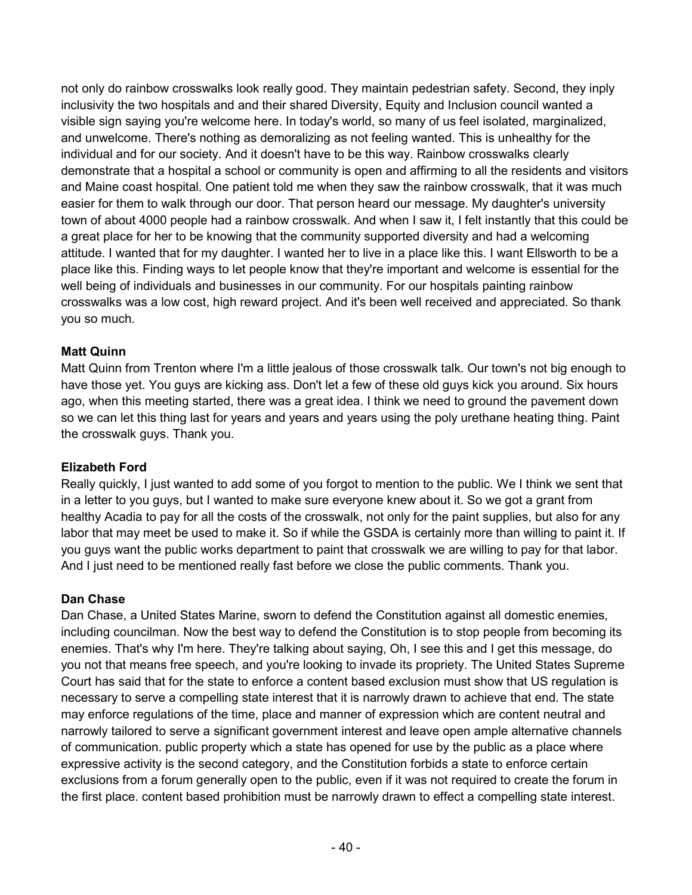not only do rainbow crosswalks look really good. They maintain pedestrian safety. Second, they inply inclusivity the two hospitals and and their shared Diversity, Equity and Inclusion council wanted a visible sign saying you're welcome here. In today's world, so many of us feel isolated, marginalized, and unwelcome. There's nothing as demoralizing as not feeling wanted. This is unhealthy for the individual and for our society. And it doesn't have to be this way. Rainbow crosswalks clearly demonstrate that a hospital a school or community is open and affirming to all the residents and visitors and Maine coast hospital. One patient told me when they saw the rainbow crosswalk, that it was much easier for them to walk through our door. That person heard our message. My daughter's university town of about 4000 people had a rainbow crosswalk. And when I saw it, I felt instantly that this could be a great place for her to be knowing that the community supported diversity and had a welcoming attitude. I wanted that for my daughter. I wanted her to live in a place like this. I want Ellsworth to be a place like this. Finding ways to let people know that they're important and welcome is essential for the well being of individuals and businesses in our community. For our hospitals painting rainbow crosswalks was a low cost, high reward project. And it's been well received and appreciated. So thank you so much.

# **Matt Quinn**

Matt Quinn from Trenton where I'm a little jealous of those crosswalk talk. Our town's not big enough to have those yet. You guys are kicking ass. Don't let a few of these old guys kick you around. Six hours ago, when this meeting started, there was a great idea. I think we need to ground the pavement down so we can let this thing last for years and years and years using the poly urethane heating thing. Paint the crosswalk guys. Thank you.

### **Elizabeth Ford**

Really quickly, I just wanted to add some of you forgot to mention to the public. We I think we sent that in a letter to you guys, but I wanted to make sure everyone knew about it. So we got a grant from healthy Acadia to pay for all the costs of the crosswalk, not only for the paint supplies, but also for any labor that may meet be used to make it. So if while the GSDA is certainly more than willing to paint it. If you guys want the public works department to paint that crosswalk we are willing to pay for that labor. And I just need to be mentioned really fast before we close the public comments. Thank you.

# **Dan Chase**

Dan Chase, a United States Marine, sworn to defend the Constitution against all domestic enemies, including councilman. Now the best way to defend the Constitution is to stop people from becoming its enemies. That's why I'm here. They're talking about saying, Oh, I see this and I get this message, do you not that means free speech, and you're looking to invade its propriety. The United States Supreme Court has said that for the state to enforce a content based exclusion must show that US regulation is necessary to serve a compelling state interest that it is narrowly drawn to achieve that end. The state may enforce regulations of the time, place and manner of expression which are content neutral and narrowly tailored to serve a significant government interest and leave open ample alternative channels of communication. public property which a state has opened for use by the public as a place where expressive activity is the second category, and the Constitution forbids a state to enforce certain exclusions from a forum generally open to the public, even if it was not required to create the forum in the first place. content based prohibition must be narrowly drawn to effect a compelling state interest.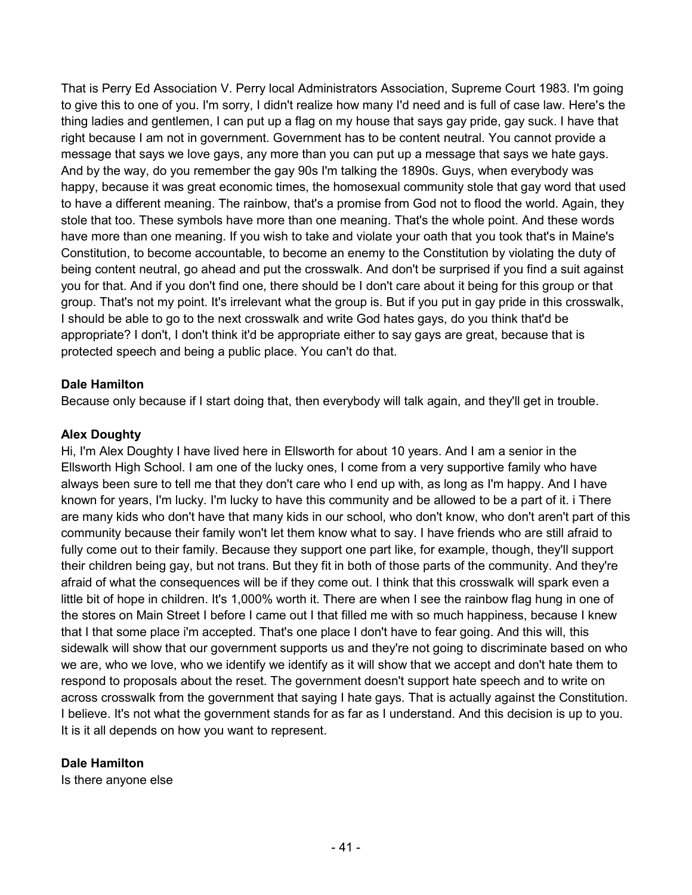That is Perry Ed Association V. Perry local Administrators Association, Supreme Court 1983. I'm going to give this to one of you. I'm sorry, I didn't realize how many I'd need and is full of case law. Here's the thing ladies and gentlemen, I can put up a flag on my house that says gay pride, gay suck. I have that right because I am not in government. Government has to be content neutral. You cannot provide a message that says we love gays, any more than you can put up a message that says we hate gays. And by the way, do you remember the gay 90s I'm talking the 1890s. Guys, when everybody was happy, because it was great economic times, the homosexual community stole that gay word that used to have a different meaning. The rainbow, that's a promise from God not to flood the world. Again, they stole that too. These symbols have more than one meaning. That's the whole point. And these words have more than one meaning. If you wish to take and violate your oath that you took that's in Maine's Constitution, to become accountable, to become an enemy to the Constitution by violating the duty of being content neutral, go ahead and put the crosswalk. And don't be surprised if you find a suit against you for that. And if you don't find one, there should be I don't care about it being for this group or that group. That's not my point. It's irrelevant what the group is. But if you put in gay pride in this crosswalk, I should be able to go to the next crosswalk and write God hates gays, do you think that'd be appropriate? I don't, I don't think it'd be appropriate either to say gays are great, because that is protected speech and being a public place. You can't do that.

### **Dale Hamilton**

Because only because if I start doing that, then everybody will talk again, and they'll get in trouble.

### **Alex Doughty**

Hi, I'm Alex Doughty I have lived here in Ellsworth for about 10 years. And I am a senior in the Ellsworth High School. I am one of the lucky ones, I come from a very supportive family who have always been sure to tell me that they don't care who I end up with, as long as I'm happy. And I have known for years, I'm lucky. I'm lucky to have this community and be allowed to be a part of it. i There are many kids who don't have that many kids in our school, who don't know, who don't aren't part of this community because their family won't let them know what to say. I have friends who are still afraid to fully come out to their family. Because they support one part like, for example, though, they'll support their children being gay, but not trans. But they fit in both of those parts of the community. And they're afraid of what the consequences will be if they come out. I think that this crosswalk will spark even a little bit of hope in children. It's 1,000% worth it. There are when I see the rainbow flag hung in one of the stores on Main Street I before I came out I that filled me with so much happiness, because I knew that I that some place i'm accepted. That's one place I don't have to fear going. And this will, this sidewalk will show that our government supports us and they're not going to discriminate based on who we are, who we love, who we identify we identify as it will show that we accept and don't hate them to respond to proposals about the reset. The government doesn't support hate speech and to write on across crosswalk from the government that saying I hate gays. That is actually against the Constitution. I believe. It's not what the government stands for as far as I understand. And this decision is up to you. It is it all depends on how you want to represent.

### **Dale Hamilton**

Is there anyone else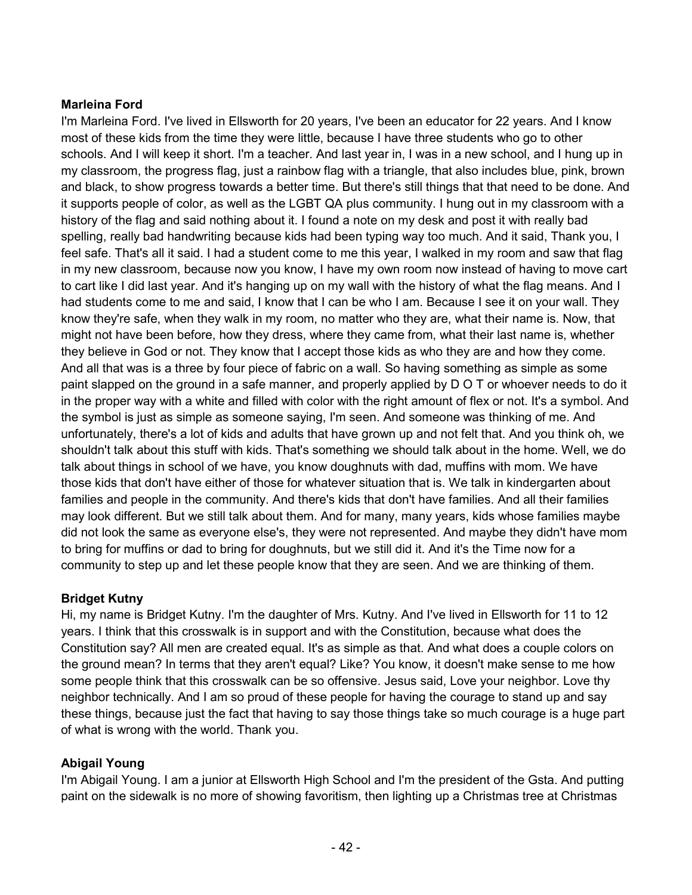### **Marleina Ford**

I'm Marleina Ford. I've lived in Ellsworth for 20 years, I've been an educator for 22 years. And I know most of these kids from the time they were little, because I have three students who go to other schools. And I will keep it short. I'm a teacher. And last year in, I was in a new school, and I hung up in my classroom, the progress flag, just a rainbow flag with a triangle, that also includes blue, pink, brown and black, to show progress towards a better time. But there's still things that that need to be done. And it supports people of color, as well as the LGBT QA plus community. I hung out in my classroom with a history of the flag and said nothing about it. I found a note on my desk and post it with really bad spelling, really bad handwriting because kids had been typing way too much. And it said, Thank you, I feel safe. That's all it said. I had a student come to me this year, I walked in my room and saw that flag in my new classroom, because now you know, I have my own room now instead of having to move cart to cart like I did last year. And it's hanging up on my wall with the history of what the flag means. And I had students come to me and said, I know that I can be who I am. Because I see it on your wall. They know they're safe, when they walk in my room, no matter who they are, what their name is. Now, that might not have been before, how they dress, where they came from, what their last name is, whether they believe in God or not. They know that I accept those kids as who they are and how they come. And all that was is a three by four piece of fabric on a wall. So having something as simple as some paint slapped on the ground in a safe manner, and properly applied by D O T or whoever needs to do it in the proper way with a white and filled with color with the right amount of flex or not. It's a symbol. And the symbol is just as simple as someone saying, I'm seen. And someone was thinking of me. And unfortunately, there's a lot of kids and adults that have grown up and not felt that. And you think oh, we shouldn't talk about this stuff with kids. That's something we should talk about in the home. Well, we do talk about things in school of we have, you know doughnuts with dad, muffins with mom. We have those kids that don't have either of those for whatever situation that is. We talk in kindergarten about families and people in the community. And there's kids that don't have families. And all their families may look different. But we still talk about them. And for many, many years, kids whose families maybe did not look the same as everyone else's, they were not represented. And maybe they didn't have mom to bring for muffins or dad to bring for doughnuts, but we still did it. And it's the Time now for a community to step up and let these people know that they are seen. And we are thinking of them.

### **Bridget Kutny**

Hi, my name is Bridget Kutny. I'm the daughter of Mrs. Kutny. And I've lived in Ellsworth for 11 to 12 years. I think that this crosswalk is in support and with the Constitution, because what does the Constitution say? All men are created equal. It's as simple as that. And what does a couple colors on the ground mean? In terms that they aren't equal? Like? You know, it doesn't make sense to me how some people think that this crosswalk can be so offensive. Jesus said, Love your neighbor. Love thy neighbor technically. And I am so proud of these people for having the courage to stand up and say these things, because just the fact that having to say those things take so much courage is a huge part of what is wrong with the world. Thank you.

### **Abigail Young**

I'm Abigail Young. I am a junior at Ellsworth High School and I'm the president of the Gsta. And putting paint on the sidewalk is no more of showing favoritism, then lighting up a Christmas tree at Christmas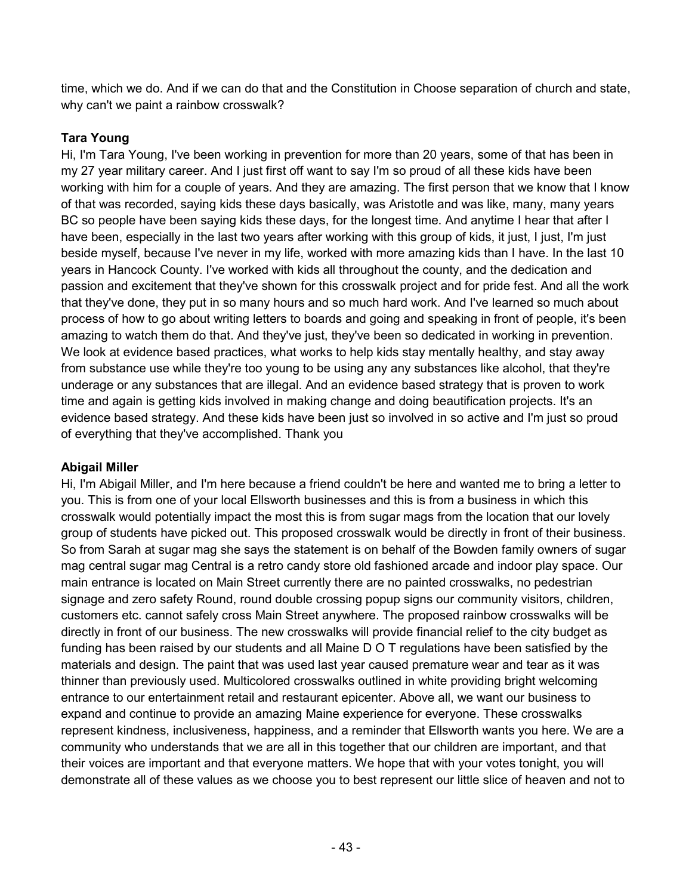time, which we do. And if we can do that and the Constitution in Choose separation of church and state, why can't we paint a rainbow crosswalk?

# **Tara Young**

Hi, I'm Tara Young, I've been working in prevention for more than 20 years, some of that has been in my 27 year military career. And I just first off want to say I'm so proud of all these kids have been working with him for a couple of years. And they are amazing. The first person that we know that I know of that was recorded, saying kids these days basically, was Aristotle and was like, many, many years BC so people have been saying kids these days, for the longest time. And anytime I hear that after I have been, especially in the last two years after working with this group of kids, it just, I just, I'm just beside myself, because I've never in my life, worked with more amazing kids than I have. In the last 10 years in Hancock County. I've worked with kids all throughout the county, and the dedication and passion and excitement that they've shown for this crosswalk project and for pride fest. And all the work that they've done, they put in so many hours and so much hard work. And I've learned so much about process of how to go about writing letters to boards and going and speaking in front of people, it's been amazing to watch them do that. And they've just, they've been so dedicated in working in prevention. We look at evidence based practices, what works to help kids stay mentally healthy, and stay away from substance use while they're too young to be using any any substances like alcohol, that they're underage or any substances that are illegal. And an evidence based strategy that is proven to work time and again is getting kids involved in making change and doing beautification projects. It's an evidence based strategy. And these kids have been just so involved in so active and I'm just so proud of everything that they've accomplished. Thank you

### **Abigail Miller**

Hi, I'm Abigail Miller, and I'm here because a friend couldn't be here and wanted me to bring a letter to you. This is from one of your local Ellsworth businesses and this is from a business in which this crosswalk would potentially impact the most this is from sugar mags from the location that our lovely group of students have picked out. This proposed crosswalk would be directly in front of their business. So from Sarah at sugar mag she says the statement is on behalf of the Bowden family owners of sugar mag central sugar mag Central is a retro candy store old fashioned arcade and indoor play space. Our main entrance is located on Main Street currently there are no painted crosswalks, no pedestrian signage and zero safety Round, round double crossing popup signs our community visitors, children, customers etc. cannot safely cross Main Street anywhere. The proposed rainbow crosswalks will be directly in front of our business. The new crosswalks will provide financial relief to the city budget as funding has been raised by our students and all Maine D O T regulations have been satisfied by the materials and design. The paint that was used last year caused premature wear and tear as it was thinner than previously used. Multicolored crosswalks outlined in white providing bright welcoming entrance to our entertainment retail and restaurant epicenter. Above all, we want our business to expand and continue to provide an amazing Maine experience for everyone. These crosswalks represent kindness, inclusiveness, happiness, and a reminder that Ellsworth wants you here. We are a community who understands that we are all in this together that our children are important, and that their voices are important and that everyone matters. We hope that with your votes tonight, you will demonstrate all of these values as we choose you to best represent our little slice of heaven and not to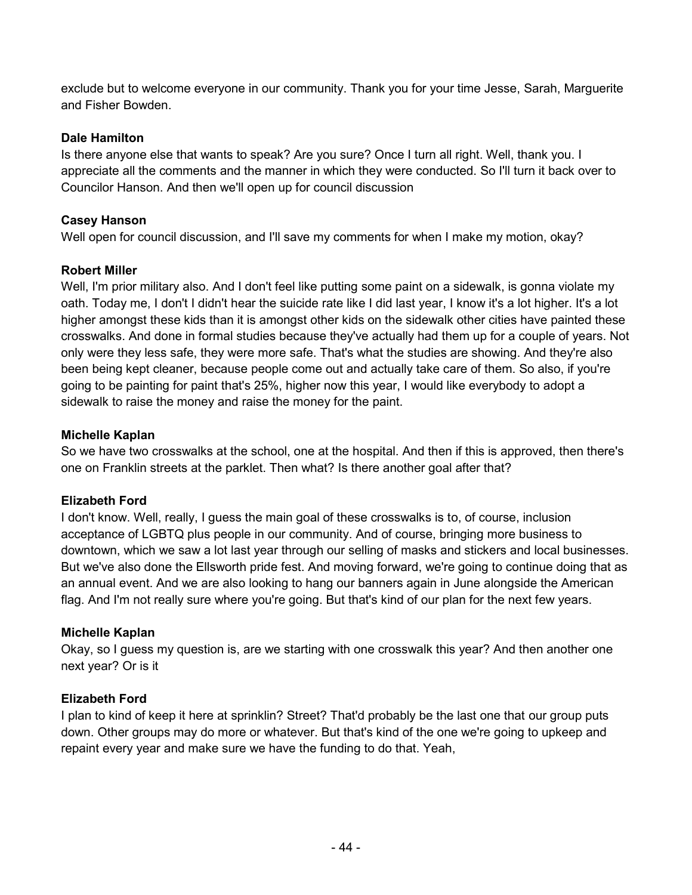exclude but to welcome everyone in our community. Thank you for your time Jesse, Sarah, Marguerite and Fisher Bowden.

### **Dale Hamilton**

Is there anyone else that wants to speak? Are you sure? Once I turn all right. Well, thank you. I appreciate all the comments and the manner in which they were conducted. So I'll turn it back over to Councilor Hanson. And then we'll open up for council discussion

### **Casey Hanson**

Well open for council discussion, and I'll save my comments for when I make my motion, okay?

### **Robert Miller**

Well, I'm prior military also. And I don't feel like putting some paint on a sidewalk, is gonna violate my oath. Today me, I don't I didn't hear the suicide rate like I did last year, I know it's a lot higher. It's a lot higher amongst these kids than it is amongst other kids on the sidewalk other cities have painted these crosswalks. And done in formal studies because they've actually had them up for a couple of years. Not only were they less safe, they were more safe. That's what the studies are showing. And they're also been being kept cleaner, because people come out and actually take care of them. So also, if you're going to be painting for paint that's 25%, higher now this year, I would like everybody to adopt a sidewalk to raise the money and raise the money for the paint.

### **Michelle Kaplan**

So we have two crosswalks at the school, one at the hospital. And then if this is approved, then there's one on Franklin streets at the parklet. Then what? Is there another goal after that?

### **Elizabeth Ford**

I don't know. Well, really, I guess the main goal of these crosswalks is to, of course, inclusion acceptance of LGBTQ plus people in our community. And of course, bringing more business to downtown, which we saw a lot last year through our selling of masks and stickers and local businesses. But we've also done the Ellsworth pride fest. And moving forward, we're going to continue doing that as an annual event. And we are also looking to hang our banners again in June alongside the American flag. And I'm not really sure where you're going. But that's kind of our plan for the next few years.

### **Michelle Kaplan**

Okay, so I guess my question is, are we starting with one crosswalk this year? And then another one next year? Or is it

### **Elizabeth Ford**

I plan to kind of keep it here at sprinklin? Street? That'd probably be the last one that our group puts down. Other groups may do more or whatever. But that's kind of the one we're going to upkeep and repaint every year and make sure we have the funding to do that. Yeah,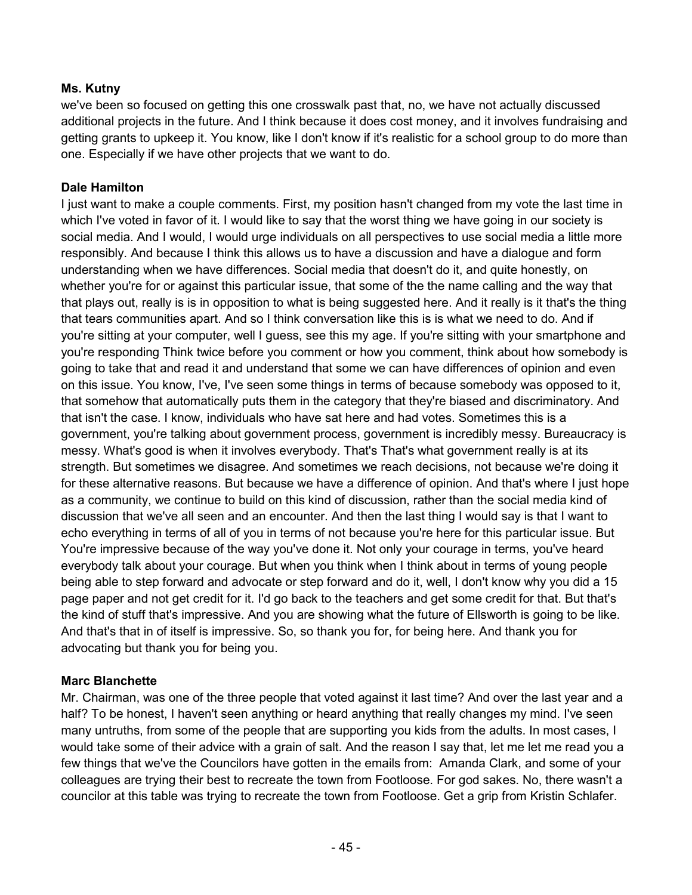# **Ms. Kutny**

we've been so focused on getting this one crosswalk past that, no, we have not actually discussed additional projects in the future. And I think because it does cost money, and it involves fundraising and getting grants to upkeep it. You know, like I don't know if it's realistic for a school group to do more than one. Especially if we have other projects that we want to do.

### **Dale Hamilton**

I just want to make a couple comments. First, my position hasn't changed from my vote the last time in which I've voted in favor of it. I would like to say that the worst thing we have going in our society is social media. And I would, I would urge individuals on all perspectives to use social media a little more responsibly. And because I think this allows us to have a discussion and have a dialogue and form understanding when we have differences. Social media that doesn't do it, and quite honestly, on whether you're for or against this particular issue, that some of the the name calling and the way that that plays out, really is is in opposition to what is being suggested here. And it really is it that's the thing that tears communities apart. And so I think conversation like this is is what we need to do. And if you're sitting at your computer, well I guess, see this my age. If you're sitting with your smartphone and you're responding Think twice before you comment or how you comment, think about how somebody is going to take that and read it and understand that some we can have differences of opinion and even on this issue. You know, I've, I've seen some things in terms of because somebody was opposed to it, that somehow that automatically puts them in the category that they're biased and discriminatory. And that isn't the case. I know, individuals who have sat here and had votes. Sometimes this is a government, you're talking about government process, government is incredibly messy. Bureaucracy is messy. What's good is when it involves everybody. That's That's what government really is at its strength. But sometimes we disagree. And sometimes we reach decisions, not because we're doing it for these alternative reasons. But because we have a difference of opinion. And that's where I just hope as a community, we continue to build on this kind of discussion, rather than the social media kind of discussion that we've all seen and an encounter. And then the last thing I would say is that I want to echo everything in terms of all of you in terms of not because you're here for this particular issue. But You're impressive because of the way you've done it. Not only your courage in terms, you've heard everybody talk about your courage. But when you think when I think about in terms of young people being able to step forward and advocate or step forward and do it, well, I don't know why you did a 15 page paper and not get credit for it. I'd go back to the teachers and get some credit for that. But that's the kind of stuff that's impressive. And you are showing what the future of Ellsworth is going to be like. And that's that in of itself is impressive. So, so thank you for, for being here. And thank you for advocating but thank you for being you.

### **Marc Blanchette**

Mr. Chairman, was one of the three people that voted against it last time? And over the last year and a half? To be honest, I haven't seen anything or heard anything that really changes my mind. I've seen many untruths, from some of the people that are supporting you kids from the adults. In most cases, I would take some of their advice with a grain of salt. And the reason I say that, let me let me read you a few things that we've the Councilors have gotten in the emails from: Amanda Clark, and some of your colleagues are trying their best to recreate the town from Footloose. For god sakes. No, there wasn't a councilor at this table was trying to recreate the town from Footloose. Get a grip from Kristin Schlafer.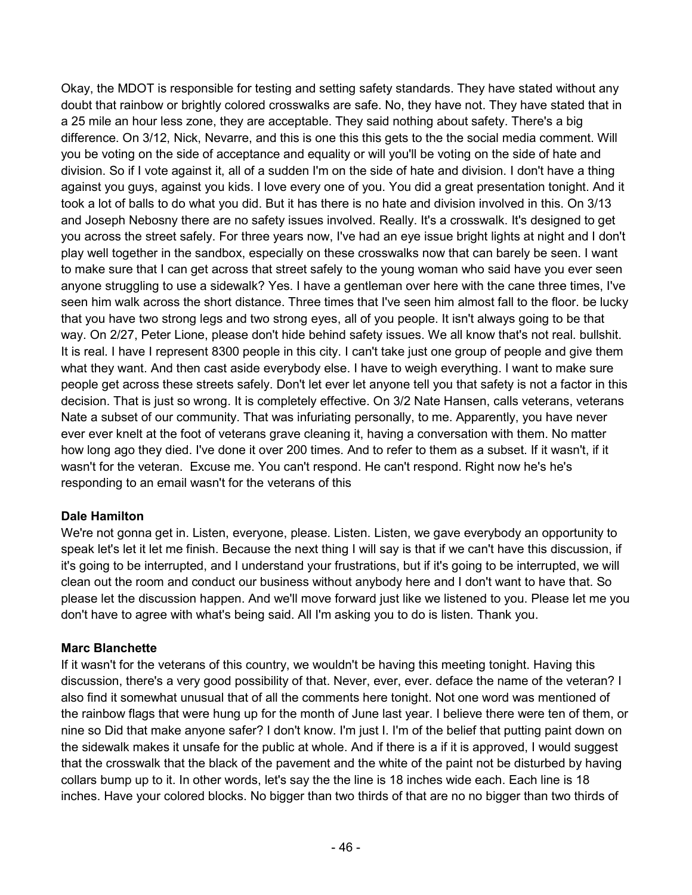Okay, the MDOT is responsible for testing and setting safety standards. They have stated without any doubt that rainbow or brightly colored crosswalks are safe. No, they have not. They have stated that in a 25 mile an hour less zone, they are acceptable. They said nothing about safety. There's a big difference. On 3/12, Nick, Nevarre, and this is one this this gets to the the social media comment. Will you be voting on the side of acceptance and equality or will you'll be voting on the side of hate and division. So if I vote against it, all of a sudden I'm on the side of hate and division. I don't have a thing against you guys, against you kids. I love every one of you. You did a great presentation tonight. And it took a lot of balls to do what you did. But it has there is no hate and division involved in this. On 3/13 and Joseph Nebosny there are no safety issues involved. Really. It's a crosswalk. It's designed to get you across the street safely. For three years now, I've had an eye issue bright lights at night and I don't play well together in the sandbox, especially on these crosswalks now that can barely be seen. I want to make sure that I can get across that street safely to the young woman who said have you ever seen anyone struggling to use a sidewalk? Yes. I have a gentleman over here with the cane three times, I've seen him walk across the short distance. Three times that I've seen him almost fall to the floor. be lucky that you have two strong legs and two strong eyes, all of you people. It isn't always going to be that way. On 2/27, Peter Lione, please don't hide behind safety issues. We all know that's not real. bullshit. It is real. I have I represent 8300 people in this city. I can't take just one group of people and give them what they want. And then cast aside everybody else. I have to weigh everything. I want to make sure people get across these streets safely. Don't let ever let anyone tell you that safety is not a factor in this decision. That is just so wrong. It is completely effective. On 3/2 Nate Hansen, calls veterans, veterans Nate a subset of our community. That was infuriating personally, to me. Apparently, you have never ever ever knelt at the foot of veterans grave cleaning it, having a conversation with them. No matter how long ago they died. I've done it over 200 times. And to refer to them as a subset. If it wasn't, if it wasn't for the veteran. Excuse me. You can't respond. He can't respond. Right now he's he's responding to an email wasn't for the veterans of this

### **Dale Hamilton**

We're not gonna get in. Listen, everyone, please. Listen. Listen, we gave everybody an opportunity to speak let's let it let me finish. Because the next thing I will say is that if we can't have this discussion, if it's going to be interrupted, and I understand your frustrations, but if it's going to be interrupted, we will clean out the room and conduct our business without anybody here and I don't want to have that. So please let the discussion happen. And we'll move forward just like we listened to you. Please let me you don't have to agree with what's being said. All I'm asking you to do is listen. Thank you.

### **Marc Blanchette**

If it wasn't for the veterans of this country, we wouldn't be having this meeting tonight. Having this discussion, there's a very good possibility of that. Never, ever, ever. deface the name of the veteran? I also find it somewhat unusual that of all the comments here tonight. Not one word was mentioned of the rainbow flags that were hung up for the month of June last year. I believe there were ten of them, or nine so Did that make anyone safer? I don't know. I'm just I. I'm of the belief that putting paint down on the sidewalk makes it unsafe for the public at whole. And if there is a if it is approved, I would suggest that the crosswalk that the black of the pavement and the white of the paint not be disturbed by having collars bump up to it. In other words, let's say the the line is 18 inches wide each. Each line is 18 inches. Have your colored blocks. No bigger than two thirds of that are no no bigger than two thirds of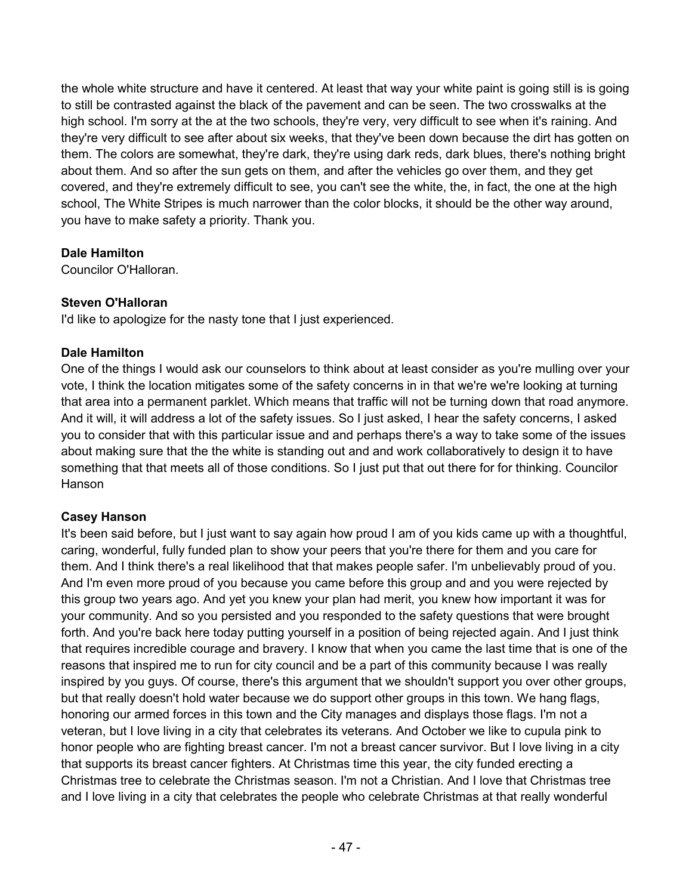the whole white structure and have it centered. At least that way your white paint is going still is is going to still be contrasted against the black of the pavement and can be seen. The two crosswalks at the high school. I'm sorry at the at the two schools, they're very, very difficult to see when it's raining. And they're very difficult to see after about six weeks, that they've been down because the dirt has gotten on them. The colors are somewhat, they're dark, they're using dark reds, dark blues, there's nothing bright about them. And so after the sun gets on them, and after the vehicles go over them, and they get covered, and they're extremely difficult to see, you can't see the white, the, in fact, the one at the high school, The White Stripes is much narrower than the color blocks, it should be the other way around, you have to make safety a priority. Thank you.

# **Dale Hamilton**

Councilor O'Halloran.

# **Steven O'Halloran**

I'd like to apologize for the nasty tone that I just experienced.

# **Dale Hamilton**

One of the things I would ask our counselors to think about at least consider as you're mulling over your vote, I think the location mitigates some of the safety concerns in in that we're we're looking at turning that area into a permanent parklet. Which means that traffic will not be turning down that road anymore. And it will, it will address a lot of the safety issues. So I just asked, I hear the safety concerns, I asked you to consider that with this particular issue and and perhaps there's a way to take some of the issues about making sure that the the white is standing out and and work collaboratively to design it to have something that that meets all of those conditions. So I just put that out there for for thinking. Councilor Hanson

# **Casey Hanson**

It's been said before, but I just want to say again how proud I am of you kids came up with a thoughtful, caring, wonderful, fully funded plan to show your peers that you're there for them and you care for them. And I think there's a real likelihood that that makes people safer. I'm unbelievably proud of you. And I'm even more proud of you because you came before this group and and you were rejected by this group two years ago. And yet you knew your plan had merit, you knew how important it was for your community. And so you persisted and you responded to the safety questions that were brought forth. And you're back here today putting yourself in a position of being rejected again. And I just think that requires incredible courage and bravery. I know that when you came the last time that is one of the reasons that inspired me to run for city council and be a part of this community because I was really inspired by you guys. Of course, there's this argument that we shouldn't support you over other groups, but that really doesn't hold water because we do support other groups in this town. We hang flags, honoring our armed forces in this town and the City manages and displays those flags. I'm not a veteran, but I love living in a city that celebrates its veterans. And October we like to cupula pink to honor people who are fighting breast cancer. I'm not a breast cancer survivor. But I love living in a city that supports its breast cancer fighters. At Christmas time this year, the city funded erecting a Christmas tree to celebrate the Christmas season. I'm not a Christian. And I love that Christmas tree and I love living in a city that celebrates the people who celebrate Christmas at that really wonderful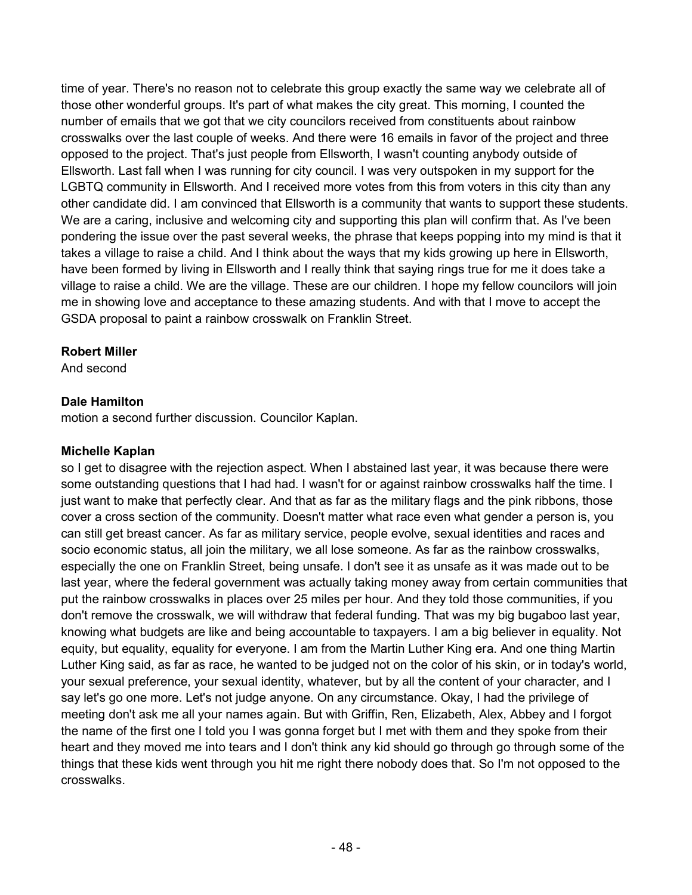time of year. There's no reason not to celebrate this group exactly the same way we celebrate all of those other wonderful groups. It's part of what makes the city great. This morning, I counted the number of emails that we got that we city councilors received from constituents about rainbow crosswalks over the last couple of weeks. And there were 16 emails in favor of the project and three opposed to the project. That's just people from Ellsworth, I wasn't counting anybody outside of Ellsworth. Last fall when I was running for city council. I was very outspoken in my support for the LGBTQ community in Ellsworth. And I received more votes from this from voters in this city than any other candidate did. I am convinced that Ellsworth is a community that wants to support these students. We are a caring, inclusive and welcoming city and supporting this plan will confirm that. As I've been pondering the issue over the past several weeks, the phrase that keeps popping into my mind is that it takes a village to raise a child. And I think about the ways that my kids growing up here in Ellsworth, have been formed by living in Ellsworth and I really think that saying rings true for me it does take a village to raise a child. We are the village. These are our children. I hope my fellow councilors will join me in showing love and acceptance to these amazing students. And with that I move to accept the GSDA proposal to paint a rainbow crosswalk on Franklin Street.

### **Robert Miller**

And second

# **Dale Hamilton**

motion a second further discussion. Councilor Kaplan.

### **Michelle Kaplan**

so I get to disagree with the rejection aspect. When I abstained last year, it was because there were some outstanding questions that I had had. I wasn't for or against rainbow crosswalks half the time. I just want to make that perfectly clear. And that as far as the military flags and the pink ribbons, those cover a cross section of the community. Doesn't matter what race even what gender a person is, you can still get breast cancer. As far as military service, people evolve, sexual identities and races and socio economic status, all join the military, we all lose someone. As far as the rainbow crosswalks, especially the one on Franklin Street, being unsafe. I don't see it as unsafe as it was made out to be last year, where the federal government was actually taking money away from certain communities that put the rainbow crosswalks in places over 25 miles per hour. And they told those communities, if you don't remove the crosswalk, we will withdraw that federal funding. That was my big bugaboo last year, knowing what budgets are like and being accountable to taxpayers. I am a big believer in equality. Not equity, but equality, equality for everyone. I am from the Martin Luther King era. And one thing Martin Luther King said, as far as race, he wanted to be judged not on the color of his skin, or in today's world, your sexual preference, your sexual identity, whatever, but by all the content of your character, and I say let's go one more. Let's not judge anyone. On any circumstance. Okay, I had the privilege of meeting don't ask me all your names again. But with Griffin, Ren, Elizabeth, Alex, Abbey and I forgot the name of the first one I told you I was gonna forget but I met with them and they spoke from their heart and they moved me into tears and I don't think any kid should go through go through some of the things that these kids went through you hit me right there nobody does that. So I'm not opposed to the crosswalks.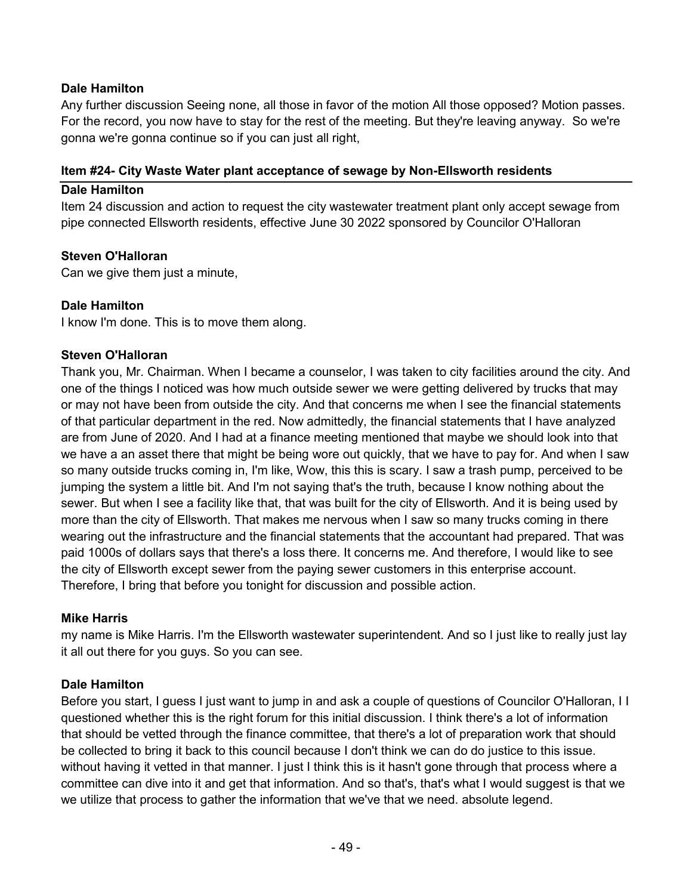### **Dale Hamilton**

Any further discussion Seeing none, all those in favor of the motion All those opposed? Motion passes. For the record, you now have to stay for the rest of the meeting. But they're leaving anyway. So we're gonna we're gonna continue so if you can just all right,

### **Item #24- City Waste Water plant acceptance of sewage by Non-Ellsworth residents**

### **Dale Hamilton**

Item 24 discussion and action to request the city wastewater treatment plant only accept sewage from pipe connected Ellsworth residents, effective June 30 2022 sponsored by Councilor O'Halloran

### **Steven O'Halloran**

Can we give them just a minute,

### **Dale Hamilton**

I know I'm done. This is to move them along.

### **Steven O'Halloran**

Thank you, Mr. Chairman. When I became a counselor, I was taken to city facilities around the city. And one of the things I noticed was how much outside sewer we were getting delivered by trucks that may or may not have been from outside the city. And that concerns me when I see the financial statements of that particular department in the red. Now admittedly, the financial statements that I have analyzed are from June of 2020. And I had at a finance meeting mentioned that maybe we should look into that we have a an asset there that might be being wore out quickly, that we have to pay for. And when I saw so many outside trucks coming in, I'm like, Wow, this this is scary. I saw a trash pump, perceived to be jumping the system a little bit. And I'm not saying that's the truth, because I know nothing about the sewer. But when I see a facility like that, that was built for the city of Ellsworth. And it is being used by more than the city of Ellsworth. That makes me nervous when I saw so many trucks coming in there wearing out the infrastructure and the financial statements that the accountant had prepared. That was paid 1000s of dollars says that there's a loss there. It concerns me. And therefore, I would like to see the city of Ellsworth except sewer from the paying sewer customers in this enterprise account. Therefore, I bring that before you tonight for discussion and possible action.

### **Mike Harris**

my name is Mike Harris. I'm the Ellsworth wastewater superintendent. And so I just like to really just lay it all out there for you guys. So you can see.

### **Dale Hamilton**

Before you start, I guess I just want to jump in and ask a couple of questions of Councilor O'Halloran, I I questioned whether this is the right forum for this initial discussion. I think there's a lot of information that should be vetted through the finance committee, that there's a lot of preparation work that should be collected to bring it back to this council because I don't think we can do do justice to this issue. without having it vetted in that manner. I just I think this is it hasn't gone through that process where a committee can dive into it and get that information. And so that's, that's what I would suggest is that we we utilize that process to gather the information that we've that we need. absolute legend.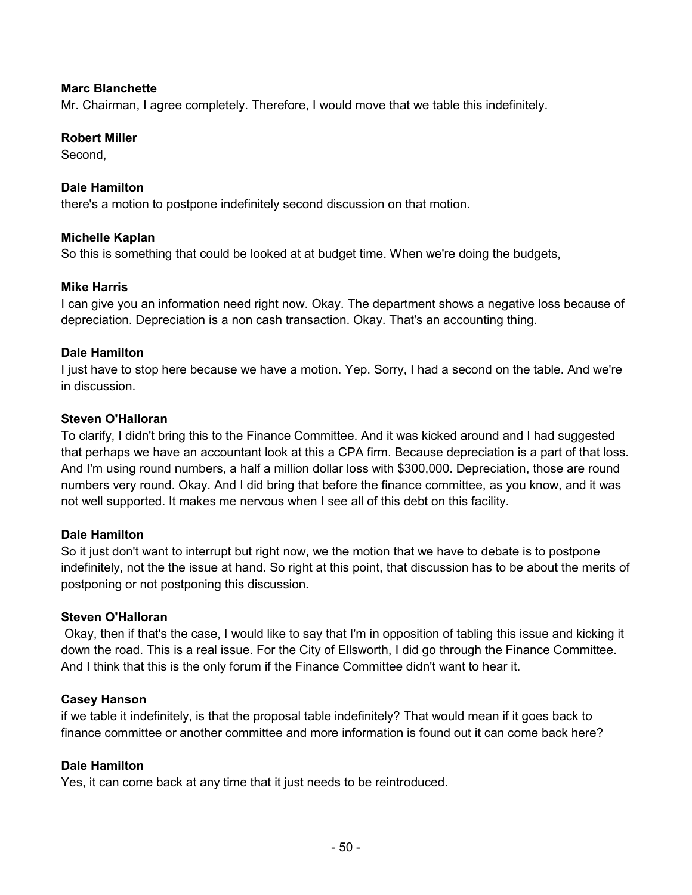### **Marc Blanchette**

Mr. Chairman, I agree completely. Therefore, I would move that we table this indefinitely.

### **Robert Miller**

Second,

### **Dale Hamilton**

there's a motion to postpone indefinitely second discussion on that motion.

### **Michelle Kaplan**

So this is something that could be looked at at budget time. When we're doing the budgets,

### **Mike Harris**

I can give you an information need right now. Okay. The department shows a negative loss because of depreciation. Depreciation is a non cash transaction. Okay. That's an accounting thing.

### **Dale Hamilton**

I just have to stop here because we have a motion. Yep. Sorry, I had a second on the table. And we're in discussion.

### **Steven O'Halloran**

To clarify, I didn't bring this to the Finance Committee. And it was kicked around and I had suggested that perhaps we have an accountant look at this a CPA firm. Because depreciation is a part of that loss. And I'm using round numbers, a half a million dollar loss with \$300,000. Depreciation, those are round numbers very round. Okay. And I did bring that before the finance committee, as you know, and it was not well supported. It makes me nervous when I see all of this debt on this facility.

### **Dale Hamilton**

So it just don't want to interrupt but right now, we the motion that we have to debate is to postpone indefinitely, not the the issue at hand. So right at this point, that discussion has to be about the merits of postponing or not postponing this discussion.

### **Steven O'Halloran**

Okay, then if that's the case, I would like to say that I'm in opposition of tabling this issue and kicking it down the road. This is a real issue. For the City of Ellsworth, I did go through the Finance Committee. And I think that this is the only forum if the Finance Committee didn't want to hear it.

### **Casey Hanson**

if we table it indefinitely, is that the proposal table indefinitely? That would mean if it goes back to finance committee or another committee and more information is found out it can come back here?

### **Dale Hamilton**

Yes, it can come back at any time that it just needs to be reintroduced.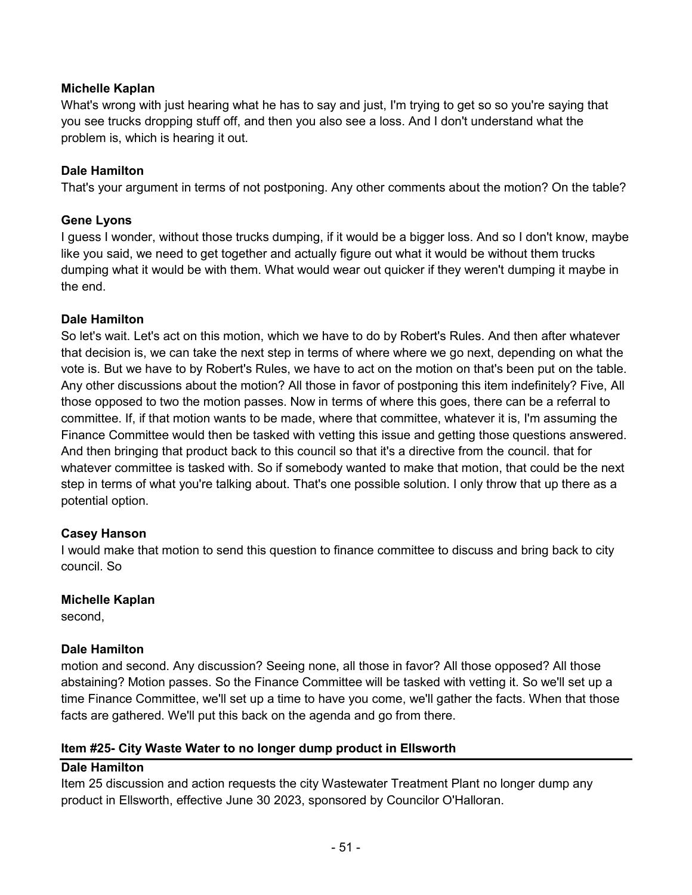### **Michelle Kaplan**

What's wrong with just hearing what he has to say and just, I'm trying to get so so you're saying that you see trucks dropping stuff off, and then you also see a loss. And I don't understand what the problem is, which is hearing it out.

### **Dale Hamilton**

That's your argument in terms of not postponing. Any other comments about the motion? On the table?

### **Gene Lyons**

I guess I wonder, without those trucks dumping, if it would be a bigger loss. And so I don't know, maybe like you said, we need to get together and actually figure out what it would be without them trucks dumping what it would be with them. What would wear out quicker if they weren't dumping it maybe in the end.

### **Dale Hamilton**

So let's wait. Let's act on this motion, which we have to do by Robert's Rules. And then after whatever that decision is, we can take the next step in terms of where where we go next, depending on what the vote is. But we have to by Robert's Rules, we have to act on the motion on that's been put on the table. Any other discussions about the motion? All those in favor of postponing this item indefinitely? Five, All those opposed to two the motion passes. Now in terms of where this goes, there can be a referral to committee. If, if that motion wants to be made, where that committee, whatever it is, I'm assuming the Finance Committee would then be tasked with vetting this issue and getting those questions answered. And then bringing that product back to this council so that it's a directive from the council. that for whatever committee is tasked with. So if somebody wanted to make that motion, that could be the next step in terms of what you're talking about. That's one possible solution. I only throw that up there as a potential option.

### **Casey Hanson**

I would make that motion to send this question to finance committee to discuss and bring back to city council. So

### **Michelle Kaplan**

second,

### **Dale Hamilton**

motion and second. Any discussion? Seeing none, all those in favor? All those opposed? All those abstaining? Motion passes. So the Finance Committee will be tasked with vetting it. So we'll set up a time Finance Committee, we'll set up a time to have you come, we'll gather the facts. When that those facts are gathered. We'll put this back on the agenda and go from there.

### **Item #25- City Waste Water to no longer dump product in Ellsworth**

### **Dale Hamilton**

Item 25 discussion and action requests the city Wastewater Treatment Plant no longer dump any product in Ellsworth, effective June 30 2023, sponsored by Councilor O'Halloran.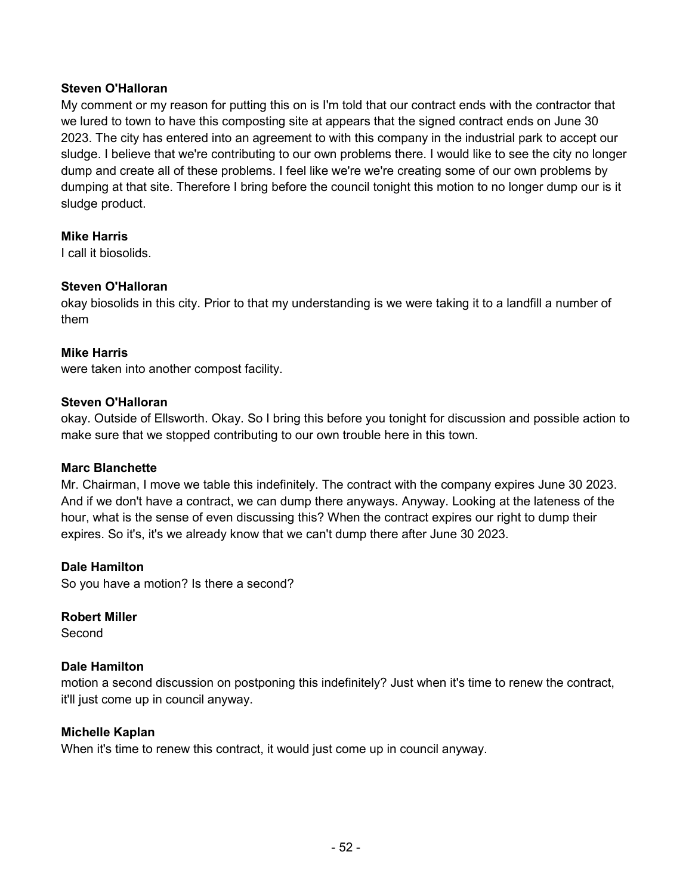### **Steven O'Halloran**

My comment or my reason for putting this on is I'm told that our contract ends with the contractor that we lured to town to have this composting site at appears that the signed contract ends on June 30 2023. The city has entered into an agreement to with this company in the industrial park to accept our sludge. I believe that we're contributing to our own problems there. I would like to see the city no longer dump and create all of these problems. I feel like we're we're creating some of our own problems by dumping at that site. Therefore I bring before the council tonight this motion to no longer dump our is it sludge product.

### **Mike Harris**

I call it biosolids.

### **Steven O'Halloran**

okay biosolids in this city. Prior to that my understanding is we were taking it to a landfill a number of them

### **Mike Harris**

were taken into another compost facility.

### **Steven O'Halloran**

okay. Outside of Ellsworth. Okay. So I bring this before you tonight for discussion and possible action to make sure that we stopped contributing to our own trouble here in this town.

### **Marc Blanchette**

Mr. Chairman, I move we table this indefinitely. The contract with the company expires June 30 2023. And if we don't have a contract, we can dump there anyways. Anyway. Looking at the lateness of the hour, what is the sense of even discussing this? When the contract expires our right to dump their expires. So it's, it's we already know that we can't dump there after June 30 2023.

### **Dale Hamilton**

So you have a motion? Is there a second?

### **Robert Miller**

**Second** 

### **Dale Hamilton**

motion a second discussion on postponing this indefinitely? Just when it's time to renew the contract, it'll just come up in council anyway.

### **Michelle Kaplan**

When it's time to renew this contract, it would just come up in council anyway.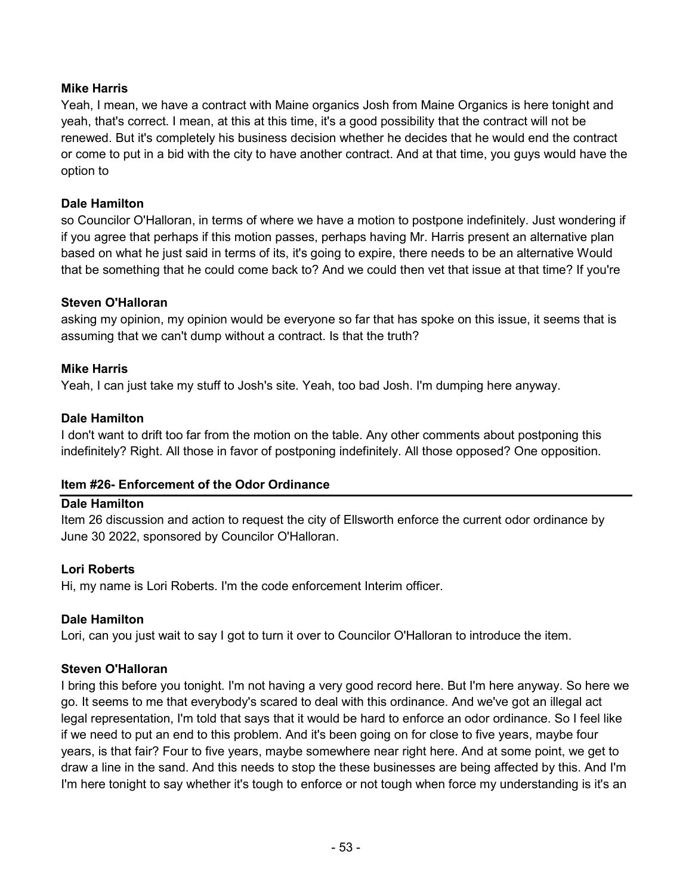### **Mike Harris**

Yeah, I mean, we have a contract with Maine organics Josh from Maine Organics is here tonight and yeah, that's correct. I mean, at this at this time, it's a good possibility that the contract will not be renewed. But it's completely his business decision whether he decides that he would end the contract or come to put in a bid with the city to have another contract. And at that time, you guys would have the option to

### **Dale Hamilton**

so Councilor O'Halloran, in terms of where we have a motion to postpone indefinitely. Just wondering if if you agree that perhaps if this motion passes, perhaps having Mr. Harris present an alternative plan based on what he just said in terms of its, it's going to expire, there needs to be an alternative Would that be something that he could come back to? And we could then vet that issue at that time? If you're

### **Steven O'Halloran**

asking my opinion, my opinion would be everyone so far that has spoke on this issue, it seems that is assuming that we can't dump without a contract. Is that the truth?

### **Mike Harris**

Yeah, I can just take my stuff to Josh's site. Yeah, too bad Josh. I'm dumping here anyway.

### **Dale Hamilton**

I don't want to drift too far from the motion on the table. Any other comments about postponing this indefinitely? Right. All those in favor of postponing indefinitely. All those opposed? One opposition.

### **Item #26- Enforcement of the Odor Ordinance**

### **Dale Hamilton**

Item 26 discussion and action to request the city of Ellsworth enforce the current odor ordinance by June 30 2022, sponsored by Councilor O'Halloran.

### **Lori Roberts**

Hi, my name is Lori Roberts. I'm the code enforcement Interim officer.

### **Dale Hamilton**

Lori, can you just wait to say I got to turn it over to Councilor O'Halloran to introduce the item.

### **Steven O'Halloran**

I bring this before you tonight. I'm not having a very good record here. But I'm here anyway. So here we go. It seems to me that everybody's scared to deal with this ordinance. And we've got an illegal act legal representation, I'm told that says that it would be hard to enforce an odor ordinance. So I feel like if we need to put an end to this problem. And it's been going on for close to five years, maybe four years, is that fair? Four to five years, maybe somewhere near right here. And at some point, we get to draw a line in the sand. And this needs to stop the these businesses are being affected by this. And I'm I'm here tonight to say whether it's tough to enforce or not tough when force my understanding is it's an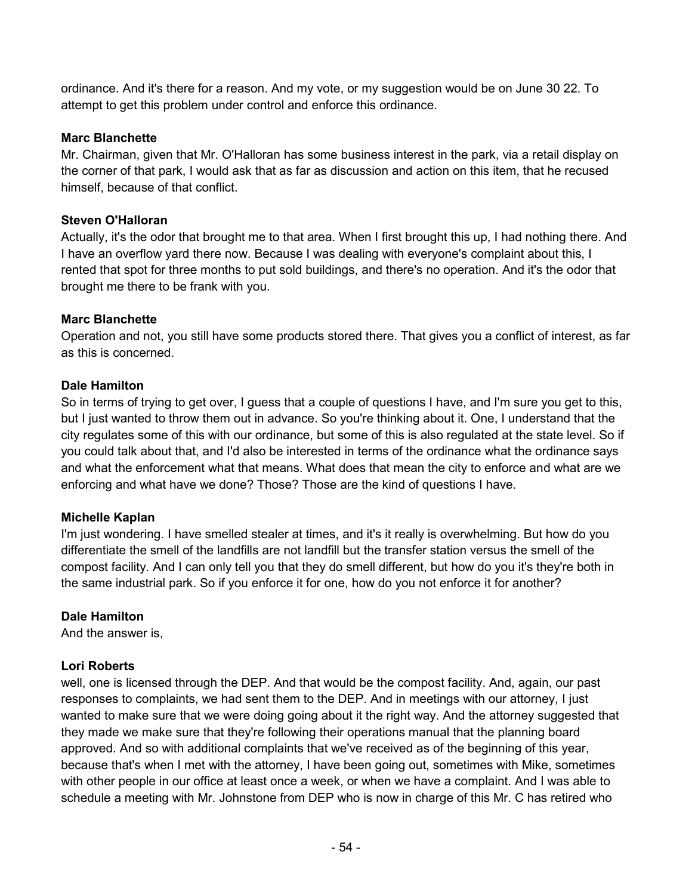ordinance. And it's there for a reason. And my vote, or my suggestion would be on June 30 22. To attempt to get this problem under control and enforce this ordinance.

### **Marc Blanchette**

Mr. Chairman, given that Mr. O'Halloran has some business interest in the park, via a retail display on the corner of that park, I would ask that as far as discussion and action on this item, that he recused himself, because of that conflict.

### **Steven O'Halloran**

Actually, it's the odor that brought me to that area. When I first brought this up, I had nothing there. And I have an overflow yard there now. Because I was dealing with everyone's complaint about this, I rented that spot for three months to put sold buildings, and there's no operation. And it's the odor that brought me there to be frank with you.

### **Marc Blanchette**

Operation and not, you still have some products stored there. That gives you a conflict of interest, as far as this is concerned.

### **Dale Hamilton**

So in terms of trying to get over, I guess that a couple of questions I have, and I'm sure you get to this, but I just wanted to throw them out in advance. So you're thinking about it. One, I understand that the city regulates some of this with our ordinance, but some of this is also regulated at the state level. So if you could talk about that, and I'd also be interested in terms of the ordinance what the ordinance says and what the enforcement what that means. What does that mean the city to enforce and what are we enforcing and what have we done? Those? Those are the kind of questions I have.

### **Michelle Kaplan**

I'm just wondering. I have smelled stealer at times, and it's it really is overwhelming. But how do you differentiate the smell of the landfills are not landfill but the transfer station versus the smell of the compost facility. And I can only tell you that they do smell different, but how do you it's they're both in the same industrial park. So if you enforce it for one, how do you not enforce it for another?

### **Dale Hamilton**

And the answer is,

### **Lori Roberts**

well, one is licensed through the DEP. And that would be the compost facility. And, again, our past responses to complaints, we had sent them to the DEP. And in meetings with our attorney, I just wanted to make sure that we were doing going about it the right way. And the attorney suggested that they made we make sure that they're following their operations manual that the planning board approved. And so with additional complaints that we've received as of the beginning of this year, because that's when I met with the attorney, I have been going out, sometimes with Mike, sometimes with other people in our office at least once a week, or when we have a complaint. And I was able to schedule a meeting with Mr. Johnstone from DEP who is now in charge of this Mr. C has retired who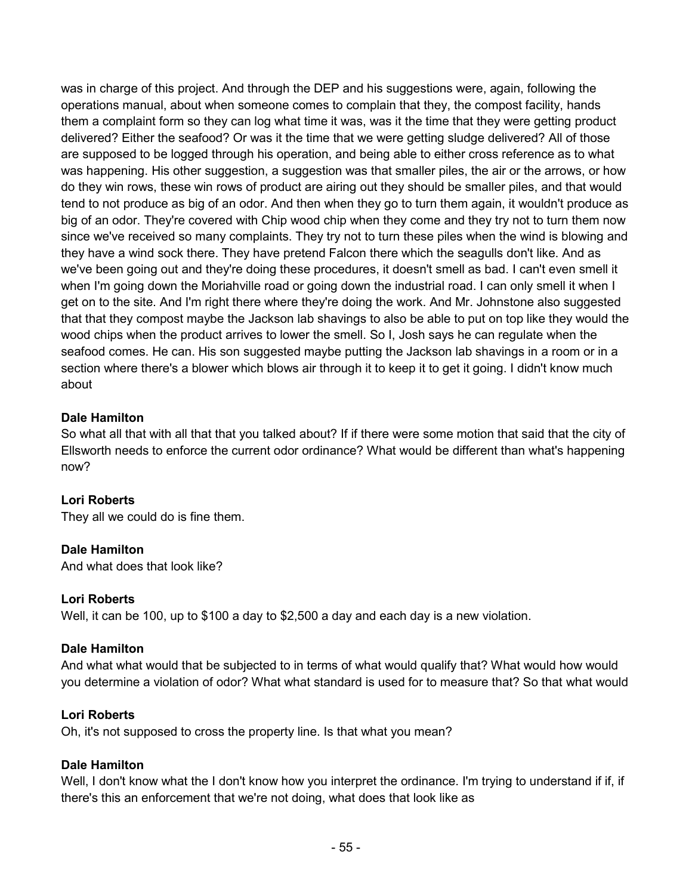was in charge of this project. And through the DEP and his suggestions were, again, following the operations manual, about when someone comes to complain that they, the compost facility, hands them a complaint form so they can log what time it was, was it the time that they were getting product delivered? Either the seafood? Or was it the time that we were getting sludge delivered? All of those are supposed to be logged through his operation, and being able to either cross reference as to what was happening. His other suggestion, a suggestion was that smaller piles, the air or the arrows, or how do they win rows, these win rows of product are airing out they should be smaller piles, and that would tend to not produce as big of an odor. And then when they go to turn them again, it wouldn't produce as big of an odor. They're covered with Chip wood chip when they come and they try not to turn them now since we've received so many complaints. They try not to turn these piles when the wind is blowing and they have a wind sock there. They have pretend Falcon there which the seagulls don't like. And as we've been going out and they're doing these procedures, it doesn't smell as bad. I can't even smell it when I'm going down the Moriahville road or going down the industrial road. I can only smell it when I get on to the site. And I'm right there where they're doing the work. And Mr. Johnstone also suggested that that they compost maybe the Jackson lab shavings to also be able to put on top like they would the wood chips when the product arrives to lower the smell. So I, Josh says he can regulate when the seafood comes. He can. His son suggested maybe putting the Jackson lab shavings in a room or in a section where there's a blower which blows air through it to keep it to get it going. I didn't know much about

### **Dale Hamilton**

So what all that with all that that you talked about? If if there were some motion that said that the city of Ellsworth needs to enforce the current odor ordinance? What would be different than what's happening now?

### **Lori Roberts**

They all we could do is fine them.

### **Dale Hamilton**

And what does that look like?

### **Lori Roberts**

Well, it can be 100, up to \$100 a day to \$2,500 a day and each day is a new violation.

### **Dale Hamilton**

And what what would that be subjected to in terms of what would qualify that? What would how would you determine a violation of odor? What what standard is used for to measure that? So that what would

### **Lori Roberts**

Oh, it's not supposed to cross the property line. Is that what you mean?

### **Dale Hamilton**

Well, I don't know what the I don't know how you interpret the ordinance. I'm trying to understand if if, if there's this an enforcement that we're not doing, what does that look like as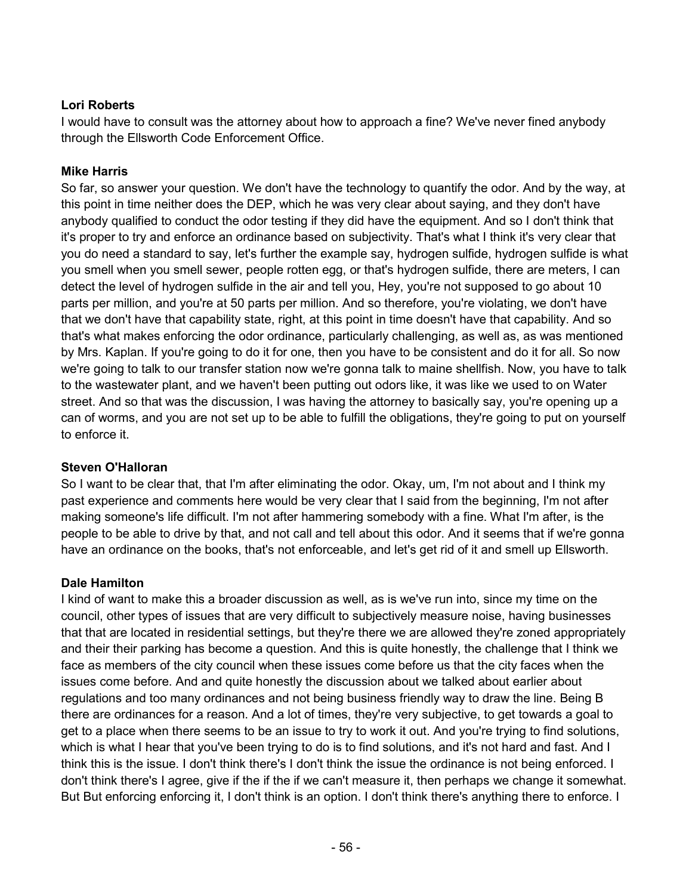### **Lori Roberts**

I would have to consult was the attorney about how to approach a fine? We've never fined anybody through the Ellsworth Code Enforcement Office.

# **Mike Harris**

So far, so answer your question. We don't have the technology to quantify the odor. And by the way, at this point in time neither does the DEP, which he was very clear about saying, and they don't have anybody qualified to conduct the odor testing if they did have the equipment. And so I don't think that it's proper to try and enforce an ordinance based on subjectivity. That's what I think it's very clear that you do need a standard to say, let's further the example say, hydrogen sulfide, hydrogen sulfide is what you smell when you smell sewer, people rotten egg, or that's hydrogen sulfide, there are meters, I can detect the level of hydrogen sulfide in the air and tell you, Hey, you're not supposed to go about 10 parts per million, and you're at 50 parts per million. And so therefore, you're violating, we don't have that we don't have that capability state, right, at this point in time doesn't have that capability. And so that's what makes enforcing the odor ordinance, particularly challenging, as well as, as was mentioned by Mrs. Kaplan. If you're going to do it for one, then you have to be consistent and do it for all. So now we're going to talk to our transfer station now we're gonna talk to maine shellfish. Now, you have to talk to the wastewater plant, and we haven't been putting out odors like, it was like we used to on Water street. And so that was the discussion, I was having the attorney to basically say, you're opening up a can of worms, and you are not set up to be able to fulfill the obligations, they're going to put on yourself to enforce it.

### **Steven O'Halloran**

So I want to be clear that, that I'm after eliminating the odor. Okay, um, I'm not about and I think my past experience and comments here would be very clear that I said from the beginning, I'm not after making someone's life difficult. I'm not after hammering somebody with a fine. What I'm after, is the people to be able to drive by that, and not call and tell about this odor. And it seems that if we're gonna have an ordinance on the books, that's not enforceable, and let's get rid of it and smell up Ellsworth.

### **Dale Hamilton**

I kind of want to make this a broader discussion as well, as is we've run into, since my time on the council, other types of issues that are very difficult to subjectively measure noise, having businesses that that are located in residential settings, but they're there we are allowed they're zoned appropriately and their their parking has become a question. And this is quite honestly, the challenge that I think we face as members of the city council when these issues come before us that the city faces when the issues come before. And and quite honestly the discussion about we talked about earlier about regulations and too many ordinances and not being business friendly way to draw the line. Being B there are ordinances for a reason. And a lot of times, they're very subjective, to get towards a goal to get to a place when there seems to be an issue to try to work it out. And you're trying to find solutions, which is what I hear that you've been trying to do is to find solutions, and it's not hard and fast. And I think this is the issue. I don't think there's I don't think the issue the ordinance is not being enforced. I don't think there's I agree, give if the if the if we can't measure it, then perhaps we change it somewhat. But But enforcing enforcing it, I don't think is an option. I don't think there's anything there to enforce. I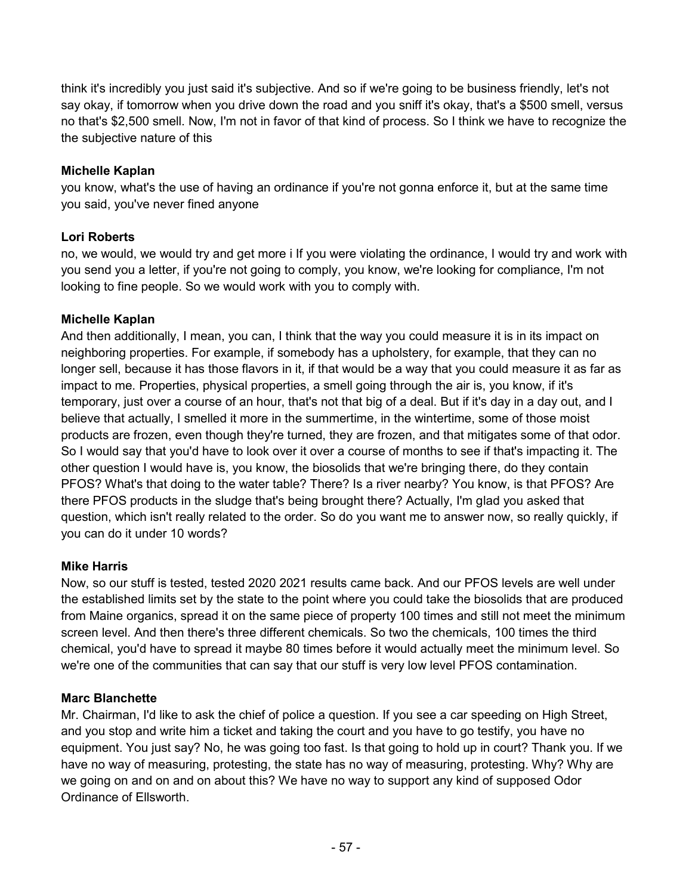think it's incredibly you just said it's subjective. And so if we're going to be business friendly, let's not say okay, if tomorrow when you drive down the road and you sniff it's okay, that's a \$500 smell, versus no that's \$2,500 smell. Now, I'm not in favor of that kind of process. So I think we have to recognize the the subjective nature of this

### **Michelle Kaplan**

you know, what's the use of having an ordinance if you're not gonna enforce it, but at the same time you said, you've never fined anyone

### **Lori Roberts**

no, we would, we would try and get more i If you were violating the ordinance, I would try and work with you send you a letter, if you're not going to comply, you know, we're looking for compliance, I'm not looking to fine people. So we would work with you to comply with.

### **Michelle Kaplan**

And then additionally, I mean, you can, I think that the way you could measure it is in its impact on neighboring properties. For example, if somebody has a upholstery, for example, that they can no longer sell, because it has those flavors in it, if that would be a way that you could measure it as far as impact to me. Properties, physical properties, a smell going through the air is, you know, if it's temporary, just over a course of an hour, that's not that big of a deal. But if it's day in a day out, and I believe that actually, I smelled it more in the summertime, in the wintertime, some of those moist products are frozen, even though they're turned, they are frozen, and that mitigates some of that odor. So I would say that you'd have to look over it over a course of months to see if that's impacting it. The other question I would have is, you know, the biosolids that we're bringing there, do they contain PFOS? What's that doing to the water table? There? Is a river nearby? You know, is that PFOS? Are there PFOS products in the sludge that's being brought there? Actually, I'm glad you asked that question, which isn't really related to the order. So do you want me to answer now, so really quickly, if you can do it under 10 words?

### **Mike Harris**

Now, so our stuff is tested, tested 2020 2021 results came back. And our PFOS levels are well under the established limits set by the state to the point where you could take the biosolids that are produced from Maine organics, spread it on the same piece of property 100 times and still not meet the minimum screen level. And then there's three different chemicals. So two the chemicals, 100 times the third chemical, you'd have to spread it maybe 80 times before it would actually meet the minimum level. So we're one of the communities that can say that our stuff is very low level PFOS contamination.

### **Marc Blanchette**

Mr. Chairman, I'd like to ask the chief of police a question. If you see a car speeding on High Street, and you stop and write him a ticket and taking the court and you have to go testify, you have no equipment. You just say? No, he was going too fast. Is that going to hold up in court? Thank you. If we have no way of measuring, protesting, the state has no way of measuring, protesting. Why? Why are we going on and on and on about this? We have no way to support any kind of supposed Odor Ordinance of Ellsworth.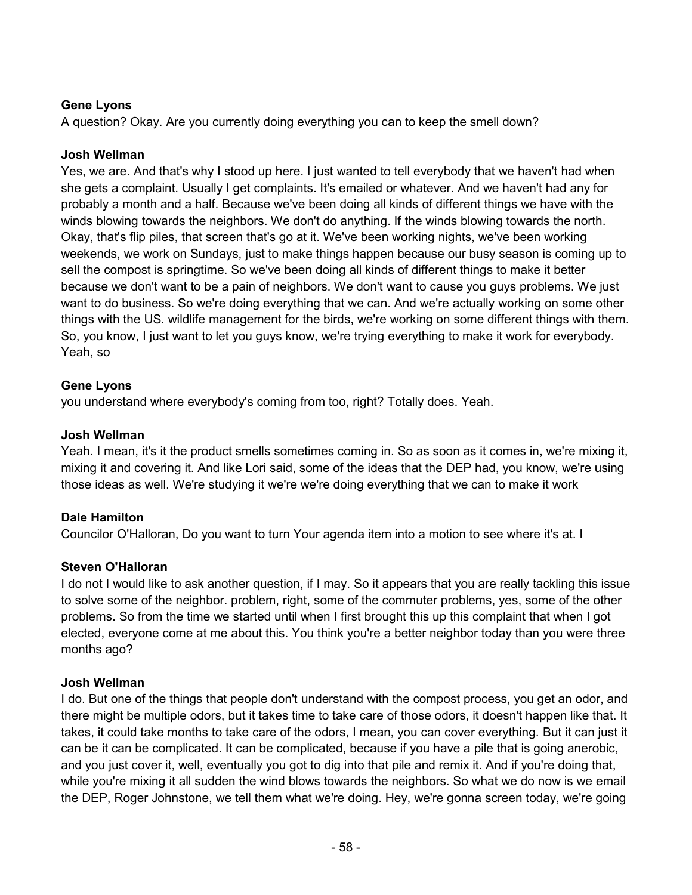### **Gene Lyons**

A question? Okay. Are you currently doing everything you can to keep the smell down?

### **Josh Wellman**

Yes, we are. And that's why I stood up here. I just wanted to tell everybody that we haven't had when she gets a complaint. Usually I get complaints. It's emailed or whatever. And we haven't had any for probably a month and a half. Because we've been doing all kinds of different things we have with the winds blowing towards the neighbors. We don't do anything. If the winds blowing towards the north. Okay, that's flip piles, that screen that's go at it. We've been working nights, we've been working weekends, we work on Sundays, just to make things happen because our busy season is coming up to sell the compost is springtime. So we've been doing all kinds of different things to make it better because we don't want to be a pain of neighbors. We don't want to cause you guys problems. We just want to do business. So we're doing everything that we can. And we're actually working on some other things with the US. wildlife management for the birds, we're working on some different things with them. So, you know, I just want to let you guys know, we're trying everything to make it work for everybody. Yeah, so

### **Gene Lyons**

you understand where everybody's coming from too, right? Totally does. Yeah.

### **Josh Wellman**

Yeah. I mean, it's it the product smells sometimes coming in. So as soon as it comes in, we're mixing it, mixing it and covering it. And like Lori said, some of the ideas that the DEP had, you know, we're using those ideas as well. We're studying it we're we're doing everything that we can to make it work

### **Dale Hamilton**

Councilor O'Halloran, Do you want to turn Your agenda item into a motion to see where it's at. I

### **Steven O'Halloran**

I do not I would like to ask another question, if I may. So it appears that you are really tackling this issue to solve some of the neighbor. problem, right, some of the commuter problems, yes, some of the other problems. So from the time we started until when I first brought this up this complaint that when I got elected, everyone come at me about this. You think you're a better neighbor today than you were three months ago?

### **Josh Wellman**

I do. But one of the things that people don't understand with the compost process, you get an odor, and there might be multiple odors, but it takes time to take care of those odors, it doesn't happen like that. It takes, it could take months to take care of the odors, I mean, you can cover everything. But it can just it can be it can be complicated. It can be complicated, because if you have a pile that is going anerobic, and you just cover it, well, eventually you got to dig into that pile and remix it. And if you're doing that, while you're mixing it all sudden the wind blows towards the neighbors. So what we do now is we email the DEP, Roger Johnstone, we tell them what we're doing. Hey, we're gonna screen today, we're going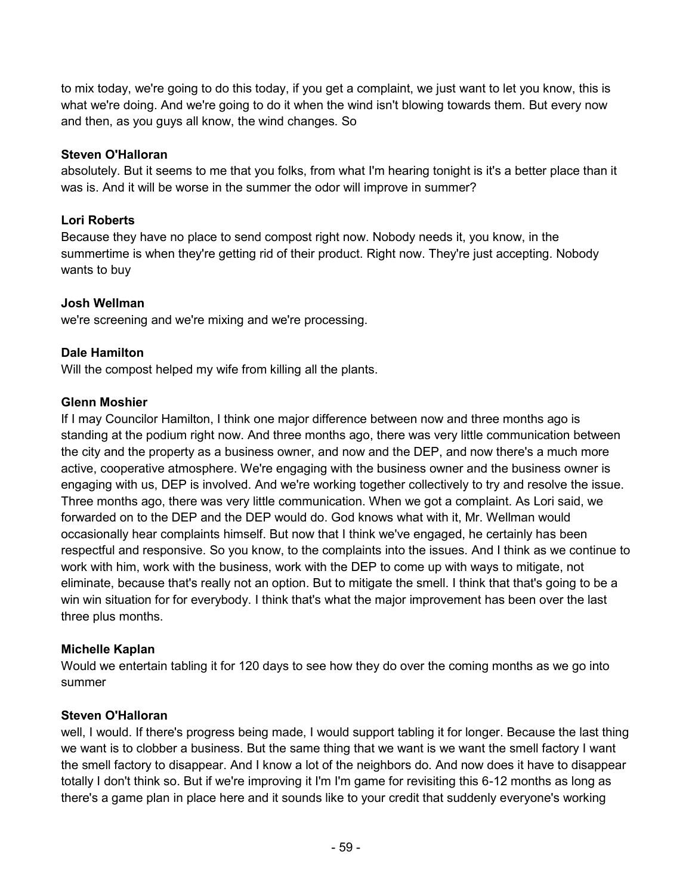to mix today, we're going to do this today, if you get a complaint, we just want to let you know, this is what we're doing. And we're going to do it when the wind isn't blowing towards them. But every now and then, as you guys all know, the wind changes. So

### **Steven O'Halloran**

absolutely. But it seems to me that you folks, from what I'm hearing tonight is it's a better place than it was is. And it will be worse in the summer the odor will improve in summer?

# **Lori Roberts**

Because they have no place to send compost right now. Nobody needs it, you know, in the summertime is when they're getting rid of their product. Right now. They're just accepting. Nobody wants to buy

# **Josh Wellman**

we're screening and we're mixing and we're processing.

# **Dale Hamilton**

Will the compost helped my wife from killing all the plants.

# **Glenn Moshier**

If I may Councilor Hamilton, I think one major difference between now and three months ago is standing at the podium right now. And three months ago, there was very little communication between the city and the property as a business owner, and now and the DEP, and now there's a much more active, cooperative atmosphere. We're engaging with the business owner and the business owner is engaging with us, DEP is involved. And we're working together collectively to try and resolve the issue. Three months ago, there was very little communication. When we got a complaint. As Lori said, we forwarded on to the DEP and the DEP would do. God knows what with it, Mr. Wellman would occasionally hear complaints himself. But now that I think we've engaged, he certainly has been respectful and responsive. So you know, to the complaints into the issues. And I think as we continue to work with him, work with the business, work with the DEP to come up with ways to mitigate, not eliminate, because that's really not an option. But to mitigate the smell. I think that that's going to be a win win situation for for everybody. I think that's what the major improvement has been over the last three plus months.

# **Michelle Kaplan**

Would we entertain tabling it for 120 days to see how they do over the coming months as we go into summer

# **Steven O'Halloran**

well, I would. If there's progress being made, I would support tabling it for longer. Because the last thing we want is to clobber a business. But the same thing that we want is we want the smell factory I want the smell factory to disappear. And I know a lot of the neighbors do. And now does it have to disappear totally I don't think so. But if we're improving it I'm I'm game for revisiting this 6-12 months as long as there's a game plan in place here and it sounds like to your credit that suddenly everyone's working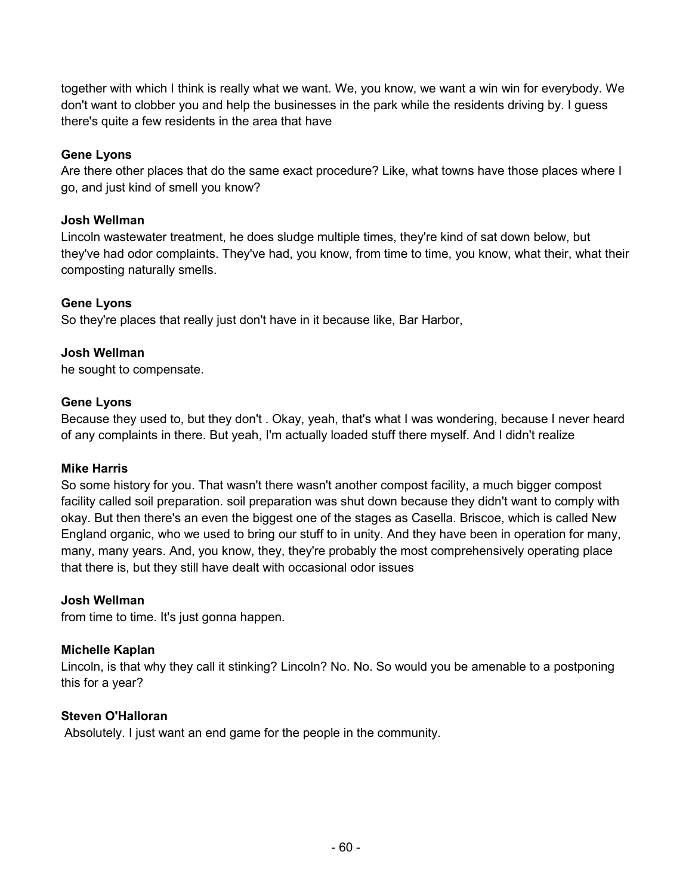together with which I think is really what we want. We, you know, we want a win win for everybody. We don't want to clobber you and help the businesses in the park while the residents driving by. I guess there's quite a few residents in the area that have

### **Gene Lyons**

Are there other places that do the same exact procedure? Like, what towns have those places where I go, and just kind of smell you know?

### **Josh Wellman**

Lincoln wastewater treatment, he does sludge multiple times, they're kind of sat down below, but they've had odor complaints. They've had, you know, from time to time, you know, what their, what their composting naturally smells.

### **Gene Lyons**

So they're places that really just don't have in it because like, Bar Harbor,

### **Josh Wellman**

he sought to compensate.

### **Gene Lyons**

Because they used to, but they don't . Okay, yeah, that's what I was wondering, because I never heard of any complaints in there. But yeah, I'm actually loaded stuff there myself. And I didn't realize

#### **Mike Harris**

So some history for you. That wasn't there wasn't another compost facility, a much bigger compost facility called soil preparation. soil preparation was shut down because they didn't want to comply with okay. But then there's an even the biggest one of the stages as Casella. Briscoe, which is called New England organic, who we used to bring our stuff to in unity. And they have been in operation for many, many, many years. And, you know, they, they're probably the most comprehensively operating place that there is, but they still have dealt with occasional odor issues

#### **Josh Wellman**

from time to time. It's just gonna happen.

### **Michelle Kaplan**

Lincoln, is that why they call it stinking? Lincoln? No. No. So would you be amenable to a postponing this for a year?

### **Steven O'Halloran**

Absolutely. I just want an end game for the people in the community.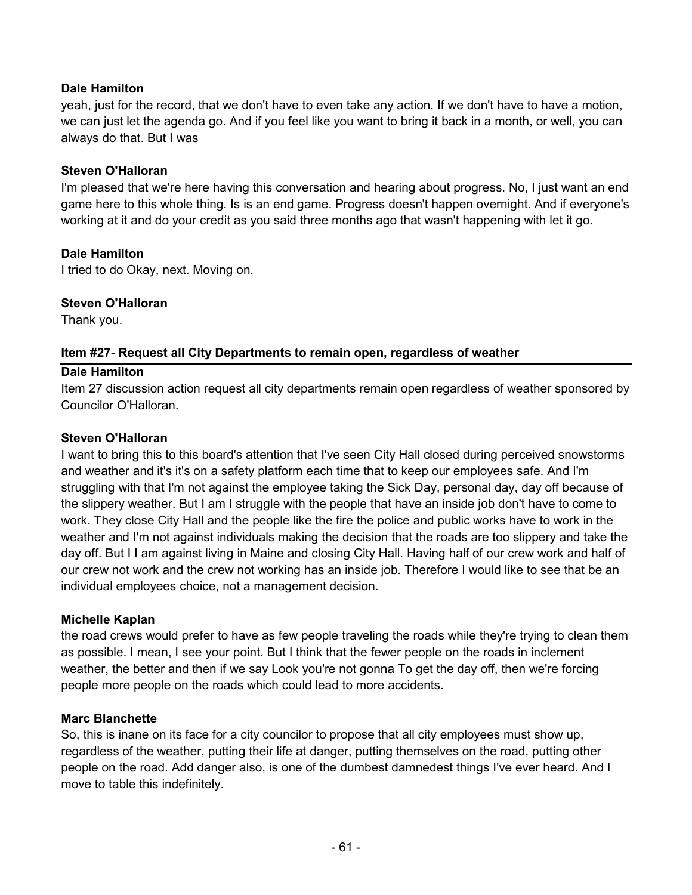### **Dale Hamilton**

yeah, just for the record, that we don't have to even take any action. If we don't have to have a motion, we can just let the agenda go. And if you feel like you want to bring it back in a month, or well, you can always do that. But I was

### **Steven O'Halloran**

I'm pleased that we're here having this conversation and hearing about progress. No, I just want an end game here to this whole thing. Is is an end game. Progress doesn't happen overnight. And if everyone's working at it and do your credit as you said three months ago that wasn't happening with let it go.

### **Dale Hamilton**

I tried to do Okay, next. Moving on.

### **Steven O'Halloran**

Thank you.

### **Item #27- Request all City Departments to remain open, regardless of weather**

### **Dale Hamilton**

Item 27 discussion action request all city departments remain open regardless of weather sponsored by Councilor O'Halloran.

### **Steven O'Halloran**

I want to bring this to this board's attention that I've seen City Hall closed during perceived snowstorms and weather and it's it's on a safety platform each time that to keep our employees safe. And I'm struggling with that I'm not against the employee taking the Sick Day, personal day, day off because of the slippery weather. But I am I struggle with the people that have an inside job don't have to come to work. They close City Hall and the people like the fire the police and public works have to work in the weather and I'm not against individuals making the decision that the roads are too slippery and take the day off. But I I am against living in Maine and closing City Hall. Having half of our crew work and half of our crew not work and the crew not working has an inside job. Therefore I would like to see that be an individual employees choice, not a management decision.

### **Michelle Kaplan**

the road crews would prefer to have as few people traveling the roads while they're trying to clean them as possible. I mean, I see your point. But I think that the fewer people on the roads in inclement weather, the better and then if we say Look you're not gonna To get the day off, then we're forcing people more people on the roads which could lead to more accidents.

### **Marc Blanchette**

So, this is inane on its face for a city councilor to propose that all city employees must show up, regardless of the weather, putting their life at danger, putting themselves on the road, putting other people on the road. Add danger also, is one of the dumbest damnedest things I've ever heard. And I move to table this indefinitely.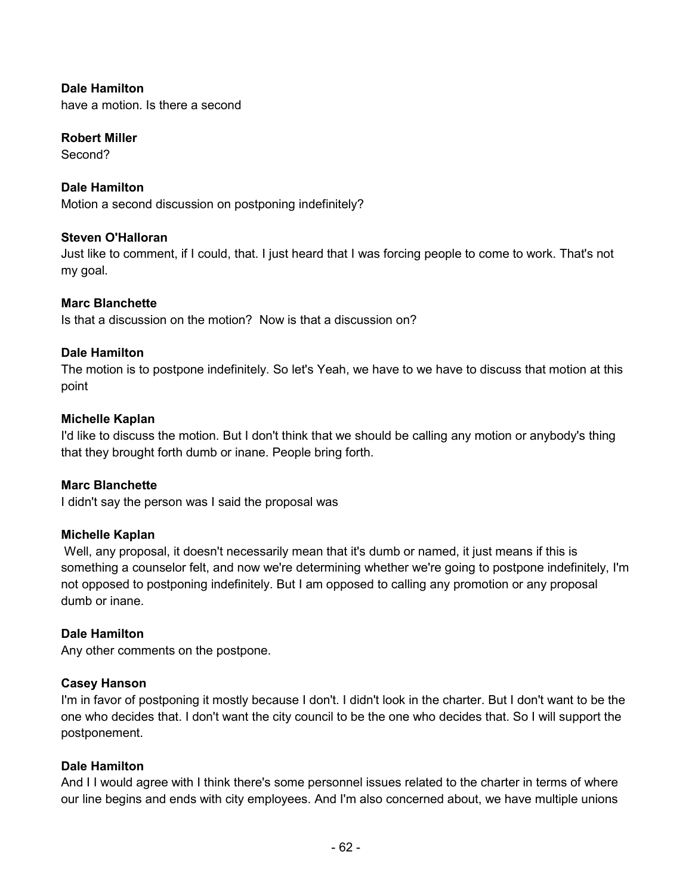**Dale Hamilton** 

have a motion. Is there a second

#### **Robert Miller**

Second?

### **Dale Hamilton**

Motion a second discussion on postponing indefinitely?

#### **Steven O'Halloran**

Just like to comment, if I could, that. I just heard that I was forcing people to come to work. That's not my goal.

#### **Marc Blanchette**

Is that a discussion on the motion? Now is that a discussion on?

#### **Dale Hamilton**

The motion is to postpone indefinitely. So let's Yeah, we have to we have to discuss that motion at this point

#### **Michelle Kaplan**

I'd like to discuss the motion. But I don't think that we should be calling any motion or anybody's thing that they brought forth dumb or inane. People bring forth.

#### **Marc Blanchette**

I didn't say the person was I said the proposal was

#### **Michelle Kaplan**

Well, any proposal, it doesn't necessarily mean that it's dumb or named, it just means if this is something a counselor felt, and now we're determining whether we're going to postpone indefinitely, I'm not opposed to postponing indefinitely. But I am opposed to calling any promotion or any proposal dumb or inane.

#### **Dale Hamilton**

Any other comments on the postpone.

### **Casey Hanson**

I'm in favor of postponing it mostly because I don't. I didn't look in the charter. But I don't want to be the one who decides that. I don't want the city council to be the one who decides that. So I will support the postponement.

#### **Dale Hamilton**

And I I would agree with I think there's some personnel issues related to the charter in terms of where our line begins and ends with city employees. And I'm also concerned about, we have multiple unions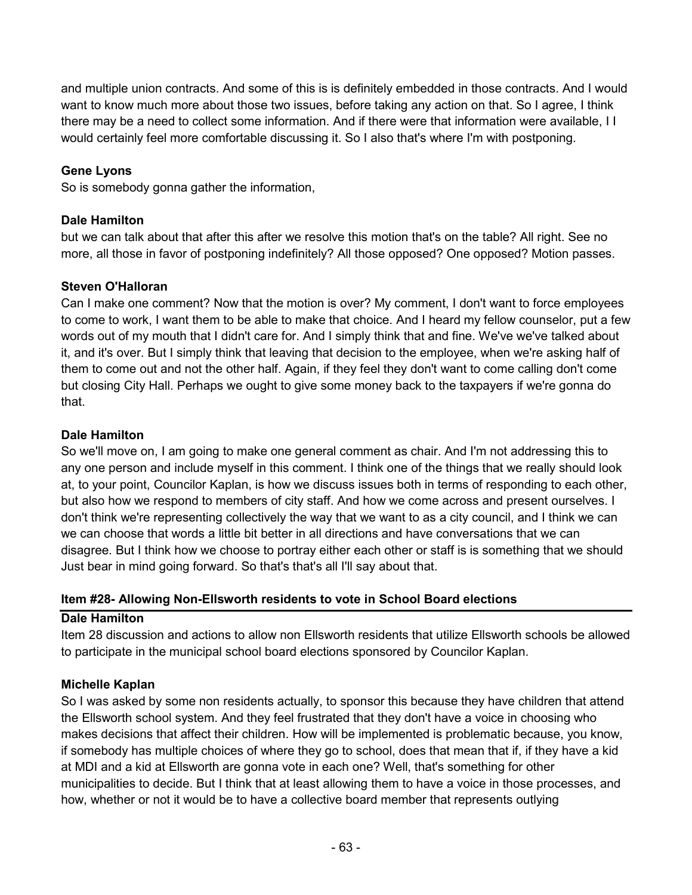and multiple union contracts. And some of this is is definitely embedded in those contracts. And I would want to know much more about those two issues, before taking any action on that. So I agree, I think there may be a need to collect some information. And if there were that information were available, I I would certainly feel more comfortable discussing it. So I also that's where I'm with postponing.

### **Gene Lyons**

So is somebody gonna gather the information,

### **Dale Hamilton**

but we can talk about that after this after we resolve this motion that's on the table? All right. See no more, all those in favor of postponing indefinitely? All those opposed? One opposed? Motion passes.

# **Steven O'Halloran**

Can I make one comment? Now that the motion is over? My comment, I don't want to force employees to come to work, I want them to be able to make that choice. And I heard my fellow counselor, put a few words out of my mouth that I didn't care for. And I simply think that and fine. We've we've talked about it, and it's over. But I simply think that leaving that decision to the employee, when we're asking half of them to come out and not the other half. Again, if they feel they don't want to come calling don't come but closing City Hall. Perhaps we ought to give some money back to the taxpayers if we're gonna do that.

# **Dale Hamilton**

So we'll move on, I am going to make one general comment as chair. And I'm not addressing this to any one person and include myself in this comment. I think one of the things that we really should look at, to your point, Councilor Kaplan, is how we discuss issues both in terms of responding to each other, but also how we respond to members of city staff. And how we come across and present ourselves. I don't think we're representing collectively the way that we want to as a city council, and I think we can we can choose that words a little bit better in all directions and have conversations that we can disagree. But I think how we choose to portray either each other or staff is is something that we should Just bear in mind going forward. So that's that's all I'll say about that.

### **Item #28- Allowing Non-Ellsworth residents to vote in School Board elections**

### **Dale Hamilton**

Item 28 discussion and actions to allow non Ellsworth residents that utilize Ellsworth schools be allowed to participate in the municipal school board elections sponsored by Councilor Kaplan.

# **Michelle Kaplan**

So I was asked by some non residents actually, to sponsor this because they have children that attend the Ellsworth school system. And they feel frustrated that they don't have a voice in choosing who makes decisions that affect their children. How will be implemented is problematic because, you know, if somebody has multiple choices of where they go to school, does that mean that if, if they have a kid at MDI and a kid at Ellsworth are gonna vote in each one? Well, that's something for other municipalities to decide. But I think that at least allowing them to have a voice in those processes, and how, whether or not it would be to have a collective board member that represents outlying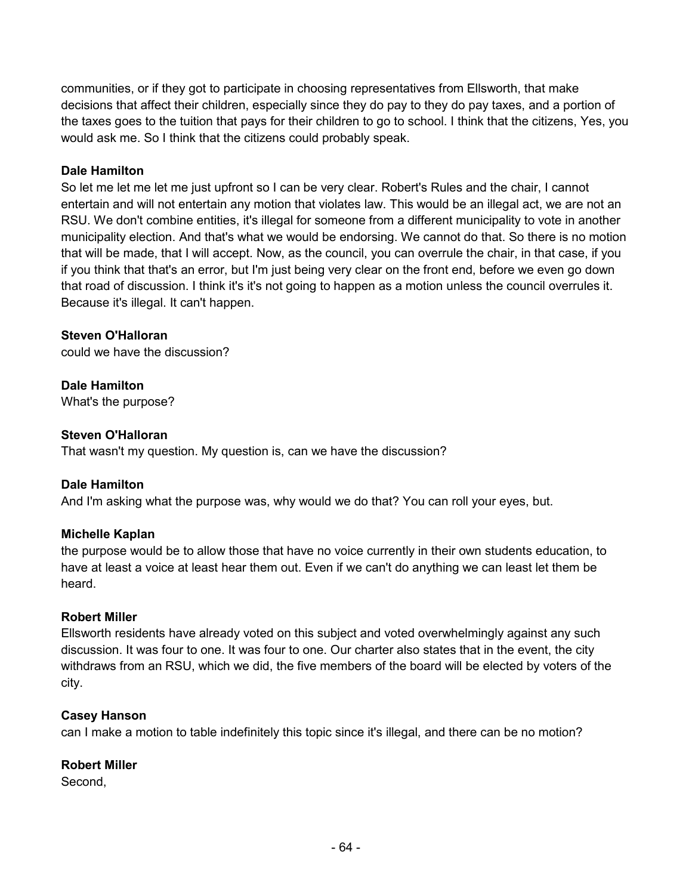communities, or if they got to participate in choosing representatives from Ellsworth, that make decisions that affect their children, especially since they do pay to they do pay taxes, and a portion of the taxes goes to the tuition that pays for their children to go to school. I think that the citizens, Yes, you would ask me. So I think that the citizens could probably speak.

### **Dale Hamilton**

So let me let me let me just upfront so I can be very clear. Robert's Rules and the chair, I cannot entertain and will not entertain any motion that violates law. This would be an illegal act, we are not an RSU. We don't combine entities, it's illegal for someone from a different municipality to vote in another municipality election. And that's what we would be endorsing. We cannot do that. So there is no motion that will be made, that I will accept. Now, as the council, you can overrule the chair, in that case, if you if you think that that's an error, but I'm just being very clear on the front end, before we even go down that road of discussion. I think it's it's not going to happen as a motion unless the council overrules it. Because it's illegal. It can't happen.

### **Steven O'Halloran**

could we have the discussion?

### **Dale Hamilton**

What's the purpose?

### **Steven O'Halloran**

That wasn't my question. My question is, can we have the discussion?

### **Dale Hamilton**

And I'm asking what the purpose was, why would we do that? You can roll your eyes, but.

### **Michelle Kaplan**

the purpose would be to allow those that have no voice currently in their own students education, to have at least a voice at least hear them out. Even if we can't do anything we can least let them be heard.

### **Robert Miller**

Ellsworth residents have already voted on this subject and voted overwhelmingly against any such discussion. It was four to one. It was four to one. Our charter also states that in the event, the city withdraws from an RSU, which we did, the five members of the board will be elected by voters of the city.

### **Casey Hanson**

can I make a motion to table indefinitely this topic since it's illegal, and there can be no motion?

### **Robert Miller**

Second,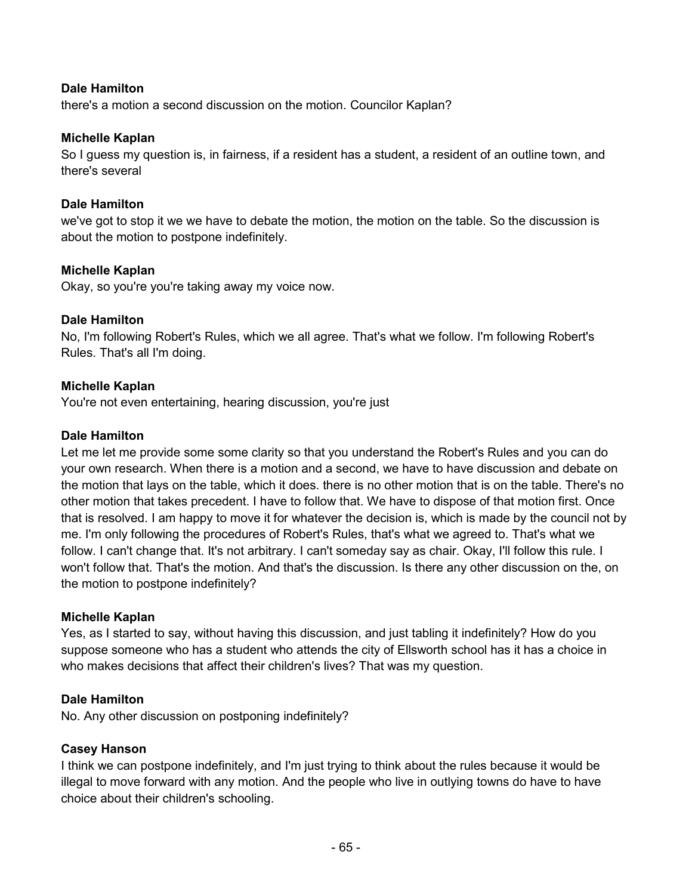### **Dale Hamilton**

there's a motion a second discussion on the motion. Councilor Kaplan?

#### **Michelle Kaplan**

So I guess my question is, in fairness, if a resident has a student, a resident of an outline town, and there's several

#### **Dale Hamilton**

we've got to stop it we we have to debate the motion, the motion on the table. So the discussion is about the motion to postpone indefinitely.

### **Michelle Kaplan**

Okay, so you're you're taking away my voice now.

#### **Dale Hamilton**

No, I'm following Robert's Rules, which we all agree. That's what we follow. I'm following Robert's Rules. That's all I'm doing.

### **Michelle Kaplan**

You're not even entertaining, hearing discussion, you're just

#### **Dale Hamilton**

Let me let me provide some some clarity so that you understand the Robert's Rules and you can do your own research. When there is a motion and a second, we have to have discussion and debate on the motion that lays on the table, which it does. there is no other motion that is on the table. There's no other motion that takes precedent. I have to follow that. We have to dispose of that motion first. Once that is resolved. I am happy to move it for whatever the decision is, which is made by the council not by me. I'm only following the procedures of Robert's Rules, that's what we agreed to. That's what we follow. I can't change that. It's not arbitrary. I can't someday say as chair. Okay, I'll follow this rule. I won't follow that. That's the motion. And that's the discussion. Is there any other discussion on the, on the motion to postpone indefinitely?

#### **Michelle Kaplan**

Yes, as I started to say, without having this discussion, and just tabling it indefinitely? How do you suppose someone who has a student who attends the city of Ellsworth school has it has a choice in who makes decisions that affect their children's lives? That was my question.

### **Dale Hamilton**

No. Any other discussion on postponing indefinitely?

### **Casey Hanson**

I think we can postpone indefinitely, and I'm just trying to think about the rules because it would be illegal to move forward with any motion. And the people who live in outlying towns do have to have choice about their children's schooling.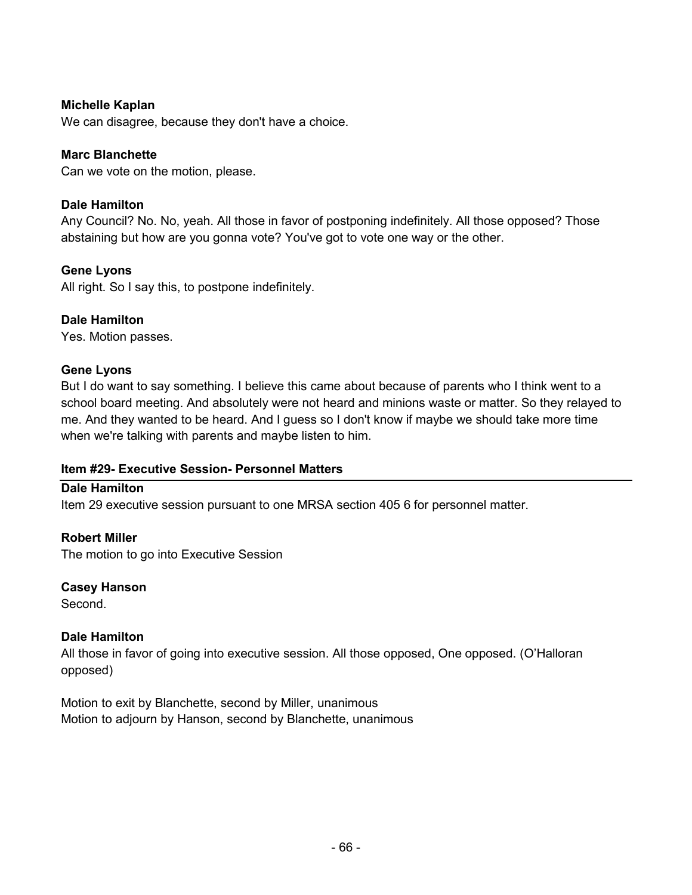### **Michelle Kaplan**

We can disagree, because they don't have a choice.

### **Marc Blanchette**

Can we vote on the motion, please.

#### **Dale Hamilton**

Any Council? No. No, yeah. All those in favor of postponing indefinitely. All those opposed? Those abstaining but how are you gonna vote? You've got to vote one way or the other.

#### **Gene Lyons**

All right. So I say this, to postpone indefinitely.

#### **Dale Hamilton**

Yes. Motion passes.

#### **Gene Lyons**

But I do want to say something. I believe this came about because of parents who I think went to a school board meeting. And absolutely were not heard and minions waste or matter. So they relayed to me. And they wanted to be heard. And I guess so I don't know if maybe we should take more time when we're talking with parents and maybe listen to him.

### **Item #29- Executive Session- Personnel Matters**

#### **Dale Hamilton**

Item 29 executive session pursuant to one MRSA section 405 6 for personnel matter.

#### **Robert Miller**

The motion to go into Executive Session

### **Casey Hanson**

Second.

### **Dale Hamilton**

All those in favor of going into executive session. All those opposed, One opposed. (O'Halloran opposed)

Motion to exit by Blanchette, second by Miller, unanimous Motion to adjourn by Hanson, second by Blanchette, unanimous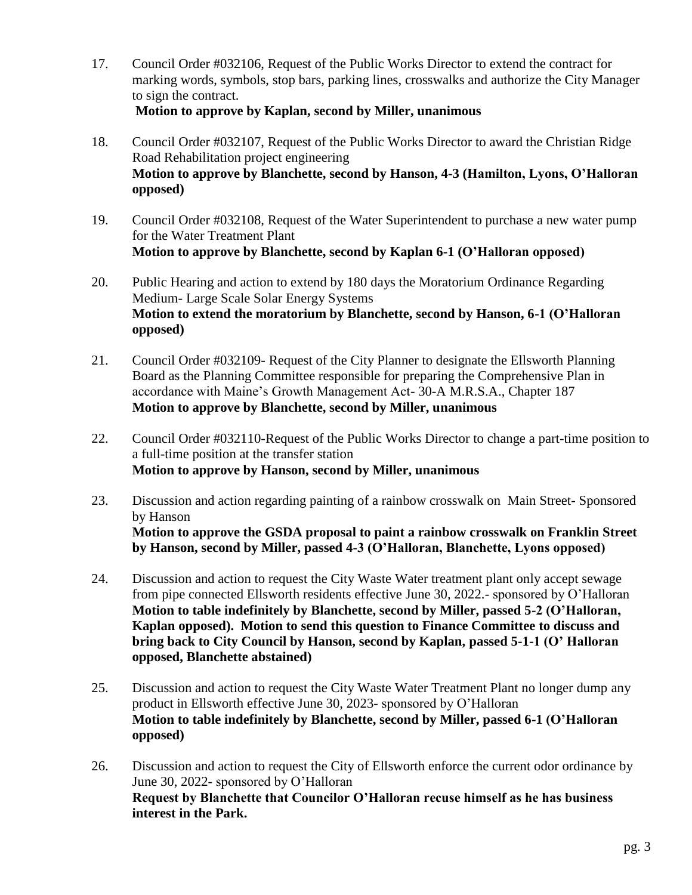- 17. Council Order #032106, Request of the Public Works Director to extend the contract for marking words, symbols, stop bars, parking lines, crosswalks and authorize the City Manager to sign the contract.
	- **Motion to approve by Kaplan, second by Miller, unanimous**
- 18. Council Order #032107, Request of the Public Works Director to award the Christian Ridge Road Rehabilitation project engineering **Motion to approve by Blanchette, second by Hanson, 4-3 (Hamilton, Lyons, O'Halloran opposed)**
- 19. Council Order #032108, Request of the Water Superintendent to purchase a new water pump for the Water Treatment Plant **Motion to approve by Blanchette, second by Kaplan 6-1 (O'Halloran opposed)**
- 20. Public Hearing and action to extend by 180 days the Moratorium Ordinance Regarding Medium- Large Scale Solar Energy Systems **Motion to extend the moratorium by Blanchette, second by Hanson, 6-1 (O'Halloran opposed)**
- 21. Council Order #032109- Request of the City Planner to designate the Ellsworth Planning Board as the Planning Committee responsible for preparing the Comprehensive Plan in accordance with Maine's Growth Management Act- 30-A M.R.S.A., Chapter 187 **Motion to approve by Blanchette, second by Miller, unanimous**
- 22. Council Order #032110-Request of the Public Works Director to change a part-time position to a full-time position at the transfer station **Motion to approve by Hanson, second by Miller, unanimous**
- 23. Discussion and action regarding painting of a rainbow crosswalk on Main Street- Sponsored by Hanson **Motion to approve the GSDA proposal to paint a rainbow crosswalk on Franklin Street by Hanson, second by Miller, passed 4-3 (O'Halloran, Blanchette, Lyons opposed)**
- 24. Discussion and action to request the City Waste Water treatment plant only accept sewage from pipe connected Ellsworth residents effective June 30, 2022.- sponsored by O'Halloran **Motion to table indefinitely by Blanchette, second by Miller, passed 5-2 (O'Halloran, Kaplan opposed). Motion to send this question to Finance Committee to discuss and bring back to City Council by Hanson, second by Kaplan, passed 5-1-1 (O' Halloran opposed, Blanchette abstained)**
- 25. Discussion and action to request the City Waste Water Treatment Plant no longer dump any product in Ellsworth effective June 30, 2023- sponsored by O'Halloran **Motion to table indefinitely by Blanchette, second by Miller, passed 6-1 (O'Halloran opposed)**
- 26. Discussion and action to request the City of Ellsworth enforce the current odor ordinance by June 30, 2022- sponsored by O'Halloran **Request by Blanchette that Councilor O'Halloran recuse himself as he has business interest in the Park.**